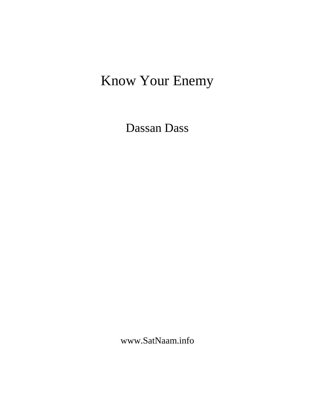# Know Your Enemy

Dassan Dass

www.SatNaam.info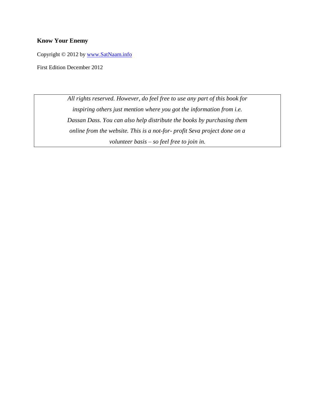# **Know Your Enemy**

Copyright © 2012 by [www.SatNaam.info](http://www.satnaam.info/)

First Edition December 2012

*All rights reserved. However, do feel free to use any part of this book for inspiring others just mention where you got the information from i.e. Dassan Dass. You can also help distribute the books by purchasing them online from the website. This is a not-for- profit Seva project done on a volunteer basis – so feel free to join in.*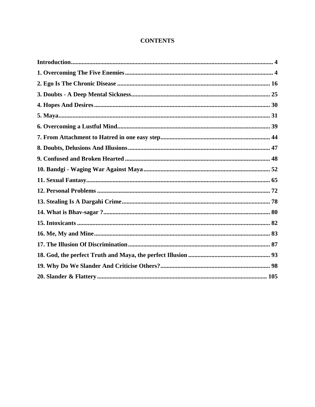# **CONTENTS**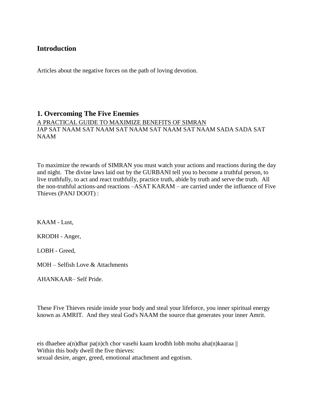# <span id="page-3-0"></span>**Introduction**

Articles about the negative forces on the path of loving devotion.

# <span id="page-3-1"></span>**1. Overcoming The Five Enemies**

A PRACTICAL GUIDE TO MAXIMIZE BENEFITS OF SIMRAN JAP SAT NAAM SAT NAAM SAT NAAM SAT NAAM SAT NAAM SADA SADA SAT NAAM

To maximize the rewards of SIMRAN you must watch your actions and reactions during the day and night. The divine laws laid out by the GURBANI tell you to become a truthful person, to live truthfully, to act and react truthfully, practice truth, abide by truth and serve the truth. All the non-truthful actions-and reactions –ASAT KARAM – are carried under the influence of Five Thieves (PANJ DOOT) :

KAAM - Lust,

KRODH - Anger,

LOBH - Greed,

MOH – Selfish Love & Attachments

AHANKAAR– Self Pride.

These Five Thieves reside inside your body and steal your lifeforce, you inner spiritual energy known as AMRIT. And they steal God's NAAM the source that generates your inner Amrit.

eis dhaehee a(n)dhar pa(n)ch chor vasehi kaam krodhh lobh mohu aha(n)kaaraa || Within this body dwell the five thieves: sexual desire, anger, greed, emotional attachment and egotism.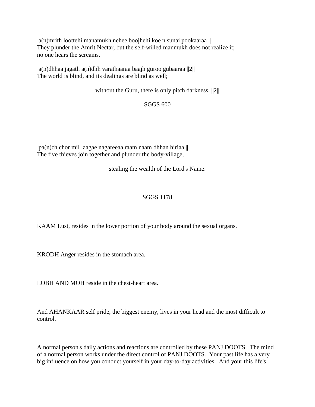a(n)mrith loottehi manamukh nehee boojhehi koe n sunai pookaaraa || They plunder the Amrit Nectar, but the self-willed manmukh does not realize it; no one hears the screams.

a(n)dhhaa jagath a(n)dhh varathaaraa baajh guroo gubaaraa ||2|| The world is blind, and its dealings are blind as well;

without the Guru, there is only pitch darkness.  $||2||$ 

## SGGS 600

pa(n)ch chor mil laagae nagareeaa raam naam dhhan hiriaa  $\parallel$ The five thieves join together and plunder the body-village,

stealing the wealth of the Lord's Name.

# SGGS 1178

KAAM Lust, resides in the lower portion of your body around the sexual organs.

KRODH Anger resides in the stomach area.

LOBH AND MOH reside in the chest-heart area.

And AHANKAAR self pride, the biggest enemy, lives in your head and the most difficult to control.

A normal person's daily actions and reactions are controlled by these PANJ DOOTS. The mind of a normal person works under the direct control of PANJ DOOTS. Your past life has a very big influence on how you conduct yourself in your day-to-day activities. And your this life's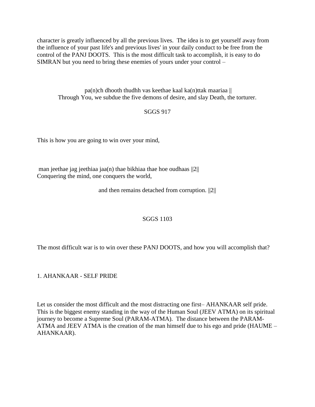character is greatly influenced by all the previous lives. The idea is to get yourself away from the influence of your past life's and previous lives' in your daily conduct to be free from the control of the PANJ DOOTS. This is the most difficult task to accomplish, it is easy to do SIMRAN but you need to bring these enemies of yours under your control –

pa(n)ch dhooth thudhh vas keethae kaal ka(n)ttak maariaa  $\parallel$ Through You, we subdue the five demons of desire, and slay Death, the torturer.

# SGGS 917

This is how you are going to win over your mind,

man jeethae jag jeethiaa jaa(n) thae bikhiaa thae hoe oudhaas ||2|| Conquering the mind, one conquers the world,

and then remains detached from corruption. ||2||

#### SGGS 1103

The most difficult war is to win over these PANJ DOOTS, and how you will accomplish that?

1. AHANKAAR - SELF PRIDE

Let us consider the most difficult and the most distracting one first– AHANKAAR self pride. This is the biggest enemy standing in the way of the Human Soul (JEEV ATMA) on its spiritual journey to become a Supreme Soul (PARAM-ATMA). The distance between the PARAM-ATMA and JEEV ATMA is the creation of the man himself due to his ego and pride (HAUME – AHANKAAR).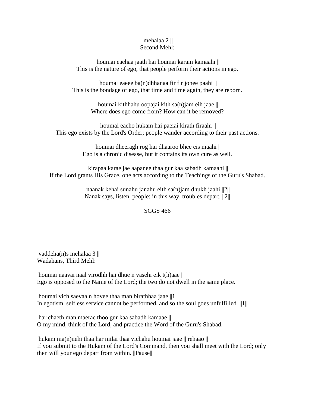#### mehalaa 2 || Second Mehl:

houmai eaehaa jaath hai houmai karam kamaahi || This is the nature of ego, that people perform their actions in ego.

houmai eaeee ba(n)dhhanaa fir fir jonee paahi  $\parallel$ This is the bondage of ego, that time and time again, they are reborn.

> houmai kithhahu oopajai kith sa(n)jam eih jaae || Where does ego come from? How can it be removed?

houmai eaeho hukam hai paeiai kirath firaahi || This ego exists by the Lord's Order; people wander according to their past actions.

> houmai dheeragh rog hai dhaaroo bhee eis maahi || Ego is a chronic disease, but it contains its own cure as well.

kirapaa karae jae aapanee thaa gur kaa sabadh kamaahi || If the Lord grants His Grace, one acts according to the Teachings of the Guru's Shabad.

> naanak kehai sunahu janahu eith sa(n)jam dhukh jaahi ||2|| Nanak says, listen, people: in this way, troubles depart. ||2||

#### SGGS 466

vaddeha(n)s mehalaa 3 || Wadahans, Third Mehl:

houmai naavai naal virodhh hai dhue n vasehi eik t(h)aae || Ego is opposed to the Name of the Lord; the two do not dwell in the same place.

houmai vich saevaa n hovee thaa man birathhaa jaae ||1|| In egotism, selfless service cannot be performed, and so the soul goes unfulfilled. ||1||

har chaeth man maerae thoo gur kaa sabadh kamaae || O my mind, think of the Lord, and practice the Word of the Guru's Shabad.

hukam ma(n)nehi thaa har milai thaa vichahu houmai jaae || rehaao || If you submit to the Hukam of the Lord's Command, then you shall meet with the Lord; only then will your ego depart from within. ||Pause||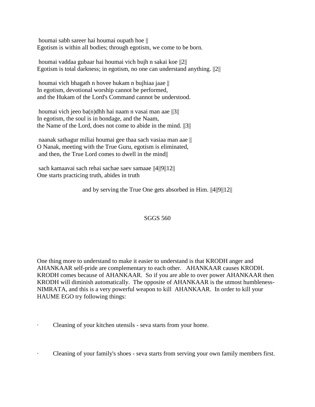houmai sabh sareer hai houmai oupath hoe || Egotism is within all bodies; through egotism, we come to be born.

houmai vaddaa gubaar hai houmai vich bujh n sakai koe ||2|| Egotism is total darkness; in egotism, no one can understand anything. ||2||

houmai vich bhagath n hovee hukam n bujhiaa jaae || In egotism, devotional worship cannot be performed, and the Hukam of the Lord's Command cannot be understood.

houmai vich jeeo ba(n)dhh hai naam n vasai man aae ||3|| In egotism, the soul is in bondage, and the Naam, the Name of the Lord, does not come to abide in the mind. ||3||

naanak sathagur miliai houmai gee thaa sach vasiaa man aae || O Nanak, meeting with the True Guru, egotism is eliminated, and then, the True Lord comes to dwell in the mind

sach kamaavai sach rehai sachae saev samaae ||4||9||12|| One starts practicing truth, abides in truth

and by serving the True One gets absorbed in Him. ||4||9||12||

# SGGS 560

One thing more to understand to make it easier to understand is that KRODH anger and AHANKAAR self-pride are complementary to each other. AHANKAAR causes KRODH. KRODH comes because of AHANKAAR. So if you are able to over power AHANKAAR then KRODH will diminish automatically. The opposite of AHANKAAR is the utmost humbleness-NIMRATA, and this is a very powerful weapon to kill AHANKAAR. In order to kill your HAUME EGO try following things:

Cleaning of your kitchen utensils - seva starts from your home.

· Cleaning of your family's shoes - seva starts from serving your own family members first.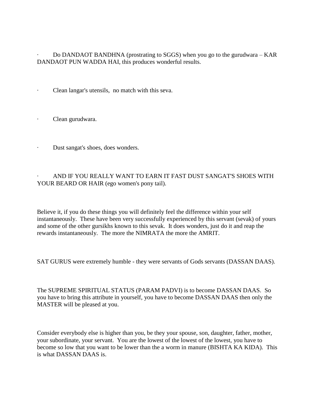· Do DANDAOT BANDHNA (prostrating to SGGS) when you go to the gurudwara – KAR DANDAOT PUN WADDA HAI, this produces wonderful results.

Clean langar's utensils, no match with this seva.

Clean gurudwara.

· Dust sangat's shoes, does wonders.

· AND IF YOU REALLY WANT TO EARN IT FAST DUST SANGAT'S SHOES WITH YOUR BEARD OR HAIR (ego women's pony tail).

Believe it, if you do these things you will definitely feel the difference within your self instantaneously. These have been very successfully experienced by this servant (sevak) of yours and some of the other gursikhs known to this sevak. It does wonders, just do it and reap the rewards instantaneously. The more the NIMRATA the more the AMRIT.

SAT GURUS were extremely humble - they were servants of Gods servants (DASSAN DAAS).

The SUPREME SPIRITUAL STATUS (PARAM PADVI) is to become DASSAN DAAS. So you have to bring this attribute in yourself, you have to become DASSAN DAAS then only the MASTER will be pleased at you.

Consider everybody else is higher than you, be they your spouse, son, daughter, father, mother, your subordinate, your servant. You are the lowest of the lowest of the lowest, you have to become so low that you want to be lower than the a worm in manure (BISHTA KA KIDA). This is what DASSAN DAAS is.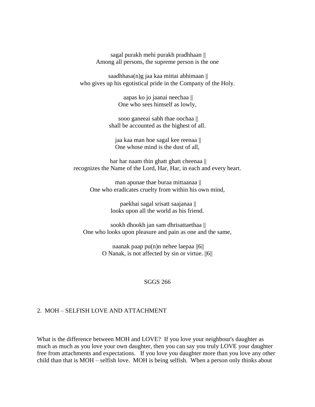sagal purakh mehi purakh pradhhaan || Among all persons, the supreme person is the one

saadhhasa $(n)$ g jaa kaa mittai abhimaan  $\parallel$ who gives up his egotistical pride in the Company of the Holy.

> aapas ko jo jaanai neechaa || One who sees himself as lowly,

sooo ganeeai sabh thae oochaa || shall be accounted as the highest of all.

jaa kaa man hoe sagal kee reenaa || One whose mind is the dust of all,

har har naam thin ghatt ghatt cheenaa || recognizes the Name of the Lord, Har, Har, in each and every heart.

man apunae thae buraa mittaanaa || One who eradicates cruelty from within his own mind,

> paekhai sagal srisatt saajanaa || looks upon all the world as his friend.

sookh dhookh jan sam dhrisattaethaa || One who looks upon pleasure and pain as one and the same,

> naanak paap pu(n)n nehee laepaa ||6|| O Nanak, is not affected by sin or virtue. ||6||

> > SGGS 266

#### 2. MOH – SELFISH LOVE AND ATTACHMENT

What is the difference between MOH and LOVE? If you love your neighbour's daughter as much as much as you love your own daughter, then you can say you truly LOVE your daughter free from attachments and expectations. If you love you daughter more than you love any other child than that is MOH – selfish love. MOH is being selfish. When a person only thinks about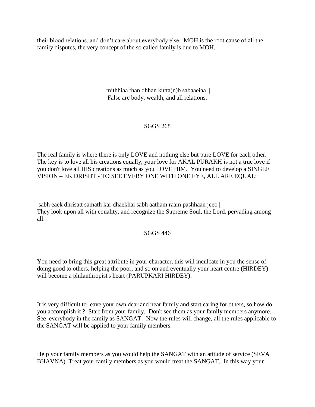their blood relations, and don"t care about everybody else. MOH is the root cause of all the family disputes, the very concept of the so called family is due to MOH.

> mithhiaa than dhhan kutta(n)b sabaaeiaa || False are body, wealth, and all relations.

## SGGS 268

The real family is where there is only LOVE and nothing else but pure LOVE for each other. The key is to love all his creations equally, your love for AKAL PURAKH is not a true love if you don't love all HIS creations as much as you LOVE HIM. You need to develop a SINGLE VISION – EK DRISHT - TO SEE EVERY ONE WITH ONE EYE, ALL ARE EQUAL:

sabh eaek dhrisatt samath kar dhaekhai sabh aatham raam pashhaan jeeo || They look upon all with equality, and recognize the Supreme Soul, the Lord, pervading among all.

#### SGGS 446

You need to bring this great attribute in your character, this will inculcate in you the sense of doing good to others, helping the poor, and so on and eventually your heart centre (HIRDEY) will become a philanthropist's heart (PARUPKARI HIRDEY).

It is very difficult to leave your own dear and near family and start caring for others, so how do you accomplish it ? Start from your family. Don't see them as your family members anymore. See everybody in the family as SANGAT. Now the rules will change, all the rules applicable to the SANGAT will be applied to your family members.

Help your family members as you would help the SANGAT with an atitude of service (SEVA BHAVNA). Treat your family members as you would treat the SANGAT. In this way your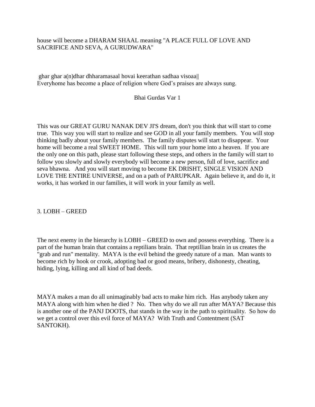## house will become a DHARAM SHAAL meaning "A PLACE FULL OF LOVE AND SACRIFICE AND SEVA, A GURUDWARA"

ghar ghar a(n)dhar dhharamasaal hovai keerathan sadhaa visoaa|| Everyhome has become a place of religion where God"s praises are always sung.

Bhai Gurdas Var 1

This was our GREAT GURU NANAK DEV JI'S dream, don't you think that will start to come true. This way you will start to realize and see GOD in all your family members. You will stop thinking badly about your family members. The family disputes will start to disappear. Your home will become a real SWEET HOME. This will turn your home into a heaven. If you are the only one on this path, please start following these steps, and others in the family will start to follow you slowly and slowly everybody will become a new person, full of love, sacrifice and seva bhawna. And you will start moving to become EK DRISHT, SINGLE VISION AND LOVE THE ENTIRE UNIVERSE, and on a path of PARUPKAR. Again believe it, and do it, it works, it has worked in our families, it will work in your family as well.

3. LOBH – GREED

The next enemy in the hierarchy is LOBH – GREED to own and possess everything. There is a part of the human brain that contains a reptilians brain. That reptillian brain in us creates the "grab and run" mentality. MAYA is the evil behind the greedy nature of a man. Man wants to become rich by hook or crook, adopting bad or good means, bribery, dishonesty, cheating, hiding, lying, killing and all kind of bad deeds.

MAYA makes a man do all unimaginably bad acts to make him rich. Has anybody taken any MAYA along with him when he died ? No. Then why do we all run after MAYA? Because this is another one of the PANJ DOOTS, that stands in the way in the path to spirituality. So how do we get a control over this evil force of MAYA? With Truth and Contentment (SAT SANTOKH).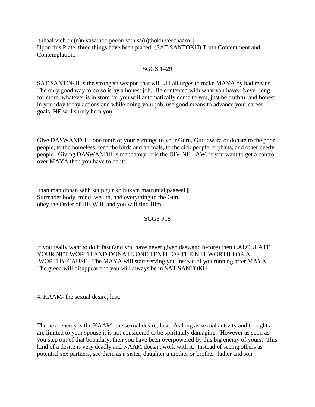thhaal vich thi(n)n vasathoo peeou sath sa(n)thokh veechaaro  $\parallel$ Upon this Plate, three things have been placed: (SAT SANTOKH) Truth Contentment and Contemplation.

#### SGGS 1429

SAT SANTOKH is the strongest weapon that will kill all urges to make MAYA by bad means. The only good way to do so is by a honest job. Be contented with what you have. Never long for more, whatever is in store for you will automatically come to you, just be truthful and honest in your day today actions and while doing your job, use good means to advance your career goals, HE will surely help you.

Give DASWANDH – one tenth of your earnings to your Guru, Gurudwara or donate to the poor people, to the homeless, feed the birds and animals, to the sick people, orphans, and other needy people. Giving DASWANDH is mandatory, it is the DIVINE LAW, if you want to get a control over MAYA then you have to do it:

than man dhhan sabh soup gur ko hukam ma $(n)$ niai paaeeai  $\parallel$ Surrender body, mind, wealth, and everything to the Guru; obey the Order of His Will, and you will find Him.

#### SGGS 918

If you really want to do it fast (and you have never given daswand before) then CALCULATE YOUR NET WORTH AND DONATE ONE TENTH OF THE NET WORTH FOR A WORTHY CAUSE. The MAYA will start serving you instead of you running after MAYA. The greed will disappear and you will always be in SAT SANTOKH.

4. KAAM- the sexual desire, lust.

The next enemy is the KAAM- the sexual desire, lust. As long as sexual activity and thoughts are limited to your spouse it is not considered to be spiritually damaging. However as soon as you step out of that boundary, then you have been overpowered by this big enemy of yours. This kind of a desire is very deadly and NAAM doesn't work with it. Instead of seeing others as potential sex partners, see them as a sister, daughter a mother or brother, father and son.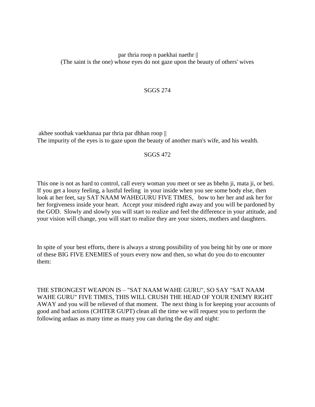## par thria roop n paekhai naethr || (The saint is the one) whose eyes do not gaze upon the beauty of others' wives

## SGGS 274

akhee soothak vaekhanaa par thria par dhhan roop || The impurity of the eyes is to gaze upon the beauty of another man's wife, and his wealth.

#### SGGS 472

This one is not as hard to control, call every woman you meet or see as bhehn ji, mata ji, or beti. If you get a lousy feeling, a lustful feeling in your inside when you see some body else, then look at her feet, say SAT NAAM WAHEGURU FIVE TIMES, bow to her her and ask her for her forgiveness inside your heart. Accept your misdeed right away and you will be pardoned by the GOD. Slowly and slowly you will start to realize and feel the difference in your attitude, and your vision will change, you will start to realize they are your sisters, mothers and daughters.

In spite of your best efforts, there is always a strong possibility of you being hit by one or more of these BIG FIVE ENEMIES of yours every now and then, so what do you do to encounter them:

THE STRONGEST WEAPON IS – "SAT NAAM WAHE GURU", SO SAY "SAT NAAM WAHE GURU" FIVE TIMES, THIS WILL CRUSH THE HEAD OF YOUR ENEMY RIGHT AWAY and you will be relieved of that moment. The next thing is for keeping your accounts of good and bad actions (CHITER GUPT) clean all the time we will request you to perform the following ardaas as many time as many you can during the day and night: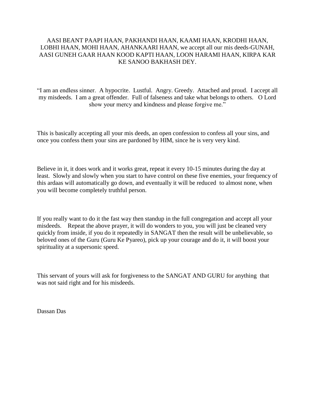## AASI BEANT PAAPI HAAN, PAKHANDI HAAN, KAAMI HAAN, KRODHI HAAN, LOBHI HAAN, MOHI HAAN, AHANKAARI HAAN, we accept all our mis deeds-GUNAH, AASI GUNEH GAAR HAAN KOOD KAPTI HAAN, LOON HARAMI HAAN, KIRPA KAR KE SANOO BAKHASH DEY.

"I am an endless sinner. A hypocrite. Lustful. Angry. Greedy. Attached and proud. I accept all my misdeeds. I am a great offender. Full of falseness and take what belongs to others. O Lord show your mercy and kindness and please forgive me."

This is basically accepting all your mis deeds, an open confession to confess all your sins, and once you confess them your sins are pardoned by HIM, since he is very very kind.

Believe in it, it does work and it works great, repeat it every 10-15 minutes during the day at least. Slowly and slowly when you start to have control on these five enemies, your frequency of this ardaas will automatically go down, and eventually it will be reduced to almost none, when you will become completely truthful person.

If you really want to do it the fast way then standup in the full congregation and accept all your misdeeds. Repeat the above prayer, it will do wonders to you, you will just be cleaned very quickly from inside, if you do it repeatedly in SANGAT then the result will be unbelievable, so beloved ones of the Guru (Guru Ke Pyareo), pick up your courage and do it, it will boost your spirituality at a supersonic speed.

This servant of yours will ask for forgiveness to the SANGAT AND GURU for anything that was not said right and for his misdeeds.

Dassan Das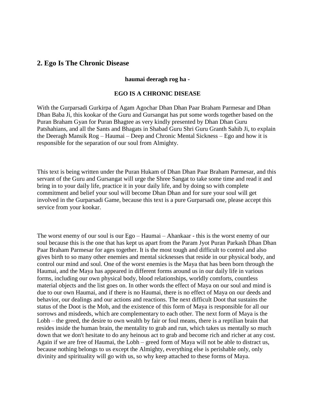# <span id="page-15-0"></span>**2. Ego Is The Chronic Disease**

#### **haumai deeragh rog ha -**

#### **EGO IS A CHRONIC DISEASE**

With the Gurparsadi Gurkirpa of Agam Agochar Dhan Dhan Paar Braham Parmesar and Dhan Dhan Baba Ji, this kookar of the Guru and Gursangat has put some words together based on the Puran Braham Gyan for Puran Bhagtee as very kindly presented by Dhan Dhan Guru Patshahians, and all the Sants and Bhagats in Shabad Guru Shri Guru Granth Sahib Ji, to explain the Deeragh Mansik Rog – Haumai – Deep and Chronic Mental Sickness – Ego and how it is responsible for the separation of our soul from Almighty.

This text is being written under the Puran Hukam of Dhan Dhan Paar Braham Parmesar, and this servant of the Guru and Gursangat will urge the Shree Sangat to take some time and read it and bring in to your daily life, practice it in your daily life, and by doing so with complete commitment and belief your soul will become Dhan Dhan and for sure your soul will get involved in the Gurparsadi Game, because this text is a pure Gurparsadi one, please accept this service from your kookar.

The worst enemy of our soul is our Ego – Haumai – Ahankaar - this is the worst enemy of our soul because this is the one that has kept us apart from the Param Jyot Puran Parkash Dhan Dhan Paar Braham Parmesar for ages together. It is the most tough and difficult to control and also gives birth to so many other enemies and mental sicknesses that reside in our physical body, and control our mind and soul. One of the worst enemies is the Maya that has been born through the Haumai, and the Maya has appeared in different forms around us in our daily life in various forms, including our own physical body, blood relationships, worldly comforts, countless material objects and the list goes on. In other words the effect of Maya on our soul and mind is due to our own Haumai, and if there is no Haumai, there is no effect of Maya on our deeds and behavior, our dealings and our actions and reactions. The next difficult Doot that sustains the status of the Doot is the Moh, and the existence of this form of Maya is responsible for all our sorrows and misdeeds, which are complementary to each other. The next form of Maya is the Lobh – the greed, the desire to own wealth by fair or foul means, there is a reptilian brain that resides inside the human brain, the mentality to grab and run, which takes us mentally so much down that we don't hesitate to do any heinous act to grab and become rich and richer at any cost. Again if we are free of Haumai, the Lobh – greed form of Maya will not be able to distract us, because nothing belongs to us except the Almighty, everything else is perishable only, only divinity and spirituality will go with us, so why keep attached to these forms of Maya.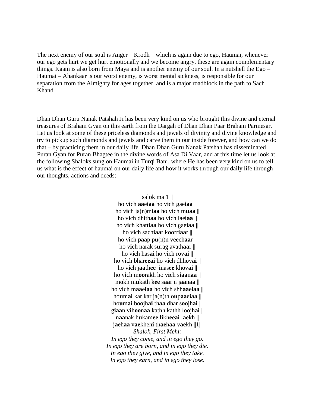The next enemy of our soul is Anger – Krodh – which is again due to ego, Haumai, whenever our ego gets hurt we get hurt emotionally and we become angry, these are again complementary things. Kaam is also born from Maya and is another enemy of our soul. In a nutshell the Ego – Haumai – Ahankaar is our worst enemy, is worst mental sickness, is responsible for our separation from the Almighty for ages together, and is a major roadblock in the path to Sach Khand.

Dhan Dhan Guru Nanak Patshah Ji has been very kind on us who brought this divine and eternal treasures of Braham Gyan on this earth from the Dargah of Dhan Dhan Paar Braham Parmesar. Let us look at some of these priceless diamonds and jewels of divinity and divine knowledge and try to pickup such diamonds and jewels and carve them in our inside forever, and how can we do that – by practicing them in our daily life. Dhan Dhan Guru Nanak Patshah has disseminated Puran Gyan for Puran Bhagtee in the divine words of Asa Di Vaar, and at this time let us look at the following Shaloks sung on Haumai in Turqi Bani, where He has been very kind on us to tell us what is the effect of haumai on our daily life and how it works through our daily life through our thoughts, actions and deeds:

> sal**o**k ma 1 || ho v**i**ch **aa**e**iaa** ho v**i**ch gae**iaa** || ho v**i**ch ja(n)m**iaa** ho v**i**ch m**uaa** || ho v**i**ch dh**i**th**aa** ho v**i**ch lae**iaa** || ho v**i**ch khatt**iaa** ho v**i**ch gae**iaa** || ho v**i**ch sach**iaa**r k**oo**rr**iaa**r || ho vich paap  $pu(n)n$  veechaar  $||$ ho v**i**ch narak s**u**rag avath**aa**r || ho v**i**ch has**ai** ho v**i**ch r**o**v**ai** || ho v**i**ch bhar**eeai** ho v**i**ch dhh**o**v**ai** || ho v**i**ch j**aa**th**ee** j**i**nas**ee** kh**o**v**ai** || ho v**i**ch m**oo**rakh ho v**i**ch s**iaa**n**aa** || m**o**kh m**u**kath k**ee** s**aa**r n j**aa**n**aa** || ho v**i**ch m**aa**e**iaa** ho v**i**ch shh**aa**e**iaa** || ho**u**m**ai** kar kar ja(n)th o**u**p**aa**e**iaa** || ho**u**m**ai** b**oo**jh**ai** th**aa** dhar s**oo**jh**ai** || g**iaa**n v**i**h**oo**n**aa** kathh kathh l**oo**jh**ai** || n**aa**nak h**u**kam**ee** l**i**kh**eeai** l**ae**kh || j**ae**h**aa** v**ae**kheh**i** th**ae**h**aa** v**ae**kh ||1|| *Shalok, First Mehl: In ego they come, and in ego they go. In ego they are born, and in ego they die. In ego they give, and in ego they take. In ego they earn, and in ego they lose.*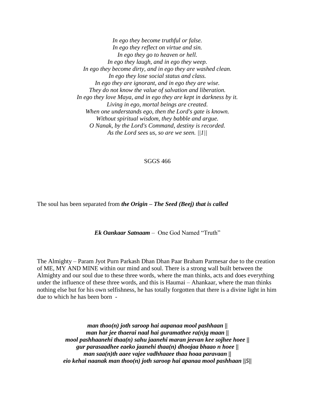*In ego they become truthful or false. In ego they reflect on virtue and sin. In ego they go to heaven or hell. In ego they laugh, and in ego they weep. In ego they become dirty, and in ego they are washed clean. In ego they lose social status and class. In ego they are ignorant, and in ego they are wise. They do not know the value of salvation and liberation. In ego they love Maya, and in ego they are kept in darkness by it. Living in ego, mortal beings are created. When one understands ego, then the Lord's gate is known. Without spiritual wisdom, they babble and argue. O Nanak, by the Lord's Command, destiny is recorded. As the Lord sees us, so are we seen. ||1||*

#### SGGS 466

The soul has been separated from *the Origin – The Seed (Beej) that is called* 

*Ek Oankaar Satnaam* – One God Named "Truth"

The Almighty – Param Jyot Purn Parkash Dhan Dhan Paar Braham Parmesar due to the creation of ME, MY AND MINE within our mind and soul. There is a strong wall built between the Almighty and our soul due to these three words, where the man thinks, acts and does everything under the influence of these three words, and this is Haumai – Ahankaar, where the man thinks nothing else but for his own selfishness, he has totally forgotten that there is a divine light in him due to which he has been born -

> *man thoo(n) joth saroop hai aapanaa mool pashhaan || man har jee thaerai naal hai guramathee ra(n)g maan || mool pashhaanehi thaa(n) sahu jaanehi maran jeevan kee sojhee hoee || gur parasaadhee eaeko jaanehi thaa(n) dhoojaa bhaao n hoee || man saa(n)th aaee vajee vadhhaaee thaa hoaa paravaan || eio kehai naanak man thoo(n) joth saroop hai apanaa mool pashhaan ||5||*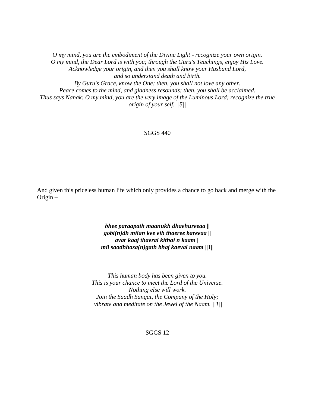*O my mind, you are the embodiment of the Divine Light - recognize your own origin. O my mind, the Dear Lord is with you; through the Guru's Teachings, enjoy His Love. Acknowledge your origin, and then you shall know your Husband Lord, and so understand death and birth. By Guru's Grace, know the One; then, you shall not love any other. Peace comes to the mind, and gladness resounds; then, you shall be acclaimed. Thus says Nanak: O my mind, you are the very image of the Luminous Lord; recognize the true origin of your self. ||5||*

#### SGGS 440

And given this priceless human life which only provides a chance to go back and merge with the Origin *–*

> *bhee paraapath maanukh dhaehureeaa || gobi(n)dh milan kee eih thaeree bareeaa || avar kaaj thaerai kithai n kaam || mil saadhhasa(n)gath bhaj kaeval naam ||1||*

*This human body has been given to you. This is your chance to meet the Lord of the Universe. Nothing else will work. Join the Saadh Sangat, the Company of the Holy; vibrate and meditate on the Jewel of the Naam. ||1||*

SGGS 12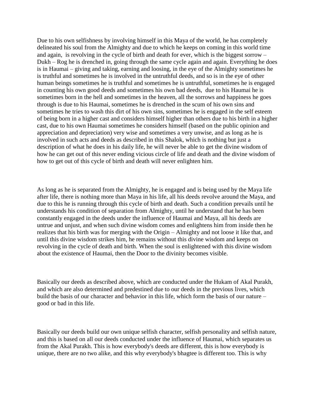Due to his own selfishness by involving himself in this Maya of the world, he has completely delineated his soul from the Almighty and due to which he keeps on coming in this world time and again, is revolving in the cycle of birth and death for ever, which is the biggest sorrow – Dukh – Rog he is drenched in, going through the same cycle again and again. Everything he does is in Haumai – giving and taking, earning and loosing, in the eye of the Almighty sometimes he is truthful and sometimes he is involved in the untruthful deeds, and so is in the eye of other human beings sometimes he is truthful and sometimes he is untruthful, sometimes he is engaged in counting his own good deeds and sometimes his own bad deeds, due to his Haumai he is sometimes born in the hell and sometimes in the heaven, all the sorrows and happiness he goes through is due to his Haumai, sometimes he is drenched in the scum of his own sins and sometimes he tries to wash this dirt of his own sins, sometimes he is engaged in the self esteem of being born in a higher cast and considers himself higher than others due to his birth in a higher cast, due to his own Haumai sometimes he considers himself (based on the public opinion and appreciation and depreciation) very wise and sometimes a very unwise, and as long as he is involved in such acts and deeds as described in this Shalok, which is nothing but just a description of what he does in his daily life, he will never be able to get the divine wisdom of how he can get out of this never ending vicious circle of life and death and the divine wisdom of how to get out of this cycle of birth and death will never enlighten him.

As long as he is separated from the Almighty, he is engaged and is being used by the Maya life after life, there is nothing more than Maya in his life, all his deeds revolve around the Maya, and due to this he is running through this cycle of birth and death. Such a condition prevails until he understands his condition of separation from Almighty, until he understand that he has been constantly engaged in the deeds under the influence of Haumai and Maya, all his deeds are untrue and unjust, and when such divine wisdom comes and enlightens him from inside then he realizes that his birth was for merging with the Origin – Almighty and not loose it like that, and until this divine wisdom strikes him, he remains without this divine wisdom and keeps on revolving in the cycle of death and birth. When the soul is enlightened with this divine wisdom about the existence of Haumai, then the Door to the divinity becomes visible.

Basically our deeds as described above, which are conducted under the Hukam of Akal Purakh, and which are also determined and predestined due to our deeds in the previous lives, which build the basis of our character and behavior in this life, which form the basis of our nature – good or bad in this life.

Basically our deeds build our own unique selfish character, selfish personality and selfish nature, and this is based on all our deeds conducted under the influence of Haumai, which separates us from the Akal Purakh. This is how everybody's deeds are different, this is how everybody is unique, there are no two alike, and this why everybody's bhagtee is different too. This is why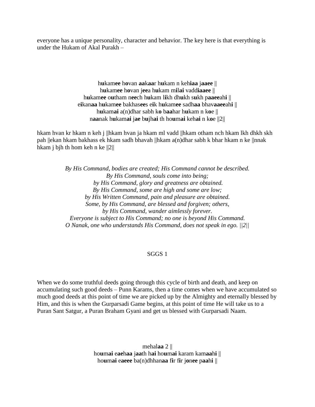everyone has a unique personality, character and behavior. The key here is that everything is under the Hukam of Akal Purakh –

> h**u**kam**ee** h**o**van **aa**k**aa**r h**u**kam n keh**iaa** j**aaee** || h**u**kam**ee** h**o**van j**ee**a h**u**kam m**i**l**ai** vadd**iaaee** || h**u**kam**ee** o**u**tham n**ee**ch h**u**kam l**i**kh dh**u**kh s**u**kh p**aaee**ah**i** || e**i**kan**aa** h**u**kam**ee** bakhas**ee**s e**i**k h**u**kam**ee** sadh**aa** bhav**aaee**ah**i** || h**u**kam**ai** a(n)dhar sabh k**o** b**aa**har h**u**kam n k**o**e || n**aa**nak h**u**kam**ai** j**ae** b**u**jh**ai** th ho**u**m**ai** keh**ai** n k**o**e ||2||

hkam hvan kr hkam n keh j ||hkam hvan ja hkam ml vadd ||hkam otham nch hkam lkh dhkh skh pah ||ekan hkam bakhass ek hkam sadh bhavah ||hkam a(n)dhar sabh k bhar hkam n ke ||nnak hkam j bjh th hom keh n ke ||2||

> *By His Command, bodies are created; His Command cannot be described. By His Command, souls come into being; by His Command, glory and greatness are obtained. By His Command, some are high and some are low; by His Written Command, pain and pleasure are obtained. Some, by His Command, are blessed and forgiven; others, by His Command, wander aimlessly forever. Everyone is subject to His Command; no one is beyond His Command. O Nanak, one who understands His Command, does not speak in ego. ||2||*

#### SGGS 1

When we do some truthful deeds going through this cycle of birth and death, and keep on accumulating such good deeds – Punn Karams, then a time comes when we have accumulated so much good deeds at this point of time we are picked up by the Almighty and eternally blessed by Him, and this is when the Gurparsadi Game begins, at this point of time He will take us to a Puran Sant Satgur, a Puran Braham Gyani and get us blessed with Gurparsadi Naam.

> mehal**aa** 2 || ho**u**m**ai** e**ae**h**aa** j**aa**th h**ai** ho**u**m**ai** karam kam**aa**h**i** || ho**u**m**ai** e**aeee** ba(n)dhhan**aa** f**i**r f**i**r j**o**n**ee** p**aa**h**i** ||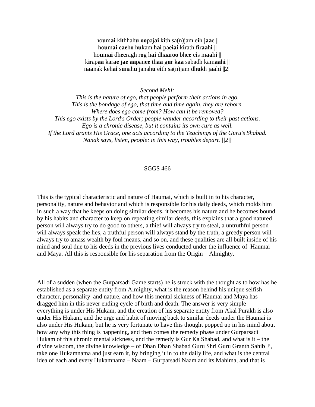ho**u**m**ai** k**i**thhah**u oo**paj**ai** k**i**th sa(n)jam e**i**h j**aa**e || ho**u**m**ai** e**ae**h**o** h**u**kam h**ai** pae**iai** k**i**rath f**i**r**aa**h**i** || ho**u**m**ai** dh**ee**ragh r**o**g h**ai** dh**aa**r**oo** bh**ee** e**i**s m**aa**h**i** || k**i**rap**aa** kar**ae** j**ae aa**pan**ee** th**aa** g**u**r k**aa** sabadh kam**aa**h**i** || n**aa**nak keh**ai** s**u**nah**u** janah**u** e**i**th sa(n)jam dh**u**kh j**aa**h**i** ||2||

*Second Mehl:*

*This is the nature of ego, that people perform their actions in ego. This is the bondage of ego, that time and time again, they are reborn. Where does ego come from? How can it be removed? This ego exists by the Lord's Order; people wander according to their past actions. Ego is a chronic disease, but it contains its own cure as well. If the Lord grants His Grace, one acts according to the Teachings of the Guru's Shabad. Nanak says, listen, people: in this way, troubles depart. ||2||*

#### SGGS 466

This is the typical characteristic and nature of Haumai, which is built in to his character, personality, nature and behavior and which is responsible for his daily deeds, which molds him in such a way that he keeps on doing similar deeds, it becomes his nature and he becomes bound by his habits and character to keep on repeating similar deeds, this explains that a good natured person will always try to do good to others, a thief will always try to steal, a untruthful person will always speak the lies, a truthful person will always stand by the truth, a greedy person will always try to amass wealth by foul means, and so on, and these qualities are all built inside of his mind and soul due to his deeds in the previous lives conducted under the influence of Haumai and Maya. All this is responsible for his separation from the Origin – Almighty.

All of a sudden (when the Gurparsadi Game starts) he is struck with the thought as to how has he established as a separate entity from Almighty, what is the reason behind his unique selfish character, personality and nature, and how this mental sickness of Haumai and Maya has dragged him in this never ending cycle of birth and death. The answer is very simple – everything is under His Hukam, and the creation of his separate entity from Akal Purakh is also under His Hukam, and the urge and habit of moving back to similar deeds under the Haumai is also under His Hukam, but he is very fortunate to have this thought popped up in his mind about how any why this thing is happening, and then comes the remedy phase under Gurparsadi Hukam of this chronic mental sickness, and the remedy is Gur Ka Shabad, and what is it – the divine wisdom, the divine knowledge – of Dhan Dhan Shabad Guru Shri Guru Granth Sahib Ji, take one Hukamnama and just earn it, by bringing it in to the daily life, and what is the central idea of each and every Hukamnama – Naam – Gurparsadi Naam and its Mahima, and that is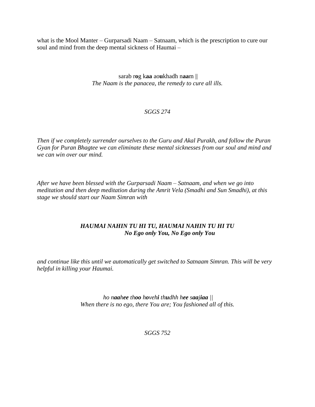what is the Mool Manter – Gurparsadi Naam – Satnaam, which is the prescription to cure our soul and mind from the deep mental sickness of Haumai –

> sarab r**o**g k**aa** ao**u**khadh n**aa**m || *The Naam is the panacea, the remedy to cure all ills.*

## *SGGS 274*

*Then if we completely surrender ourselves to the Guru and Akal Purakh, and follow the Puran Gyan for Puran Bhagtee we can eliminate these mental sicknesses from our soul and mind and we can win over our mind.*

*After we have been blessed with the Gurparsadi Naam – Satnaam, and when we go into meditation and then deep meditation during the Amrit Vela (Smadhi and Sun Smadhi), at this stage we should start our Naam Simran with* 

## *HAUMAI NAHIN TU HI TU, HAUMAI NAHIN TU HI TU No Ego only You, No Ego only You*

*and continue like this until we automatically get switched to Satnaam Simran. This will be very helpful in killing your Haumai.*

> *ho naahee thoo hovehi thudhh hee saajiaa || When there is no ego, there You are; You fashioned all of this.*

> > *SGGS 752*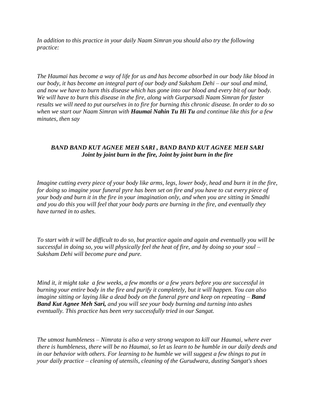*In addition to this practice in your daily Naam Simran you should also try the following practice:*

*The Haumai has become a way of life for us and has become absorbed in our body like blood in our body, it has become an integral part of our body and Suksham Dehi – our soul and mind, and now we have to burn this disease which has gone into our blood and every bit of our body. We will have to burn this disease in the fire, along with Gurparsadi Naam Simran for faster results we will need to put ourselves in to fire for burning this chronic disease. In order to do so when we start our Naam Simran with Haumai Nahin Tu Hi Tu and continue like this for a few minutes, then say* 

## *BAND BAND KUT AGNEE MEH SARI , BAND BAND KUT AGNEE MEH SARI Joint by joint burn in the fire, Joint by joint burn in the fire*

*Imagine cutting every piece of your body like arms, legs, lower body, head and burn it in the fire, for doing so imagine your funeral pyre has been set on fire and you have to cut every piece of your body and burn it in the fire in your imagination only, and when you are sitting in Smadhi and you do this you will feel that your body parts are burning in the fire, and eventually they have turned in to ashes.* 

*To start with it will be difficult to do so, but practice again and again and eventually you will be successful in doing so, you will physically feel the heat of fire, and by doing so your soul – Suksham Dehi will become pure and pure.* 

*Mind it, it might take a few weeks, a few months or a few years before you are successful in burning your entire body in the fire and purify it completely, but it will happen. You can also imagine sitting or laying like a dead body on the funeral pyre and keep on repeating – Band Band Kut Agnee Meh Sari, and you will see your body burning and turning into ashes eventually. This practice has been very successfully tried in our Sangat.* 

*The utmost humbleness – Nimrata is also a very strong weapon to kill our Haumai, where ever there is humbleness, there will be no Haumai, so let us learn to be humble in our daily deeds and in our behavior with others. For learning to be humble we will suggest a few things to put in your daily practice – cleaning of utensils, cleaning of the Gurudwara, dusting Sangat's shoes*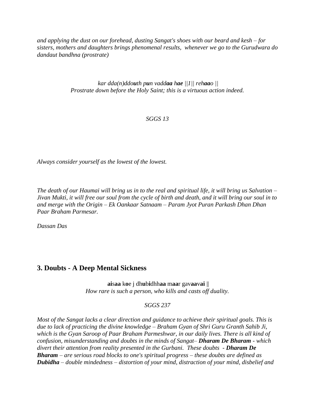*and applying the dust on our forehead, dusting Sangat's shoes with our beard and kesh – for sisters, mothers and daughters brings phenomenal results, whenever we go to the Gurudwara do dandaut bandhna (prostrate)*

> *kar dda(n)ddouth pun vaddaa hae ||1|| rehaao || Prostrate down before the Holy Saint; this is a virtuous action indeed.*

## *SGGS 13*

*Always consider yourself as the lowest of the lowest.*

*The death of our Haumai will bring us in to the real and spiritual life, it will bring us Salvation – Jivan Mukti, it will free our soul from the cycle of birth and death, and it will bring our soul in to and merge with the Origin – Ek Oankaar Satnaam – Param Jyot Puran Parkash Dhan Dhan Paar Braham Parmesar.*

*Dassan Das*

# <span id="page-24-0"></span>**3. Doubts - A Deep Mental Sickness**

**ai**s**aa** k**o**e j dh**u**b**i**dhh**aa** m**aa**r gav**aa**v**ai** || *How rare is such a person, who kills and casts off duality.*

#### *SGGS 237*

*Most of the Sangat lacks a clear direction and guidance to achieve their spiritual goals. This is due to lack of practicing the divine knowledge – Braham Gyan of Shri Guru Granth Sahib Ji, which is the Gyan Saroop of Paar Braham Parmeshwar, in our daily lives. There is all kind of confusion, misunderstanding and doubts in the minds of Sangat– Dharam De Bharam - which divert their attention from reality presented in the Gurbani. These doubts - Dharam De Bharam – are serious road blocks to one's spiritual progress – these doubts are defined as Dubidha – double mindedness – distortion of your mind, distraction of your mind, disbelief and*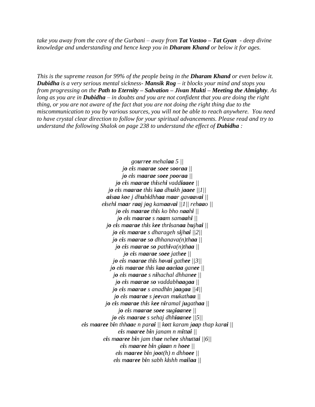*take you away from the core of the Gurbani – away from Tat Vastoo – Tat Gyan - deep divine knowledge and understanding and hence keep you in Dharam Khand or below it for ages.* 

*This is the supreme reason for 99% of the people being in the Dharam Khand or even below it. Dubidha is a very serious mental sickness- Mansik Rog – it blocks your mind and stops you from progressing on the Path to Eternity – Salvation – Jivan Mukti – Meeting the Almighty. As long as you are in Dubidha – in doubts and you are not confident that you are doing the right thing, or you are not aware of the fact that you are not doing the right thing due to the miscommunication to you by various sources, you will not be able to reach anywhere. You need to have crystal clear direction to follow for your spiritual advancements. Please read and try to understand the following Shalok on page 238 to understand the effect of Dubidha :* 

> *gourree mehalaa 5 || jo eis maarae soee sooraa || jo eis maarae soee pooraa || jo eis maarae thisehi vaddiaaee || jo eis maarae this kaa dhukh jaaee ||1|| aisaa koe j dhubidhhaa maar gavaavai || eisehi maar raaj jog kamaavai ||1|| rehaao || jo eis maarae this ko bho naahi || jo eis maarae s naam samaahi || jo eis maarae this kee thrisanaa bujhai || jo eis maarae s dharageh sijhai ||2|| jo eis maarae so dhhanava(n)thaa || jo eis maarae so pathiva(n)thaa || jo eis maarae soee jathee || jo eis maarae this hovai gathee ||3|| jo eis maarae this kaa aaeiaa ganee || jo eis maarae s nihachal dhhanee || jo eis maarae so vaddabhaagaa || jo eis maarae s anadhin jaagaa ||4|| jo eis maarae s jeevan mukathaa || jo eis maarae this kee niramal jugathaa || jo eis maarae soee sugiaanee || jo eis maarae s sehaj dhhiaanee ||5|| eis maaree bin thhaae n parai || kott karam jaap thap karai || eis maaree bin janam n mittai || eis maaree bin jam thae nehee shhuttai ||6|| eis maaree bin giaan n hoee || eis maaree bin joot(h) n dhhoee || eis maaree bin sabh kishh mailaa ||*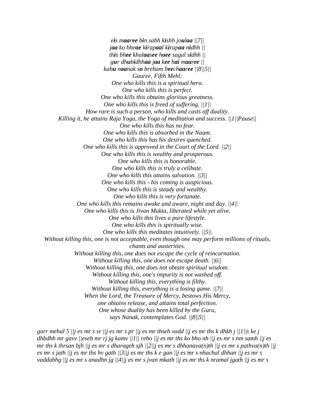*eis maaree bin sabh kishh joulaa ||7|| jaa ko bheae kirapaal kirapaa nidhh || this bhee khalaasee hoee sagal sidhh || gur dhubidhhaa jaa kee hai maaree || kahu naanak so breham beechaaree ||8||5|| Gauree, Fifth Mehl: One who kills this is a spiritual hero. One who kills this is perfect. One who kills this obtains glorious greatness. One who kills this is freed of suffering. ||1|| How rare is such a person, who kills and casts off duality. Killing it, he attains Raja Yoga, the Yoga of meditation and success. ||1||Pause|| One who kills this has no fear. One who kills this is absorbed in the Naam. One who kills this has his desires quenched. One who kills this is approved in the Court of the Lord. ||2|| One who kills this is wealthy and prosperous. One who kills this is honorable. One who kills this is truly a celibate. One who kills this attains salvation. ||3|| One who kills this - his coming is auspicious. One who kills this is steady and wealthy. One who kills this is very fortunate. One who kills this remains awake and aware, night and day. ||4|| One who kills this is Jivan Mukta, liberated while yet alive. One who kills this lives a pure lifestyle. One who kills this is spiritually wise. One who kills this meditates intuitively. ||5|| Without killing this, one is not acceptable, even though one may perform millions of rituals, chants and austerities. Without killing this, one does not escape the cycle of reincarnation. Without killing this, one does not escape death. ||6|| Without killing this, one does not obtain spiritual wisdom. Without killing this, one's impurity is not washed off. Without killing this, everything is filthy. Without killing this, everything is a losing game. ||7|| When the Lord, the Treasure of Mercy, bestows His Mercy, one obtains release, and attains total perfection. One whose duality has been killed by the Guru,*

*says Nanak, contemplates God. ||8||5||*

*gorr mehal 5 ||j es mr s sr ||j es mr s pr ||j es mr thseh vadd ||j es mr ths k dhkh j ||1||s ke j dhbdhh mr gavv ||eseh mr rj jg kamv ||1|| reho ||j es mr ths ko bho nh ||j es mr s nm samh ||j es mr ths k thrsan bjh ||j es mr s dharageh sjh ||2||j es mr s dhhanava(n)th ||j es mr s pathva(n)th ||j es mr s jath ||j es mr ths hv gath ||3||j es mr ths k e gan ||j es mr s nhachal dhhan ||j es mr s vaddabhg ||j es mr s anadhn jg ||4||j es mr s jvan mkath ||j es mr ths k nramal jgath ||j es mr s*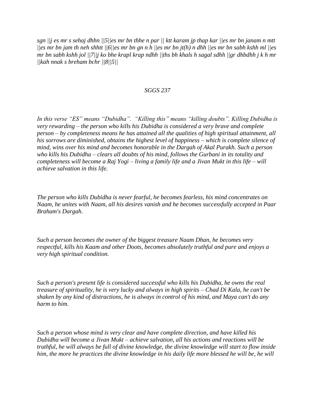*sgn ||j es mr s sehaj dhhn ||5||es mr bn thhe n par || ktt karam jp thap kar ||es mr bn janam n mtt ||es mr bn jam th neh shhtt ||6||es mr bn gn n h ||es mr bn jt(h) n dhh ||es mr bn sabh kshh ml ||es mr bn sabh kshh jol ||7||j ko bhe krapl krap ndhh ||ths bh khals h sagal sdhh ||gr dhbdhh j k h mr ||kah nnak s breham bchr ||8||5||*

#### *SGGS 237*

*In this verse "ES" means "Dubidha". "Killing this" means "killing doubts". Killing Dubidha is very rewarding – the person who kills his Dubidha is considered a very brave and complete person – by completeness means he has attained all the qualities of high spiritual attainment, all his sorrows are diminished, obtains the highest level of happiness – which is complete silence of mind, wins over his mind and becomes honorable in the Dargah of Akal Purakh. Such a person who kills his Dubidha – clears all doubts of his mind, follows the Gurbani in its totality and completeness will become a Raj Yogi – living a family life and a Jivan Mukt in this life – will achieve salvation in this life.*

*The person who kills Dubidha is never fearful, he becomes fearless, his mind concentrates on Naam, he unites with Naam, all his desires vanish and he becomes successfully accepted in Paar Braham's Dargah.* 

*Such a person becomes the owner of the biggest treasure Naam Dhan, he becomes very respectful, kills his Kaam and other Doots, becomes absolutely truthful and pure and enjoys a very high spiritual condition.* 

*Such a person's present life is considered successful who kills his Dubidha, he owns the real treasure of spirituality, he is very lucky and always in high spirits – Chad Di Kala, he can't be shaken by any kind of distractions, he is always in control of his mind, and Maya can't do any harm to him.*

*Such a person whose mind is very clear and have complete direction, and have killed his Dubidha will become a Jivan Mukt – achieve salvation, all his actions and reactions will be truthful, he will always be full of divine knowledge, the divine knowledge will start to flow inside him, the more he practices the divine knowledge in his daily life more blessed he will be, he will*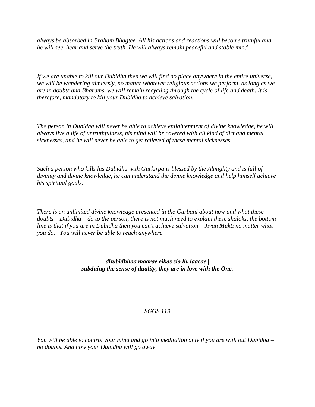*always be absorbed in Braham Bhagtee. All his actions and reactions will become truthful and he will see, hear and serve the truth. He will always remain peaceful and stable mind.* 

*If we are unable to kill our Dubidha then we will find no place anywhere in the entire universe, we will be wandering aimlessly, no matter whatever religious actions we perform, as long as we are in doubts and Bharams, we will remain recycling through the cycle of life and death. It is therefore, mandatory to kill your Dubidha to achieve salvation.*

*The person in Dubidha will never be able to achieve enlightenment of divine knowledge, he will always live a life of untruthfulness, his mind will be covered with all kind of dirt and mental sicknesses, and he will never be able to get relieved of these mental sicknesses.* 

*Such a person who kills his Dubidha with Gurkirpa is blessed by the Almighty and is full of divinity and divine knowledge, he can understand the divine knowledge and help himself achieve his spiritual goals.*

*There is an unlimited divine knowledge presented in the Gurbani about how and what these doubts – Dubidha – do to the person, there is not much need to explain these shaloks, the bottom line is that if you are in Dubidha then you can't achieve salvation – Jivan Mukti no matter what you do. You will never be able to reach anywhere.* 

## *dhubidhhaa maarae eikas sio liv laaeae || subduing the sense of duality, they are in love with the One.*

# *SGGS 119*

*You will be able to control your mind and go into meditation only if you are with out Dubidha – no doubts. And how your Dubidha will go away*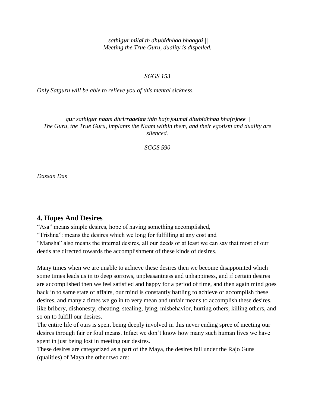*sathigur milai th dhubidhhaa bhaagai || Meeting the True Guru, duality is dispelled.*

#### *SGGS 153*

*Only Satguru will be able to relieve you of this mental sickness.*

## gur sathigur naam dhrirraaeiaa thin ha $(n)$ oumai dhubidhhaa bha $(n)$ nee || *The Guru, the True Guru, implants the Naam within them, and their egotism and duality are silenced.*

*SGGS 590*

*Dassan Das*

# <span id="page-29-0"></span>**4. Hopes And Desires**

"Asa" means simple desires, hope of having something accomplished, "Trishna": means the desires which we long for fulfilling at any cost and "Mansha" also means the internal desires, all our deeds or at least we can say that most of our deeds are directed towards the accomplishment of these kinds of desires.

Many times when we are unable to achieve these desires then we become disappointed which some times leads us in to deep sorrows, unpleasantness and unhappiness, and if certain desires are accomplished then we feel satisfied and happy for a period of time, and then again mind goes back in to same state of affairs, our mind is constantly battling to achieve or accomplish these desires, and many a times we go in to very mean and unfair means to accomplish these desires, like bribery, dishonesty, cheating, stealing, lying, misbehavior, hurting others, killing others, and so on to fulfill our desires.

The entire life of ours is spent being deeply involved in this never ending spree of meeting our desires through fair or foul means. Infact we don"t know how many such human lives we have spent in just being lost in meeting our desires.

These desires are categorized as a part of the Maya, the desires fall under the Rajo Guns (qualities) of Maya the other two are: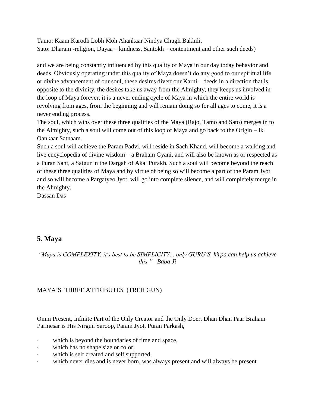Tamo: Kaam Karodh Lobh Moh Ahankaar Nindya Chugli Bakhili, Sato: Dharam -religion, Dayaa – kindness, Santokh – contentment and other such deeds)

and we are being constantly influenced by this quality of Maya in our day today behavior and deeds. Obviously operating under this quality of Maya doesn't do any good to our spiritual life or divine advancement of our soul, these desires divert our Karni – deeds in a direction that is opposite to the divinity, the desires take us away from the Almighty, they keeps us involved in the loop of Maya forever, it is a never ending cycle of Maya in which the entire world is revolving from ages, from the beginning and will remain doing so for all ages to come, it is a never ending process.

The soul, which wins over these three qualities of the Maya (Rajo, Tamo and Sato) merges in to the Almighty, such a soul will come out of this loop of Maya and go back to the Origin – Ik Oankaar Satnaam.

Such a soul will achieve the Param Padvi, will reside in Sach Khand, will become a walking and live encyclopedia of divine wisdom – a Braham Gyani, and will also be known as or respected as a Puran Sant, a Satgur in the Dargah of Akal Purakh. Such a soul will become beyond the reach of these three qualities of Maya and by virtue of being so will become a part of the Param Jyot and so will become a Pargatyeo Jyot, will go into complete silence, and will completely merge in the Almighty.

Dassan Das

# <span id="page-30-0"></span>**5. Maya**

# *"Maya is COMPLEXITY, it's best to be SIMPLICITY... only GURU'S kirpa can help us achieve this." Baba Ji*

# MAYA"S THREE ATTRIBUTES (TREH GUN)

Omni Present, Infinite Part of the Only Creator and the Only Doer, Dhan Dhan Paar Braham Parmesar is His Nirgun Saroop, Param Jyot, Puran Parkash,

- · which is beyond the boundaries of time and space,
- which has no shape size or color,
- which is self created and self supported,
- · which never dies and is never born, was always present and will always be present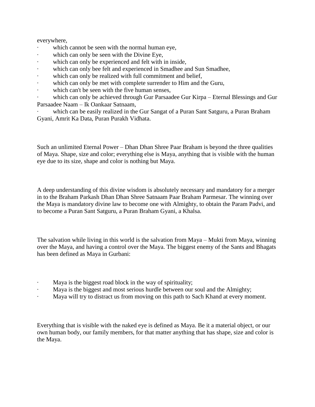everywhere,

- which cannot be seen with the normal human eye,
- which can only be seen with the Divine Eye,
- which can only be experienced and felt with in inside,
- · which can only bee felt and experienced in Smadhee and Sun Smadhee,
- which can only be realized with full commitment and belief,
- which can only be met with complete surrender to Him and the Guru,
- which can't be seen with the five human senses,

which can only be achieved through Gur Parsaadee Gur Kirpa – Eternal Blessings and Gur Parsaadee Naam – Ik Oankaar Satnaam,

which can be easily realized in the Gur Sangat of a Puran Sant Satguru, a Puran Braham Gyani, Amrit Ka Data, Puran Purakh Vidhata.

Such an unlimited Eternal Power – Dhan Dhan Shree Paar Braham is beyond the three qualities of Maya. Shape, size and color; everything else is Maya, anything that is visible with the human eye due to its size, shape and color is nothing but Maya.

A deep understanding of this divine wisdom is absolutely necessary and mandatory for a merger in to the Braham Parkash Dhan Dhan Shree Satnaam Paar Braham Parmesar. The winning over the Maya is mandatory divine law to become one with Almighty, to obtain the Param Padvi, and to become a Puran Sant Satguru, a Puran Braham Gyani, a Khalsa.

The salvation while living in this world is the salvation from Maya – Mukti from Maya, winning over the Maya, and having a control over the Maya. The biggest enemy of the Sants and Bhagats has been defined as Maya in Gurbani:

- Maya is the biggest road block in the way of spirituality;
- Maya is the biggest and most serious hurdle between our soul and the Almighty;
- · Maya will try to distract us from moving on this path to Sach Khand at every moment.

Everything that is visible with the naked eye is defined as Maya. Be it a material object, or our own human body, our family members, for that matter anything that has shape, size and color is the Maya.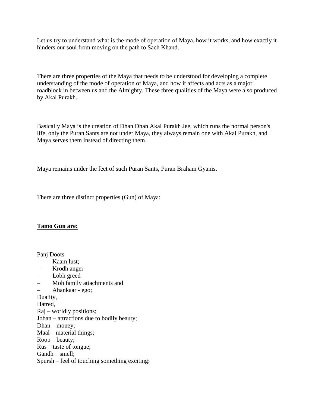Let us try to understand what is the mode of operation of Maya, how it works, and how exactly it hinders our soul from moving on the path to Sach Khand.

There are three properties of the Maya that needs to be understood for developing a complete understanding of the mode of operation of Maya, and how it affects and acts as a major roadblock in between us and the Almighty. These three qualities of the Maya were also produced by Akal Purakh.

Basically Maya is the creation of Dhan Dhan Akal Purakh Jee, which runs the normal person's life, only the Puran Sants are not under Maya, they always remain one with Akal Purakh, and Maya serves them instead of directing them.

Maya remains under the feet of such Puran Sants, Puran Braham Gyanis.

There are three distinct properties (Gun) of Maya:

# **Tamo Gun are:**

Panj Doots

- Kaam lust;
- Krodh anger
- Lobh greed
- Moh family attachments and
- Ahankaar ego;

Duality,

Hatred,

- Raj worldly positions;
- Joban attractions due to bodily beauty;
- Dhan money;
- Maal material things;
- Roop beauty;
- Rus taste of tongue;
- Gandh smell;
- Spursh feel of touching something exciting: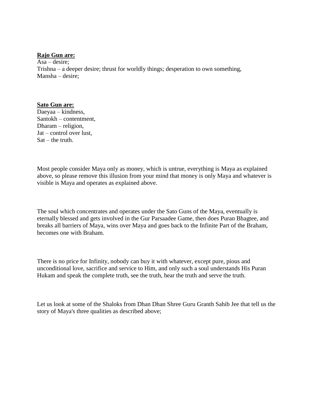#### **Rajo Gun are:**

Asa – desire; Trishna – a deeper desire; thrust for worldly things; desperation to own something, Mansha – desire;

#### **Sato Gun are:**

Daeyaa – kindness, Santokh – contentment, Dharam – religion, Jat – control over lust,  $Sat$  – the truth.

Most people consider Maya only as money, which is untrue, everything is Maya as explained above, so please remove this illusion from your mind that money is only Maya and whatever is visible is Maya and operates as explained above.

The soul which concentrates and operates under the Sato Guns of the Maya, eventually is eternally blessed and gets involved in the Gur Parsaadee Game, then does Puran Bhagtee, and breaks all barriers of Maya, wins over Maya and goes back to the Infinite Part of the Braham, becomes one with Braham.

There is no price for Infinity, nobody can buy it with whatever, except pure, pious and unconditional love, sacrifice and service to Him, and only such a soul understands His Puran Hukam and speak the complete truth, see the truth, hear the truth and serve the truth.

Let us look at some of the Shaloks from Dhan Dhan Shree Guru Granth Sahib Jee that tell us the story of Maya's three qualities as described above;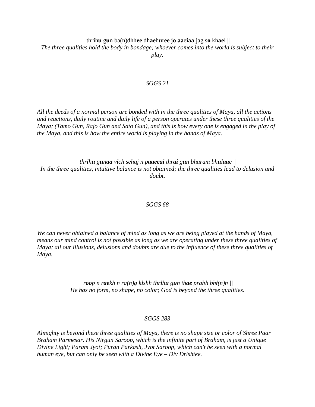#### thr**i**h**u** g**u**n ba(n)dhh**ee** dh**ae**h**u**r**ee** j**o aa**e**iaa** jag s**o** kh**ae**l ||

*The three qualities hold the body in bondage; whoever comes into the world is subject to their play.*

#### *SGGS 21*

*All the deeds of a normal person are bonded with in the three qualities of Maya, all the actions and reactions, daily routine and daily life of a person operates under these three qualities of the Maya; (Tamo Gun, Rajo Gun and Sato Gun), and this is how every one is engaged in the play of the Maya, and this is how the entire world is playing in the hands of Maya.* 

*thrihu gunaa vich sehaj n paaeeai thrai gun bharam bhulaae || In the three qualities, intuitive balance is not obtained; the three qualities lead to delusion and doubt.*

#### *SGGS 68*

*We can never obtained a balance of mind as long as we are being played at the hands of Maya, means our mind control is not possible as long as we are operating under these three qualities of Maya; all our illusions, delusions and doubts are due to the influence of these three qualities of Maya.* 

> *roop n raekh n ra(n)g kishh thrihu gun thae prabh bhi(n)n || He has no form, no shape, no color; God is beyond the three qualities.*

#### *SGGS 283*

*Almighty is beyond these three qualities of Maya, there is no shape size or color of Shree Paar Braham Parmesar. His Nirgun Saroop, which is the infinite part of Braham, is just a Unique Divine Light; Param Jyot; Puran Parkash, Jyot Saroop, which can't be seen with a normal human eye, but can only be seen with a Divine Eye – Div Drishtee.*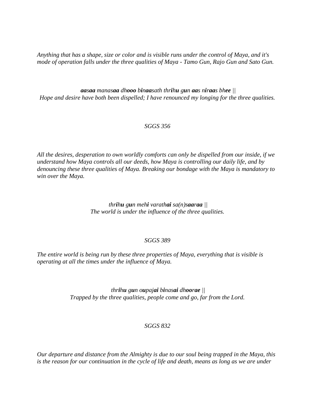*Anything that has a shape, size or color and is visible runs under the control of Maya, and it's mode of operation falls under the three qualities of Maya - Tamo Gun, Rajo Gun and Sato Gun.* 

aasaa manasaa dhooo binaasath thrihu gun aas niraas bhee || *Hope and desire have both been dispelled; I have renounced my longing for the three qualities.*

#### *SGGS 356*

*All the desires, desperation to own worldly comforts can only be dispelled from our inside, if we understand how Maya controls all our deeds, how Maya is controlling our daily life, and by denouncing these three qualities of Maya. Breaking our bondage with the Maya is mandatory to win over the Maya.* 

> *thrihu gun mehi varathai sa(n)saaraa || The world is under the influence of the three qualities.*

#### *SGGS 389*

*The entire world is being run by these three properties of Maya, everything that is visible is operating at all the times under the influence of Maya.* 

> *thrihu gun oupajai binasai dhoorae || Trapped by the three qualities, people come and go, far from the Lord.*

#### *SGGS 832*

*Our departure and distance from the Almighty is due to our soul being trapped in the Maya, this is the reason for our continuation in the cycle of life and death, means as long as we are under*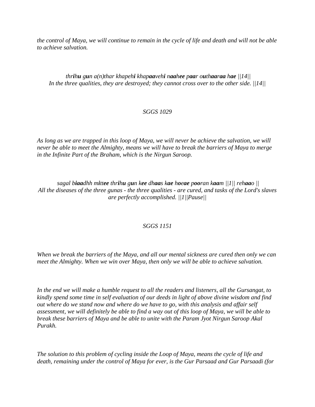*the control of Maya, we will continue to remain in the cycle of life and death and will not be able to achieve salvation.* 

thrihu gun  $a(n)$ thar khapehi khapaavehi naahee paar outhaaraa hae  $||14||$ *In the three qualities, they are destroyed; they cannot cross over to the other side. ||14||*

### *SGGS 1029*

*As long as we are trapped in this loop of Maya, we will never be achieve the salvation, we will never be able to meet the Almighty, means we will have to break the barriers of Maya to merge in the Infinite Part of the Braham, which is the Nirgun Saroop.* 

sagal biaadhh mittee thrihu gun kee dhaas kae hoeae pooran kaam  $||1||$  rehaao  $||$ *All the diseases of the three gunas - the three qualities - are cured, and tasks of the Lord's slaves are perfectly accomplished. ||1||Pause||*

### *SGGS 1151*

*When we break the barriers of the Maya, and all our mental sickness are cured then only we can meet the Almighty. When we win over Maya, then only we will be able to achieve salvation.* 

*In the end we will make a humble request to all the readers and listeners, all the Gursangat, to kindly spend some time in self evaluation of our deeds in light of above divine wisdom and find out where do we stand now and where do we have to go, with this analysis and affair self assessment, we will definitely be able to find a way out of this loop of Maya, we will be able to break these barriers of Maya and be able to unite with the Param Jyot Nirgun Saroop Akal Purakh.* 

*The solution to this problem of cycling inside the Loop of Maya, means the cycle of life and death, remaining under the control of Maya for ever, is the Gur Parsaad and Gur Parsaadi (for*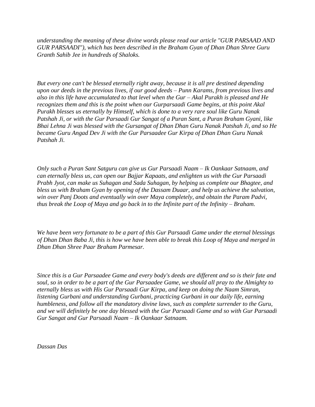*understanding the meaning of these divine words please read our article "GUR PARSAAD AND GUR PARSAADI"), which has been described in the Braham Gyan of Dhan Dhan Shree Guru Granth Sahib Jee in hundreds of Shaloks.* 

*But every one can't be blessed eternally right away, because it is all pre destined depending upon our deeds in the previous lives, if our good deeds – Punn Karams, from previous lives and also in this life have accumulated to that level when the Gur – Akal Purakh is pleased and He recognizes them and this is the point when our Gurparsaadi Game begins, at this point Akal Purakh blesses us eternally by Himself, which is done to a very rare soul like Guru Nanak Patshah Ji, or with the Gur Parsaadi Gur Sangat of a Puran Sant, a Puran Braham Gyani, like Bhai Lehna Ji was blessed with the Gursangat of Dhan Dhan Guru Nanak Patshah Ji, and so He became Guru Angad Dev Ji with the Gur Parsaadee Gur Kirpa of Dhan Dhan Guru Nanak Patshah Ji.* 

*Only such a Puran Sant Satguru can give us Gur Parsaadi Naam – Ik Oankaar Satnaam, and can eternally bless us, can open our Bajjar Kapaats, and enlighten us with the Gur Parsaadi Prabh Jyot, can make us Suhagan and Sada Suhagan, by helping us complete our Bhagtee, and bless us with Braham Gyan by opening of the Dassam Duaar, and help us achieve the salvation, win over Panj Doots and eventually win over Maya completely, and obtain the Param Padvi, thus break the Loop of Maya and go back in to the Infinite part of the Infinity – Braham.* 

*We have been very fortunate to be a part of this Gur Parsaadi Game under the eternal blessings of Dhan Dhan Baba Ji, this is how we have been able to break this Loop of Maya and merged in Dhan Dhan Shree Paar Braham Parmesar.* 

*Since this is a Gur Parsaadee Game and every body's deeds are different and so is their fate and soul, so in order to be a part of the Gur Parsaadee Game, we should all pray to the Almighty to eternally bless us with His Gur Parsaadi Gur Kirpa, and keep on doing the Naam Simran, listening Gurbani and understanding Gurbani, practicing Gurbani in our daily life, earning humbleness, and follow all the mandatory divine laws, such as complete surrender to the Guru, and we will definitely be one day blessed with the Gur Parsaadi Game and so with Gur Parsaadi Gur Sangat and Gur Parsaadi Naam – Ik Oankaar Satnaam.* 

*Dassan Das*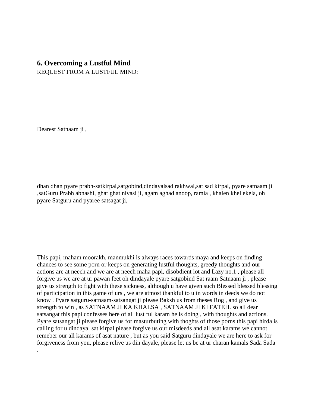### **6. Overcoming a Lustful Mind**

REQUEST FROM A LUSTFUL MIND:

Dearest Satnaam ji ,

.

dhan dhan pyare prabh-satkirpal,satgobind,dindayalsad rakhwal,sat sad kirpal, pyare satnaam ji ,satGuru Prabh abnashi, ghat ghat nivasi ji, agam aghad anoop, ramia , khalen khel ekela, oh pyare Satguru and pyaree satsagat ji,

This papi, maham moorakh, manmukhi is always races towards maya and keeps on finding chances to see some porn or keeps on generating lustful thoughts, greedy thoughts and our actions are at neech and we are at neech maha papi, disobdient lot and Lazy no.1 , please all forgive us we are at ur pawan feet oh dindayale pyare satgobind Sat raam Satnaam ji , please give us strength to fight with these sickness, although u have given such Blessed blessed blessing of participation in this game of urs , we are atmost thankful to u in words in deeds we do not know . Pyare satguru-satnaam-satsangat ji please Baksh us from theses Rog , and give us strength to win , as SATNAAM JI KA KHALSA , SATNAAM JI KI FATEH. so all dear satsangat this papi confesses here of all lust ful karam he is doing , with thoughts and actions. Pyare satsangat ji please forgive us for masturbuting with thoghts of those porns this papi hirda is calling for u dindayal sat kirpal please forgive us our misdeeds and all asat karams we cannot remeber our all karams of asat nature , but as you said Satguru dindayale we are here to ask for forgiveness from you, please relive us din dayale, please let us be at ur charan kamals Sada Sada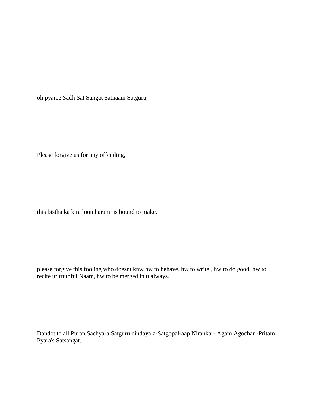oh pyaree Sadh Sat Sangat Satnaam Satguru,

Please forgive us for any offending,

this bistha ka kira loon harami is bound to make.

please forgive this fooling who doesnt knw hw to behave, hw to write , hw to do good, hw to recite ur truthful Naam, hw to be merged in u always.

Dandot to all Puran Sachyara Satguru dindayala-Satgopal-aap Nirankar- Agam Agochar -Pritam Pyara's Satsangat.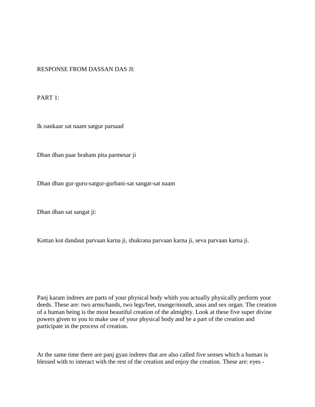#### RESPONSE FROM DASSAN DAS JI:

PART 1:

Ik oankaar sat naam satgur parsaad

Dhan dhan paar braham pita parmesar ji

Dhan dhan gur-guru-satgur-gurbani-sat sangat-sat naam

Dhan dhan sat sangat ji:

Kottan kot dandaut parvaan karna ji, shukrana parvaan karna ji, seva parvaan karna ji.

Panj karam indrees are parts of your physical body whith you actually physically perform your deeds. These are: two arms/hands, two legs/feet, tounge/mouth, anus and sex organ. The creation of a human being is the most beautiful creation of the almighty. Look at these five super divine powers given to you to make use of your physical body and be a part of the creation and participate in the process of creation.

At the same time there are panj gyan indrees that are also called five senses which a human is blessed with to interact with the rest of the creation and enjoy the creation. These are: eyes -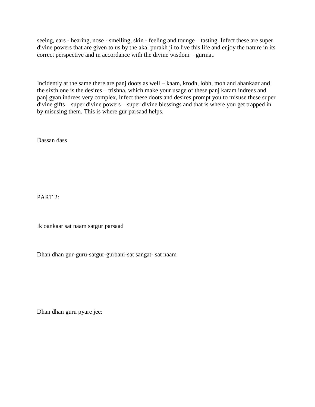seeing, ears - hearing, nose - smelling, skin - feeling and tounge – tasting. Infect these are super divine powers that are given to us by the akal purakh ji to live this life and enjoy the nature in its correct perspective and in accordance with the divine wisdom – gurmat.

Incidently at the same there are panj doots as well – kaam, krodh, lobh, moh and ahankaar and the sixth one is the desires – trishna, which make your usage of these panj karam indrees and panj gyan indrees very complex, infect these doots and desires prompt you to misuse these super divine gifts – super divine powers – super divine blessings and that is where you get trapped in by misusing them. This is where gur parsaad helps.

Dassan dass

PART<sub>2</sub>:

Ik oankaar sat naam satgur parsaad

Dhan dhan gur-guru-satgur-gurbani-sat sangat- sat naam

Dhan dhan guru pyare jee: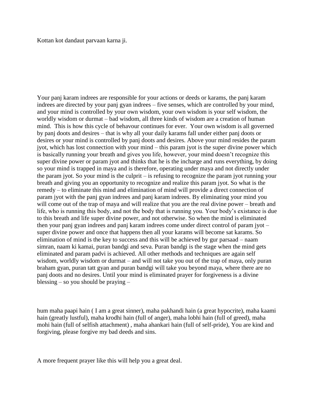Kottan kot dandaut parvaan karna ji.

Your panj karam indrees are responsible for your actions or deeds or karams, the panj karam indrees are directed by your panj gyan indrees – five senses, which are controlled by your mind, and your mind is controlled by your own wisdom, your own wisdom is your self wisdom, the worldly wisdom or durmat – bad wisdom, all three kinds of wisdom are a creation of human mind. This is how this cycle of behavour continues for ever. Your own wisdom is all governed by panj doots and desires – that is why all your daily karams fall under either panj doots or desires or your mind is controlled by panj doots and desires. Above your mind resides the param jyot, which has lost connection with your mind – this param jyot is the super divine power which is basically running your breath and gives you life, however, your mind doesn't recognize this super divine power or param jyot and thinks that he is the incharge and runs everything, by doing so your mind is trapped in maya and is therefore, operating under maya and not directly under the param jyot. So your mind is the culprit – is refusing to recognize the param jyot running your breath and giving you an opportunity to recognize and realize this param jyot. So what is the remedy – to eliminate this mind and elimination of mind will provide a direct connection of param jyot with the panj gyan indrees and panj karam indrees. By eliminating your mind you will come out of the trap of maya and will realize that you are the real divine power – breath and life, who is running this body, and not the body that is running you. Your body"s existance is due to this breath and life super divine power, and not otherwise. So when the mind is eliminated then your panj gyan indrees and panj karam indrees come under direct control of param jyot – super divine power and once that happens then all your karams will become sat karams. So elimination of mind is the key to success and this will be achieved by gur parsaad – naam simran, naam ki kamai, puran bandgi and seva. Puran bandgi is the stage when the mind gets eliminated and param padvi is achieved. All other methods and techniques are again self wisdom, worldly wisdom or durmat – and will not take you out of the trap of maya, only puran braham gyan, puran tatt gyan and puran bandgi will take you beyond maya, where there are no panj doots and no desires. Until your mind is eliminated prayer for forgiveness is a divine blessing – so you should be praying –

hum maha paapi hain ( I am a great sinner), maha pakhandi hain (a great hypocrite), maha kaami hain (greatly lustful), maha krodhi hain (full of anger), maha lobhi hain (full of greed), maha mohi hain (full of selfish attachment) , maha ahankari hain (full of self-pride), You are kind and forgiving, please forgive my bad deeds and sins.

A more frequent prayer like this will help you a great deal.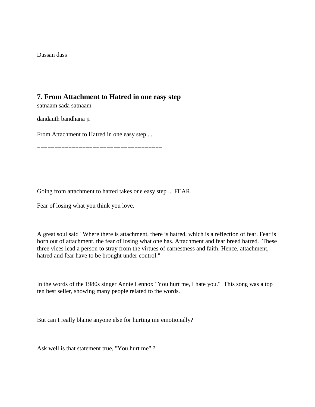Dassan dass

## **7. From Attachment to Hatred in one easy step**

satnaam sada satnaam

dandauth bandhana ji

From Attachment to Hatred in one easy step ...

====================================

Going from attachment to hatred takes one easy step ... FEAR.

Fear of losing what you think you love.

A great soul said "Where there is attachment, there is hatred, which is a reflection of fear. Fear is born out of attachment, the fear of losing what one has. Attachment and fear breed hatred. These three vices lead a person to stray from the virtues of earnestness and faith. Hence, attachment, hatred and fear have to be brought under control."

In the words of the 1980s singer Annie Lennox "You hurt me, I hate you." This song was a top ten best seller, showing many people related to the words.

But can I really blame anyone else for hurting me emotionally?

Ask well is that statement true, "You hurt me" ?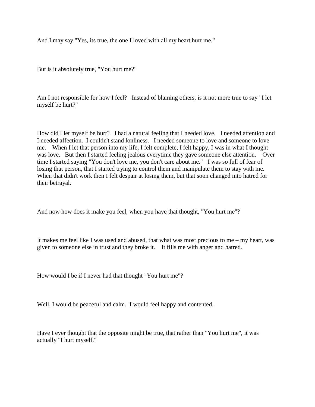And I may say "Yes, its true, the one I loved with all my heart hurt me."

But is it absolutely true, "You hurt me?"

Am I not responsible for how I feel? Instead of blaming others, is it not more true to say "I let myself be hurt?"

How did I let myself be hurt? I had a natural feeling that I needed love. I needed attention and I needed affection. I couldn't stand lonliness. I needed someone to love and someone to love me. When I let that person into my life, I felt complete, I felt happy, I was in what I thought was love. But then I started feeling jealous everytime they gave someone else attention. Over time I started saying "You don't love me, you don't care about me." I was so full of fear of losing that person, that I started trying to control them and manipulate them to stay with me. When that didn't work then I felt despair at losing them, but that soon changed into hatred for their betrayal.

And now how does it make you feel, when you have that thought, "You hurt me"?

It makes me feel like I was used and abused, that what was most precious to me – my heart, was given to someone else in trust and they broke it. It fills me with anger and hatred.

How would I be if I never had that thought "You hurt me"?

Well, I would be peaceful and calm. I would feel happy and contented.

Have I ever thought that the opposite might be true, that rather than "You hurt me", it was actually "I hurt myself."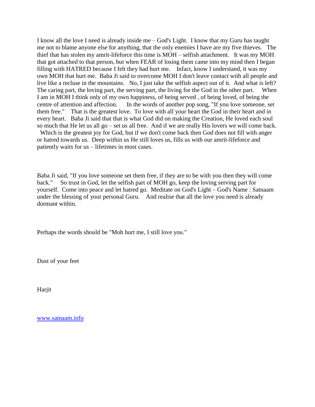I know all the love I need is already inside me – God's Light. I know that my Guru has taught me not to blame anyone else for anything, that the only enemies I have are my five thieves. The thief that has stolen my amrit-lifeforce this time is MOH – selfish attachment. It was my MOH that got attached to that person, but when FEAR of losing them came into my mind then I began filling with HATRED because I felt they had hurt me. Infact, know I understand, it was my own MOH that hurt me. Baba Ji said to overcome MOH I don't leave contact with all people and live like a recluse in the mountains. No, I just take the selfish aspect out of it. And what is left? The caring part, the loving part, the serving part, the living for the God in the other part. When I am in MOH I think only of my own happiness, of being served , of being loved, of being the centre of attention and affection. In the words of another pop song, "If you love someone, set them free." That is the greatest love. To love with all your heart the God in their heart and in every heart. Baba Ji said that that is what God did on making the Creation, He loved each soul so much that He let us all go – set us all free. And if we are really His lovers we will come back. Which is the greatest joy for God, but if we don't come back then God does not fill with anger

or hatred towards us. Deep within us He still loves us, fills us with our amrit-lifeforce and patiently waits for us – lifetimes in most cases.

Baba Ji said, "If you love someone set them free, if they are to be with you then they will come back." So trust in God, let the selfish part of MOH go, keep the loving serving part for yourself. Come into peace and let hatred go. Meditate on God's Light – God's Name : Satnaam under the blessing of your personal Guru. And realise that all the love you need is already dormant within.

Perhaps the words should be "Moh hurt me, I still love you."

Dust of your feet

Harjit

[www.satnaam.info](http://satnaam.info/)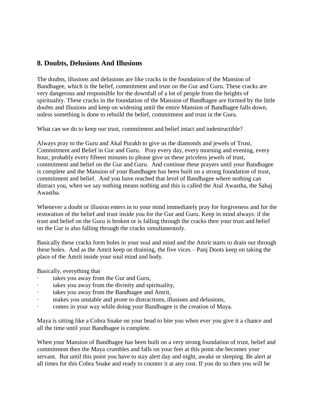## **8. Doubts, Delusions And Illusions**

The doubts, illusions and delusions are like cracks in the foundation of the Mansion of Bandhagee, which is the belief, commitment and trust on the Gur and Guru. These cracks are very dangerous and responsible for the downfall of a lot of people from the heights of spirituality. These cracks in the foundation of the Mansion of Bandhagee are formed by the little doubts and illusions and keep on widening until the entire Mansion of Bandhagee falls down, unless something is done to rebuild the belief, commitment and trust in the Guru.

What can we do to keep our trust, commitment and belief intact and indestructible?

Always pray to the Guru and Akal Purakh to give us the diamonds and jewels of Trust, Commitment and Belief in Gur and Guru. Pray every day, every morning and evening, every hour, probably every fifteen minutes to please give us these priceless jewels of trust, commitment and belief on the Gur and Guru. And continue these prayers until your Bandhagee is complete and the Mansion of your Bandhagee has been built on a strong foundation of trust, commitment and belief. And you have reached that level of Bandhagee where nothing can distract you, when we say nothing means nothing and this is called the Atal Awastha, the Sahaj Awastha.

Whenever a doubt or illusion enters in to your mind immediately pray for forgiveness and for the restoration of the belief and trust inside you for the Gur and Guru. Keep in mind always: if the trust and belief on the Guru is broken or is falling through the cracks then your trust and belief on the Gur is also falling through the cracks simultaneously.

Basically these cracks form holes in your soul and mind and the Amrit starts to drain out through these holes. And as the Amrit keep on draining, the five vices – Panj Doots keep on taking the place of the Amrit inside your soul mind and body.

Basically, everything that

- takes you away from the Gur and Guru,
- takes you away from the divinity and spirituality,
- takes you away from the Bandhagee and Amrit,
- makes you unstable and prone to distractions, illusions and delusions,
- comes in your way while doing your Bandhagee is the creation of Maya.

Maya is sitting like a Cobra Snake on your head to bite you when ever you give it a chance and all the time until your Bandhagee is complete.

When your Mansion of Bandhagee has been built on a very strong foundation of trust, belief and commitment then the Maya crumbles and falls on your feet at this point she becomes your servant. But until this point you have to stay alert day and night, awake or sleeping. Be alert at all times for this Cobra Snake and ready to counter it at any cost. If you do so then you will be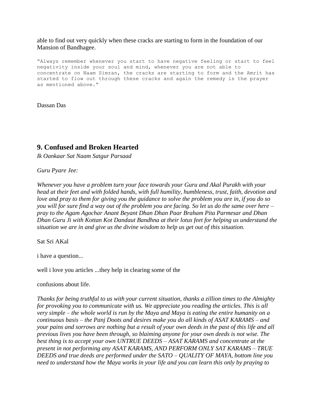able to find out very quickly when these cracks are starting to form in the foundation of our Mansion of Bandhagee.

"Always remember whenever you start to have negative feeling or start to feel negativity inside your soul and mind, whenever you are not able to concentrate on Naam Simran, the cracks are starting to form and the Amrit has started to flow out through these cracks and again the remedy is the prayer as mentioned above."

Dassan Das

## **9. Confused and Broken Hearted**

*Ik Oankaar Sat Naam Satgur Parsaad*

*Guru Pyare Jee:*

*Whenever you have a problem turn your face towards your Guru and Akal Purakh with your head at their feet and with folded hands, with full humility, humbleness, trust, faith, devotion and love and pray to them for giving you the guidance to solve the problem you are in, if you do so you will for sure find a way out of the problem you are facing. So let us do the same over here – pray to the Agam Agochar Anant Beyant Dhan Dhan Paar Braham Pita Parmesar and Dhan Dhan Guru Ji with Kottan Kot Dandaut Bandhna at their lotus feet for helping us understand the situation we are in and give us the divine wisdom to help us get out of this situation.* 

Sat Sri AKal

i have a question...

well i love you articles ...they help in clearing some of the

confusions about life.

*Thanks for being truthful to us with your current situation, thanks a zillion times to the Almighty for provoking you to communicate with us. We appreciate you reading the articles. This is all very simple – the whole world is run by the Maya and Maya is eating the entire humanity on a continuous basis – the Panj Doots and desires make you do all kinds of ASAT KARAMS – and your pains and sorrows are nothing but a result of your own deeds in the past of this life and all previous lives you have been through, so blaiming anyone for your own deeds is not wise. The best thing is to accept your own UNTRUE DEEDS – ASAT KARAMS and concentrate at the present in not performing any ASAT KARAMS, AND PERFORM ONLY SAT KARAMS – TRUE DEEDS and true deeds are performed under the SATO – QUALITY OF MAYA, bottom line you need to understand how the Maya works in your life and you can learn this only by praying to*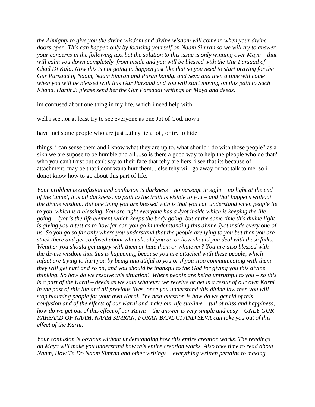*the Almighty to give you the divine wisdom and divine wisdom will come in when your divine doors open. This can happen only by focusing yourself on Naam Simran so we will try to answer your concerns in the following text but the solution to this issue is only winning over Maya – that will calm you down completely from inside and you will be blessed with the Gur Parsaad of Chad Di Kala. Now this is not going to happen just like that so you need to start praying for the Gur Parsaad of Naam, Naam Simran and Puran bandgi and Seva and then a time will come when you will be blessed with this Gur Parsaad and you will start moving on this path to Sach Khand. Harjit Ji please send her the Gur Parsaadi writings on Maya and deeds.*

im confused about one thing in my life, which i need help with.

well i see...or at least try to see everyone as one Jot of God. now i

have met some people who are just ...they lie a lot , or try to hide

things. i can sense them and i know what they are up to. what should i do with those people? as a sikh we are supose to be humble and all....so is there a good way to help the pleople who do that? who you can't trust but can't say to their face that tehy are liers. i see that its because of attachment. may be that i dont wana hurt them... else tehy will go away or not talk to me. so i donot know how to go about this part of life.

*Your problem is confusion and confusion is darkness – no passage in sight – no light at the end of the tunnel, it is all darkness, no path to the truth is visible to you – and that happens without the divine wisdom. But one thing you are blessed with is that you can understand when people lie to you, which is a blessing. You are right everyone has a Jyot inside which is keeping the life going – Jyot is the life element which keeps the body going, but at the same time this divine light is giving you a test as to how far can you go in understanding this divine Jyot inside every one of us. So you go so far only where you understand that the people are lying to you but then you are stuck there and get confused about what should you do or how should you deal with these folks. Weather you should get angry with them or hate them or whatever? You are also blessed with the divine wisdom that this is happening because you are attached with these people, which infact are trying to hurt you by being untruthful to you or if you stop communicating with them they will get hurt and so on, and you should be thankful to the God for giving you this divine thinking. So how do we resolve this situation? Where people are being untruthful to you – so this is a part of the Karni – deeds as we said whatever we receive or get is a result of our own Karni in the past of this life and all previous lives, once you understand this divine law then you will stop blaiming people for your own Karni. The next question is how do we get rid of this confusion and of the effects of our Karni and make our life sublime – full of bliss and happiness, how do we get out of this effect of our Karni – the answer is very simple and easy – ONLY GUR PARSAAD OF NAAM, NAAM SIMRAN, PURAN BANDGI AND SEVA can take you out of this effect of the Karni.*

*Your confusion is obvious without understanding how this entire creation works. The readings on Maya will make you understand how this entire creation works. Also take time to read about Naam, How To Do Naam Simran and other writings – everything written pertains to making*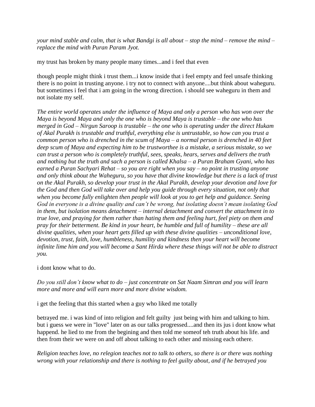*your mind stable and calm, that is what Bandgi is all about – stop the mind – remove the mind – replace the mind with Puran Param Jyot.*

my trust has broken by many people many times...and i feel that even

though people might think i trust them...i know inside that i feel empty and feel unsafe thinking there is no point in trusting anyone. i try not to connect with anyone....but think about waheguru. but sometimes i feel that i am going in the wrong direction. i should see waheguru in them and not isolate my self.

*The entire world operates under the influence of Maya and only a person who has won over the Maya is beyond Maya and only the one who is beyond Maya is trustable – the one who has merged in God – Nirgun Saroop is trustable – the one who is operating under the direct Hukam of Akal Purakh is trustable and truthful, everything else is untrustable, so how can you trust a common person who is drenched in the scum of Maya – a normal person is drenched in 40 feet deep scum of Maya and expecting him to be trustworthee is a mistake, a serious mistake, so we can trust a person who is completely truthful, sees, speaks, hears, serves and delivers the truth and nothing but the truth and sach a person is called Khalsa – a Puran Braham Gyani, who has earned a Puran Sachyari Rehat – so you are right when you say – no point in trusting anyone and only think about the Waheguru, so you have that divine knowledge but there is a lack of trust on the Akal Purakh, so develop your trust in the Akal Purakh, develop your devotion and love for the God and then God will take over and help you guide through every situation, not only that when you become fully enlighten then people will look at you to get help and guidance. Seeing God in everyone is a divine quality and can't be wrong, but isolating doesn't mean isolating God in them, but isolation means detachment – internal detachment and convert the attachment in to true love, and praying for them rather than hating them and feeling hurt, feel piety on them and pray for their betterment. Be kind in your heart, be humble and full of humility – these are all divine qualities, when your heart gets filled up with these divine qualities – unconditional love, devotion, trust, faith, love, humbleness, humility and kindness then your heart will become infinite lime him and you will become a Sant Hirda where these things will not be able to distract you.*

i dont know what to do.

*Do you still don't know what to do – just concentrate on Sat Naam Simran and you will learn more and more and will earn more and more divine wisdom.*

i get the feeling that this started when a guy who liked me totally

betrayed me. i was kind of into religion and felt guilty just being with him and talking to him. but i guess we were in "love" later on as our talks progressed....and then its jus i dont know what happend. he lied to me from the begining and then told me someof teh truth about his life. and then from their we were on and off about talking to each other and missing each othere.

*Religion teaches love, no relegion teaches not to talk to others, so there is or there was nothing wrong with your relationship and there is nothing to feel guilty about, and if he betrayed you*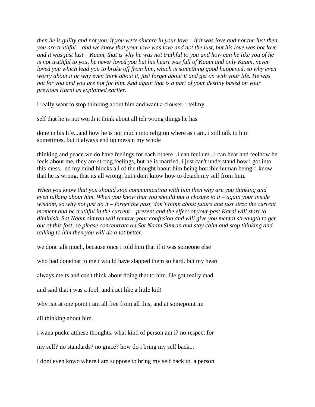*then he is guilty and not you, if you were sincere in your love – if it was love and not the lust then you are truthful – and we know that your love was love and not the lust, but his love was not love and it was just lust – Kaam, that is why he was not truthful to you and how can he like you of he is not truthful to you, he never loved you but his heart was full of Kaam and only Kaam, never loved you which lead you to brake off from him, which is something good happened, so why even worry about it or why even think about it, just forget about it and get on with your life. He was not for you and you are not for him. And again that is a part of your destiny based on your previous Karni as explained earlier.*

i really want to stop thinking about him and want a clouser. i tellmy

self that he is not worth it think about all teh wrong things he has

done in his life...and how he is not much into religion where as i am. i still talk to him sometimes, but it always end up messin my whole

thinking and peace.we do have feelings for each othere ..i can feel um...i can hear and feelhow he feels about me. they are strong feelings, but he is married. i just can't understand how i got into this mess. nd my mind blocks all of the thought baout him being horrible human being. i know that he is wrong, that its all wrong, but i dont know how to detach my self from him.

*When you know that you should stop communicating with him then why are you thinking and even talking about him. When you know that you should put a closure to it – again your inside wisdom, so why not just do it – forget the past, don't think about future and just sieze the current moment and be truthful in the current – present and the effect of your past Karni will start to diminish. Sat Naam simran will remove your confusion and will give you mental streangth to get out of this fast, so please concentrate on Sat Naam Simran and stay calm and stop thinking and talking to him then you will do a lot better.*

we dont talk much, because once i told him that if it was someone else

who had donethat to me i would have slapped them so hard. but my heart

always melts and can't think about doing that to him. He got really mad

and said that i was a fool, and i act like a little kid!

why isit at one point i am all free from all this, and at somepoint im

all thinking about him.

i wana pucke atthese thoughts. what kind of person am i? no respect for

my self? no standards? no grace? how do i bring my self back...

i dont even knwo where i am suppose to bring my self back to. a person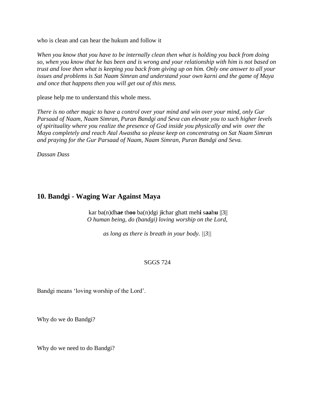who is clean and can hear the hukum and follow it

*When you know that you have to be internally clean then what is holding you back from doing so, when you know that he has been and is wrong and your relationship with him is not based on trust and love then what is keeping you back from giving up on him. Only one answer to all your issues and problems is Sat Naam Simran and understand your own karni and the game of Maya and once that happens then you will get out of this mess.*

please help me to understand this whole mess.

*There is no other magic to have a control over your mind and win over your mind, only Gur Parsaad of Naam, Naam Simran, Puran Bandgi and Seva can elevate you to such higher levels of spirituality where you realize the presence of God inside you physically and win over the Maya completely and reach Atal Awastha so please keep on concentratng on Sat Naam Simran and praying for the Gur Parsaad of Naam, Naam Simran, Puran Bandgi and Seva.*

*Dassan Dass*

### **10. Bandgi - Waging War Against Maya**

kar ba(n)dh**ae** th**oo** ba(n)dgi j**i**char ghatt meh**i** s**aa**h**u** ||3|| *O human being, do (bandgi) loving worship on the Lord,* 

*as long as there is breath in your body. ||3||*

#### SGGS 724

Bandgi means "loving worship of the Lord".

Why do we do Bandgi?

Why do we need to do Bandgi?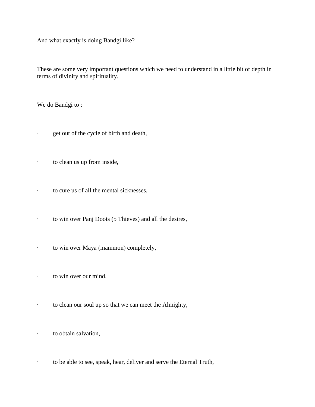And what exactly is doing Bandgi like?

These are some very important questions which we need to understand in a little bit of depth in terms of divinity and spirituality.

We do Bandgi to:

- · get out of the cycle of birth and death,
- · to clean us up from inside,
- · to cure us of all the mental sicknesses,
- · to win over Panj Doots (5 Thieves) and all the desires,
- · to win over Maya (mammon) completely,
- · to win over our mind,
- · to clean our soul up so that we can meet the Almighty,
- · to obtain salvation,
- · to be able to see, speak, hear, deliver and serve the Eternal Truth,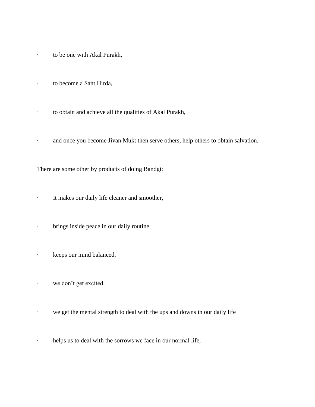- · to be one with Akal Purakh,
- · to become a Sant Hirda,
- · to obtain and achieve all the qualities of Akal Purakh,
- · and once you become Jivan Mukt then serve others, help others to obtain salvation.

There are some other by products of doing Bandgi:

- · It makes our daily life cleaner and smoother,
- · brings inside peace in our daily routine,
- · keeps our mind balanced,
- · we don"t get excited,
- · we get the mental strength to deal with the ups and downs in our daily life
- · helps us to deal with the sorrows we face in our normal life,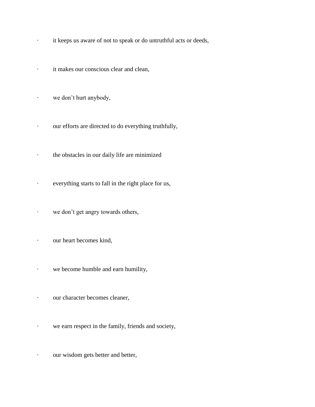- · it keeps us aware of not to speak or do untruthful acts or deeds,
- · it makes our conscious clear and clean,
- · we don"t hurt anybody,
- · our efforts are directed to do everything truthfully,
- · the obstacles in our daily life are minimized
- · everything starts to fall in the right place for us,
- · we don"t get angry towards others,
- · our heart becomes kind,
- · we become humble and earn humility,
- · our character becomes cleaner,
- · we earn respect in the family, friends and society,
- · our wisdom gets better and better,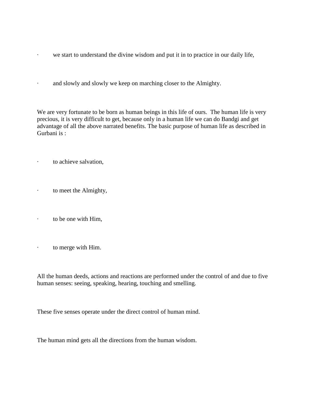- · we start to understand the divine wisdom and put it in to practice in our daily life,
- · and slowly and slowly we keep on marching closer to the Almighty.

We are very fortunate to be born as human beings in this life of ours. The human life is very precious, it is very difficult to get, because only in a human life we can do Bandgi and get advantage of all the above narrated benefits. The basic purpose of human life as described in Gurbani is :

- · to achieve salvation,
- · to meet the Almighty,
- · to be one with Him,
- · to merge with Him.

All the human deeds, actions and reactions are performed under the control of and due to five human senses: seeing, speaking, hearing, touching and smelling.

These five senses operate under the direct control of human mind.

The human mind gets all the directions from the human wisdom.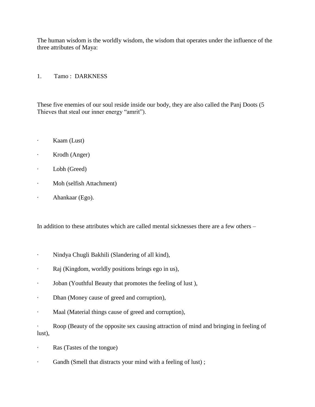The human wisdom is the worldly wisdom, the wisdom that operates under the influence of the three attributes of Maya:

1. Tamo : DARKNESS

These five enemies of our soul reside inside our body, they are also called the Panj Doots (5 Thieves that steal our inner energy "amrit").

- · Kaam (Lust)
- · Krodh (Anger)
- · Lobh (Greed)
- · Moh (selfish Attachment)
- · Ahankaar (Ego).

In addition to these attributes which are called mental sicknesses there are a few others –

- · Nindya Chugli Bakhili (Slandering of all kind),
- · Raj (Kingdom, worldly positions brings ego in us),
- · Joban (Youthful Beauty that promotes the feeling of lust ),
- · Dhan (Money cause of greed and corruption),
- · Maal (Material things cause of greed and corruption),
- · Roop (Beauty of the opposite sex causing attraction of mind and bringing in feeling of lust),
- · Ras (Tastes of the tongue)
- · Gandh (Smell that distracts your mind with a feeling of lust) ;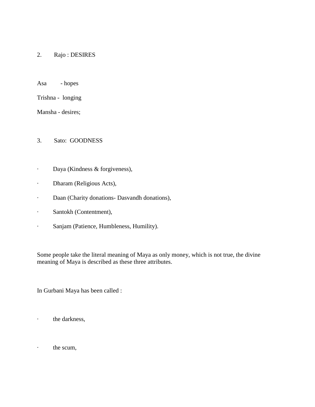### 2. Rajo : DESIRES

Asa - hopes

Trishna - longing

Mansha - desires;

#### 3. Sato: GOODNESS

- · Daya (Kindness & forgiveness),
- · Dharam (Religious Acts),
- · Daan (Charity donations- Dasvandh donations),
- · Santokh (Contentment),
- · Sanjam (Patience, Humbleness, Humility).

Some people take the literal meaning of Maya as only money, which is not true, the divine meaning of Maya is described as these three attributes.

In Gurbani Maya has been called :

· the darkness,

· the scum,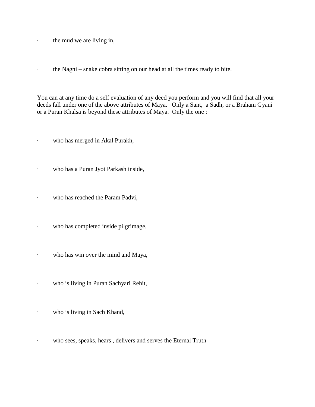· the mud we are living in,

· the Nagni – snake cobra sitting on our head at all the times ready to bite.

You can at any time do a self evaluation of any deed you perform and you will find that all your deeds fall under one of the above attributes of Maya. Only a Sant, a Sadh, or a Braham Gyani or a Puran Khalsa is beyond these attributes of Maya. Only the one :

· who has merged in Akal Purakh,

· who has a Puran Jyot Parkash inside,

- · who has reached the Param Padvi,
- · who has completed inside pilgrimage,
- · who has win over the mind and Maya,
- · who is living in Puran Sachyari Rehit,
- · who is living in Sach Khand,
- · who sees, speaks, hears , delivers and serves the Eternal Truth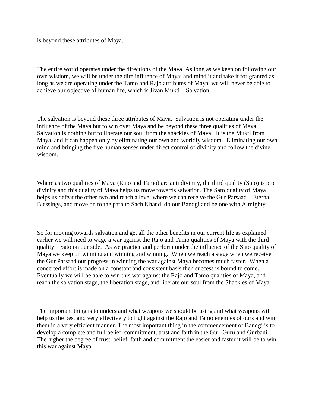is beyond these attributes of Maya.

The entire world operates under the directions of the Maya. As long as we keep on following our own wisdom, we will be under the dire influence of Maya; and mind it and take it for granted as long as we are operating under the Tamo and Rajo attributes of Maya, we will never be able to achieve our objective of human life, which is Jivan Mukti – Salvation.

The salvation is beyond these three attributes of Maya. Salvation is not operating under the influence of the Maya but to win over Maya and be beyond these three qualities of Maya. Salvation is nothing but to liberate our soul from the shackles of Maya. It is the Mukti from Maya, and it can happen only by eliminating our own and worldly wisdom. Eliminating our own mind and bringing the five human senses under direct control of divinity and follow the divine wisdom.

Where as two qualities of Maya (Rajo and Tamo) are anti divinity, the third quality (Sato) is pro divinity and this quality of Maya helps us move towards salvation. The Sato quality of Maya helps us defeat the other two and reach a level where we can receive the Gur Parsaad – Eternal Blessings, and move on to the path to Sach Khand, do our Bandgi and be one with Almighty.

So for moving towards salvation and get all the other benefits in our current life as explained earlier we will need to wage a war against the Rajo and Tamo qualities of Maya with the third quality – Sato on our side. As we practice and perform under the influence of the Sato quality of Maya we keep on winning and winning and winning. When we reach a stage when we receive the Gur Parsaad our progress in winning the war against Maya becomes much faster. When a concerted effort is made on a constant and consistent basis then success is bound to come. Eventually we will be able to win this war against the Rajo and Tamo qualities of Maya, and reach the salvation stage, the liberation stage, and liberate our soul from the Shackles of Maya.

The important thing is to understand what weapons we should be using and what weapons will help us the best and very effectively to fight against the Rajo and Tamo enemies of ours and win them in a very efficient manner. The most important thing in the commencement of Bandgi is to develop a complete and full belief, commitment, trust and faith in the Gur, Guru and Gurbani. The higher the degree of trust, belief, faith and commitment the easier and faster it will be to win this war against Maya.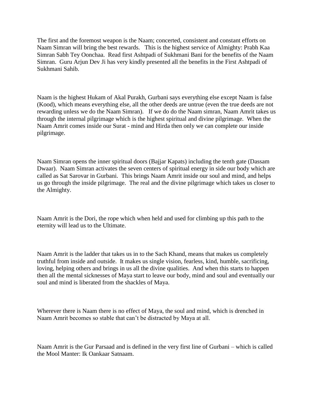The first and the foremost weapon is the Naam; concerted, consistent and constant efforts on Naam Simran will bring the best rewards. This is the highest service of Almighty: Prabh Kaa Simran Sabh Tey Oonchaa. Read first Ashtpadi of Sukhmani Bani for the benefits of the Naam Simran. Guru Arjun Dev Ji has very kindly presented all the benefits in the First Ashtpadi of Sukhmani Sahib.

Naam is the highest Hukam of Akal Purakh, Gurbani says everything else except Naam is false (Kood), which means everything else, all the other deeds are untrue (even the true deeds are not rewarding unless we do the Naam Simran). If we do do the Naam simran, Naam Amrit takes us through the internal pilgrimage which is the highest spiritual and divine pilgrimage. When the Naam Amrit comes inside our Surat - mind and Hirda then only we can complete our inside pilgrimage.

Naam Simran opens the inner spiritual doors (Bajjar Kapats) including the tenth gate (Dassam Dwaar). Naam Simran activates the seven centers of spiritual energy in side our body which are called as Sat Sarovar in Gurbani. This brings Naam Amrit inside our soul and mind, and helps us go through the inside pilgrimage. The real and the divine pilgrimage which takes us closer to the Almighty.

Naam Amrit is the Dori, the rope which when held and used for climbing up this path to the eternity will lead us to the Ultimate.

Naam Amrit is the ladder that takes us in to the Sach Khand, means that makes us completely truthful from inside and outside. It makes us single vision, fearless, kind, humble, sacrificing, loving, helping others and brings in us all the divine qualities. And when this starts to happen then all the mental sicknesses of Maya start to leave our body, mind and soul and eventually our soul and mind is liberated from the shackles of Maya.

Wherever there is Naam there is no effect of Maya, the soul and mind, which is drenched in Naam Amrit becomes so stable that can"t be distracted by Maya at all.

Naam Amrit is the Gur Parsaad and is defined in the very first line of Gurbani – which is called the Mool Manter: Ik Oankaar Satnaam.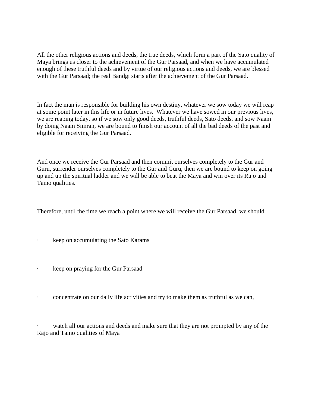All the other religious actions and deeds, the true deeds, which form a part of the Sato quality of Maya brings us closer to the achievement of the Gur Parsaad, and when we have accumulated enough of these truthful deeds and by virtue of our religious actions and deeds, we are blessed with the Gur Parsaad; the real Bandgi starts after the achievement of the Gur Parsaad.

In fact the man is responsible for building his own destiny, whatever we sow today we will reap at some point later in this life or in future lives. Whatever we have sowed in our previous lives, we are reaping today, so if we sow only good deeds, truthful deeds, Sato deeds, and sow Naam by doing Naam Simran, we are bound to finish our account of all the bad deeds of the past and eligible for receiving the Gur Parsaad.

And once we receive the Gur Parsaad and then commit ourselves completely to the Gur and Guru, surrender ourselves completely to the Gur and Guru, then we are bound to keep on going up and up the spiritual ladder and we will be able to beat the Maya and win over its Rajo and Tamo qualities.

Therefore, until the time we reach a point where we will receive the Gur Parsaad, we should

- keep on accumulating the Sato Karams
- keep on praying for the Gur Parsaad
- · concentrate on our daily life activities and try to make them as truthful as we can,

watch all our actions and deeds and make sure that they are not prompted by any of the Rajo and Tamo qualities of Maya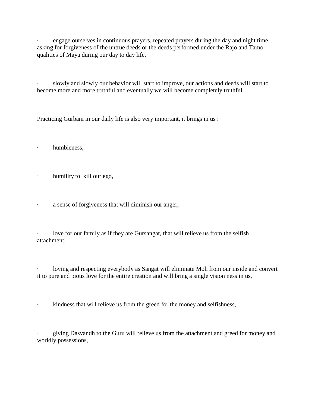engage ourselves in continuous prayers, repeated prayers during the day and night time asking for forgiveness of the untrue deeds or the deeds performed under the Rajo and Tamo qualities of Maya during our day to day life,

· slowly and slowly our behavior will start to improve, our actions and deeds will start to become more and more truthful and eventually we will become completely truthful.

Practicing Gurbani in our daily life is also very important, it brings in us :

- · humbleness,
- · humility to kill our ego,
- · a sense of forgiveness that will diminish our anger,

love for our family as if they are Gursangat, that will relieve us from the selfish attachment,

loving and respecting everybody as Sangat will eliminate Moh from our inside and convert it to pure and pious love for the entire creation and will bring a single vision ness in us,

· kindness that will relieve us from the greed for the money and selfishness,

giving Dasvandh to the Guru will relieve us from the attachment and greed for money and worldly possessions,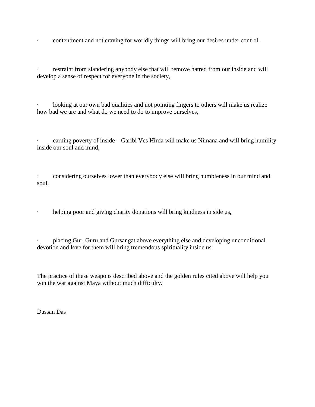· contentment and not craving for worldly things will bring our desires under control,

restraint from slandering anybody else that will remove hatred from our inside and will develop a sense of respect for everyone in the society,

looking at our own bad qualities and not pointing fingers to others will make us realize how bad we are and what do we need to do to improve ourselves,

earning poverty of inside – Garibi Ves Hirda will make us Nimana and will bring humility inside our soul and mind,

· considering ourselves lower than everybody else will bring humbleness in our mind and soul,

· helping poor and giving charity donations will bring kindness in side us,

· placing Gur, Guru and Gursangat above everything else and developing unconditional devotion and love for them will bring tremendous spirituality inside us.

The practice of these weapons described above and the golden rules cited above will help you win the war against Maya without much difficulty.

Dassan Das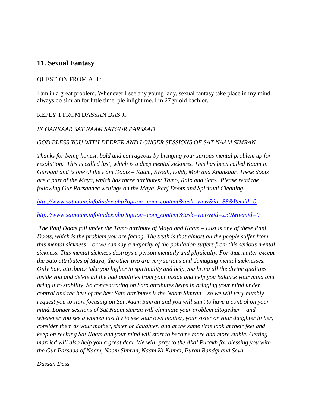## **11. Sexual Fantasy**

#### QUESTION FROM A Ji :

I am in a great problem. Whenever I see any young lady, sexual fantasy take place in my mind.I always do simran for little time. ple inlight me. I m 27 yr old bachlor.

### REPLY 1 FROM DASSAN DAS Ji:

#### *IK OANKAAR SAT NAAM SATGUR PARSAAD*

#### *GOD BLESS YOU WITH DEEPER AND LONGER SESSIONS OF SAT NAAM SIMRAN*

*Thanks for being honest, bold and courageous by bringing your serious mental problem up for resolution. This is called lust, which is a deep mental sickness. This has been called Kaam in Gurbani and is one of the Panj Doots – Kaam, Krodh, Lobh, Moh and Ahankaar. These doots are a part of the Maya, which has three attributes: Tamo, Rajo and Sato. Please read the following Gur Parsaadee writings on the Maya, Panj Doots and Spiritual Cleaning.*

*[http://www.satnaam.info/index.php?option=com\\_content&task=view&id=88&Itemid=0](http://satnaam.info/index.php?option=com_content&task=view&id=88&Itemid=0)*

*[http://www.satnaam.info/index.php?option=com\\_content&task=view&id=230&Itemid=0](http://satnaam.info/index.php?option=com_content&task=view&id=230&Itemid=0)*

*The Panj Doots fall under the Tamo attribute of Maya and Kaam – Lust is one of these Panj Doots, which is the problem you are facing. The truth is that almost all the people suffer from this mental sickness – or we can say a majority of the polulation suffers from this serious mental sickness. This mental sickness destroys a person mentally and physically. For that matter except the Sato attributes of Maya, the other two are very serious and damaging mental sicknesses. Only Sato attributes take you higher in spirituality and help you bring all the divine qualities inside you and delete all the bad qualities from your inside and help you balance your mind and bring it to stability. So concentrating on Sato attributes helps in bringing your mind under control and the best of the best Sato attributes is the Naam Simran – so we will very humbly request you to start focusing on Sat Naam Simran and you will start to have a control on your mind. Longer sessions of Sat Naam simran will eliminate your problem altogether – and whenever you see a women just try to see your own mother, your sister or your daughter in her, consider them as your mother, sister or daughter, and at the same time look at their feet and keep on reciting Sat Naam and your mind will start to become more and more stable. Getting married will also help you a great deal. We will pray to the Akal Purakh for blessing you with the Gur Parsaad of Naam, Naam Simran, Naam Ki Kamai, Puran Bandgi and Seva.*

*Dassan Dass*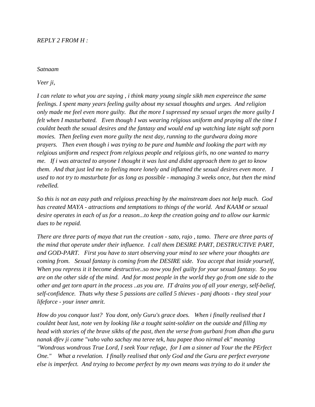#### *REPLY 2 FROM H :*

#### *Satnaam*

*Veer ji,*

*I can relate to what you are saying , i think many young single sikh men expereince the same feelings. I spent many years feeling guilty about my sexual thoughts and urges. And religion only made me feel even more guilty. But the more I supressed my sexual urges the more guilty I felt when I masturbated. Even though I was wearing relgious uniform and praying all the time I couldnt beath the sexual desires and the fantasy and would end up watching late night soft porn movies. Then feeling even more guilty the next day, running to the gurdwara doing more prayers. Then even though i was trying to be pure and humble and looking the part with my relgious uniform and respect from relgious people and relgious girls, no one wanted to marry me. If i was atracted to anyone I thought it was lust and didnt approach them to get to know them. And that just led me to feeling more lonely and inflamed the sexual desires even more. I used to not try to masturbate for as long as possible - managing 3 weeks once, but then the mind rebelled.* 

*So this is not an easy path and relgious preaching by the mainstream does not help much. God has created MAYA - attractions and temptations to things of the world. And KAAM or sexual desire operates in each of us for a reason...to keep the creation going and to allow our karmic dues to be repaid.* 

*There are three parts of maya that run the creation - sato, rajo , tamo. There are three parts of the mind that operate under their influence. I call them DESIRE PART, DESTRUCTIVE PART, and GOD-PART. First you have to start observing your mind to see where your thoughts are coming from. Sexual fantasy is coming from the DESIRE side. You accept that inside yourself, When you repress it it become destructive..so now you feel guilty for your sexual fantasy. So you are on the other side of the mind. And for most people in the world they go from one side to the other and get torn apart in the process ..as you are. IT drains you of all your energy, self-belief, self-confidence. Thats why these 5 passions are called 5 thieves - panj dhoots - they steal your lifeforce - your inner amrit.* 

*How do you conquor lust? You dont, only Guru's grace does. When i finally realised that I couldnt beat lust, note ven by looking like a tought saint-soldier on the outside and filling my head with stories of the brave sikhs of the past, then the verse from gurbani from dhan dha guru nanak dfev ji came "vaho vaho sachay ma teree tek, hau papee thoo nirmal ek" meaning "Wondrous wondrous True Lord, I seek Your refuge, for I am a sinner ad Your the the PErfect One." What a revelation. I finally realised that only God and the Guru are perfect everyone else is imperfect. And trying to become perfect by my own means was trying to do it under the*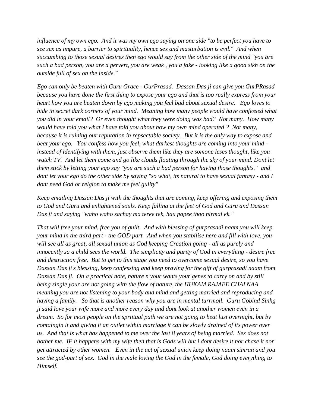*influence of my own ego. And it was my own ego saying on one side "to be perfect you have to see sex as impure, a barrier to spirituality, hence sex and masturbation is evil." And when succumbing to those sexual desires then ego would say from the other side of the mind "you are such a bad person, you are a pervert, you are weak , you a fake - looking like a good sikh on the outside full of sex on the inside."* 

*Ego can only be beaten with Guru Grace - GurPrasad. Dassan Das ji can give you GurPRasad because you have done the first thing to expose your ego and that is too really express from your heart how you are beaten down by ego making you feel bad about sexual desire. Ego loves to hide in secret dark corners of your mind. Meaning how many people would have confessed what you did in your email? Or even thought what they were doing was bad? Not many. How many would have told you what I have told you about how my own mind operated ? Not many, because it is ruining our reputation in repsectable society. But it is the only way to expose and beat your ego. You confess how you feel, what darkest thoughts are coming into your mind instead of identifying with them, just observe them like they are somone leses thought, like you watch TV. And let them come and go like clouds floating through the sky of your mind. Dont let them stick by letting your ego say "you are such a bad person for having those thoughts." and dont let your ego do the other side by saying "so what, its natural to have sexual fantasy - and I dont need God or relgion to make me feel guilty"* 

*Keep emailing Dassan Das ji with the thoughts that are coming, keep offering and exposing them to God and Guru and enlightened souls. Keep falling at the feet of God and Guru and Dassan Das ji and saying "waho waho sachay ma teree tek, hau papee thoo nirmal ek."* 

*That will free your mind, free you of guilt. And with blessing of gurprasadi naam you will keep your mind in the third part - the GOD part. And when you stabilise here and fill with love, you will see all as great, all sexual union as God keeping Creation going - all as purely and innocently sa a child sees the world. The simplicity and purity of God in everything - desire free and destruction free. But to get to this stage you need to overcome sexual desire, so you have Dassan Das ji's blessing, keep confessing and keep praying for the gift of gurprasadi naam from Dassan Das ji. On a practical note, nature n your wants your genes to carry on and by still being single your are not going with the flow of nature, the HUKAM RAJAEE CHALNAA meaning you are not listening to your body and mind and getting married and reproducing and having a family. So that is another reason why you are in mental turrmoil. Guru Gobind Sinhg ji said love your wife more and more every day and dont look at another women even in a dream. So for most people on the spriitual path we are not going to beat lust overnight, but by containgin it and giving it an outlet within marriage it can be slowly drained of its power over us. And that is what has happened to me over the last 8 years of being married. Sex does not bother me. IF it happens with my wife then that is Gods will but i dont desire it nor chase it nor get attracted by other women. Even in the act of sexual union keep doing naam simran and you see the god-part of sex. God in the male loving the God in the female, God doing everything to Himself.*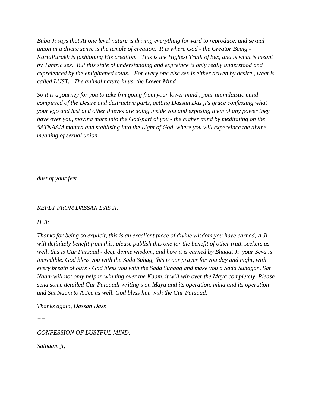*Baba Ji says that At one level nature is driving everything forward to reproduce, and sexual union in a divine sense is the temple of creation. It is where God - the Creator Being - KartaPurakh is fashioning His creation. This is the Highest Truth of Sex, and is what is meant by Tantric sex. But this state of understanding and expreince is only really understood and expreienced by the enlightened souls. For every one else sex is either driven by desire , what is called LUST. The animal nature in us, the Lower Mind* 

*So it is a journey for you to take frm going from your lower mind , your animilaistic mind compirsed of the Desire and destructive parts, getting Dassan Das ji's grace confessing what your ego and lust and other thieves are doing inside you and exposing them of any power they have over you, moving more into the God-part of you - the higher mind by meditating on the SATNAAM mantra and stablising into the Light of God, where you will expereince the divine meaning of sexual union.* 

*dust of your feet*

### *REPLY FROM DASSAN DAS JI:*

#### *H Ji:*

*Thanks for being so explicit, this is an excellent piece of divine wisdom you have earned, A Ji will definitely benefit from this, please publish this one for the benefit of other truth seekers as well, this is Gur Parsaad - deep divine wisdom, and how it is earned by Bhagat Ji your Seva is incredible. God bless you with the Sada Suhag, this is our prayer for you day and night, with every breath of ours - God bless you with the Sada Suhaag and make you a Sada Suhagan. Sat Naam will not only help in winning over the Kaam, it will win over the Maya completely. Please send some detailed Gur Parsaadi writing s on Maya and its operation, mind and its operation and Sat Naam to A Jee as well. God bless him with the Gur Parsaad.*

*Thanks again, Dassan Dass*

*==*

*CONFESSION OF LUSTFUL MIND:*

*Satnaam ji,*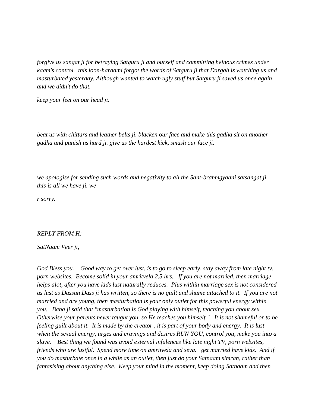*forgive us sangat ji for betraying Satguru ji and ourself and committing heinous crimes under kaam's control. this loon-haraami forgot the words of Satguru ji that Dargah is watching us and masturbated yesterday. Although wanted to watch ugly stuff but Satguru ji saved us once again and we didn't do that.*

*keep your feet on our head ji.*

*beat us with chittars and leather belts ji. blacken our face and make this gadha sit on another gadha and punish us hard ji. give us the hardest kick, smash our face ji.* 

*we apologise for sending such words and negativity to all the Sant-brahmgyaani satsangat ji. this is all we have ji. we* 

*r sorry.*

#### *REPLY FROM H:*

#### *SatNaam Veer ji,*

*God Bless you. Good way to get over lust, is to go to sleep early, stay away from late night tv, porn websites. Become solid in your amritvela 2.5 hrs. If you are not married, then marriage helps alot, after you have kids lust naturally reduces. Plus within marriage sex is not considered as lust as Dassan Dass ji has written, so there is no guilt and shame attached to it. If you are not married and are young, then masturbation is your only outlet for this powerful energy within you. Baba ji said that "masturbation is God playing with himself, teaching you about sex. Otherwise your parents never taught you, so He teaches you himself." It is not shameful or to be feeling guilt about it. It is made by the creator , it is part of your body and energy. It is lust when the sexual energy, urges and cravings and desires RUN YOU, control you, make you into a slave. Best thing we found was avoid external infulences like late night TV, porn websites, friends who are lustful. Spend more time on amritvela and seva. get married have kids. And if you do masturbate once in a while as an outlet, then just do your Satnaam simran, rather than fantasising about anything else. Keep your mind in the moment, keep doing Satnaam and then*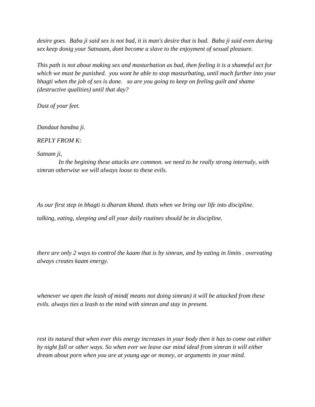*desire goes. Baba ji said sex is not bad, it is man's desire that is bad. Baba ji said even during sex keep donig your Satnaam, dont become a slave to the enjoyment of sexual pleasure.*

*This path is not about making sex and masturbation as bad, then feeling it is a shameful act for which we must be punished. you wont be able to stop masturbating, until much further into your bhagti when the job of sex is done. so are you going to keep on feeling guilt and shame (destructive qualities) until that day?* 

*Dust of your feet.*

*Dandaut bandna ji.*

*REPLY FROM K:*

*Satnam ji,*

 *In the begining these attacks are common. we need to be really strong internaly, with simran otherwise we will always loose to these evils.* 

*As our first step in bhagti is dharam khand. thats when we bring our life into discipline. talking, eating, sleeping and all your daily routines should be in discipline.*

*there are only 2 ways to control the kaam that is by simran, and by eating in limits . overeating always creates kaam energy.*

*whenever we open the leash of mind( means not doing simran) it will be attacked from these evils. always ties a leash to the mind with simran and stay in present.* 

*rest its natural that when ever this energy increases in your body then it has to come out either by night fall or other ways. So when ever we leave our mind ideal from simran it will either dream about porn when you are at young age or money, or arguments in your mind.*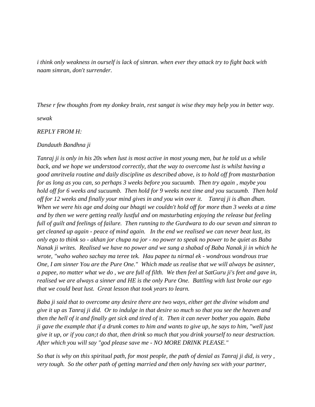*i think only weakness in ourself is lack of simran. when ever they attack try to fight back with naam simran, don't surrender.*

*These r few thoughts from my donkey brain, rest sangat is wise they may help you in better way.*

*sewak*

*REPLY FROM H:*

*Dandauth Bandhna ji* 

*Tanraj ji is only in his 20s when lust is most active in most young men, but he told us a while*  back, and we hope we understood correctly, that the way to overcome lust is whilst having a *good amritvela routine and daily discipline as described above, is to hold off from masturbation for as long as you can, so perhaps 3 weeks before you sucuumb. Then try again , maybe you hold off for 6 weeks and sucuumb. Then hold for 9 weeks next time and you sucuumb. Then hold off for 12 weeks and finally your mind gives in and you win over it. Tanraj ji is dhan dhan. When we were his age and doing our bhagti we couldn't hold off for more than 3 weeks at a time and by then we were getting really lustful and on masturbating enjoying the release but feeling full of guilt and feelings of failure. Then running to the Gurdwara to do our sevan and simran to get cleaned up again - peace of mind again. In the end we realised we can never beat lust, its only ego to think so - akhan jor chupa na jor - no power to speak no power to be quiet as Baba Nanak ji writes. Realised we have no power and we sung a shabad of Baba Nanak ji in which he wrote, "waho waheo sachay ma teree tek. Hau papee tu nirmal ek - wondrous wondrous true One, I am sinner You are the Pure One." Which made us realise that we will always be asinner, a papee, no matter what we do , we are full of filth. We then feel at SatGuru ji's feet and gave in, realised we are always a sinner and HE is the only Pure One. Battling with lust broke our ego that we could beat lust. Great lesson that took years to learn.*

*Baba ji said that to overcome any desire there are two ways, either get the divine wisdom and give it up as Tanraj ji did. Or to indulge in that desire so much so that you see the heaven and then the hell of it and finally get sick and tired of it. Then it can never bother you again. Baba ji gave the example that if a drunk comes to him and wants to give up, he says to him, "well just give it up, or if you can;t do that, then drink so much that you drink yourself to near destruction. After which you will say "god please save me - NO MORE DRINK PLEASE."* 

*So that is why on this spiritual path, for most people, the path of denial as Tanraj ji did, is very , very tough. So the other path of getting married and then only having sex with your partner,*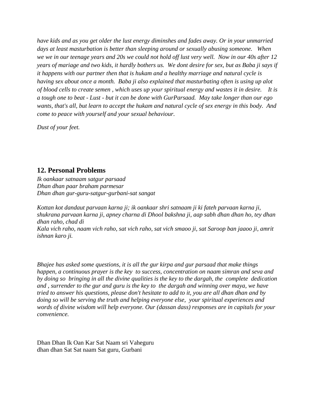*have kids and as you get older the lust energy diminshes and fades away. Or in your unmarried days at least masturbation is better than sleeping around or sexually abusing someone. When we we in our teenage years and 20s we could not hold off lust very well. Now in our 40s after 12 years of mariage and two kids, it hardly bothers us. We dont desire for sex, but as Baba ji says if it happens with our partner then that is hukam and a healthy marriage and natural cycle is having sex about once a month. Baba ji also explained that masturbating often is using up alot of blood cells to create semen , which uses up your spiritual energy and wastes it in desire. It is a tough one to beat - Lust - but it can be done with GurParsaad. May take longer than our ego wants, that's all, but learn to accept the hukam and natural cycle of sex energy in this body. And come to peace with yourself and your sexual behaviour.*

*Dust of your feet.*

# **12. Personal Problems**

*Ik oankaar satnaam satgur parsaad Dhan dhan paar braham parmesar Dhan dhan gur-guru-satgur-gurbani-sat sangat*

*Kottan kot dandaut parvaan karna ji; ik oankaar shri satnaam ji ki fateh parvaan karna ji, shukrana parvaan karna ji, apney charna di Dhool bakshna ji, aap sabh dhan dhan ho, tey dhan dhan raho, chad di Kala vich raho, naam vich raho, sat vich raho, sat vich smaoo ji, sat Saroop ban jaaoo ji, amrit ishnan karo ji.*

*Bhajee has asked some questions, it is all the gur kirpa and gur parsaad that make things happen, a continuous prayer is the key to success, concentration on naam simran and seva and by doing so bringing in all the divine qualities is the key to the dargah, the complete dedication and , surrender to the gur and guru is the key to the dargah and winning over maya, we have tried to answer his questions, please don't hesitate to add to it, you are all dhan dhan and by doing so will be serving the truth and helping everyone else, your spiritual experiences and words of divine wisdom will help everyone. Our (dassan dass) responses are in capitals for your convenience.*

Dhan Dhan Ik Oan Kar Sat Naam sri Vaheguru dhan dhan Sat Sat naam Sat guru, Gurbani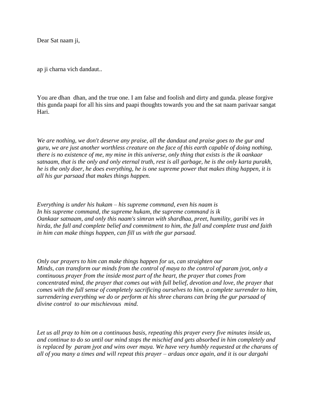Dear Sat naam ji,

ap ji charna vich dandaut..

You are dhan dhan, and the true one. I am false and foolish and dirty and gunda. please forgive this gunda paapi for all his sins and paapi thoughts towards you and the sat naam parivaar sangat Hari.

*We are nothing, we don't deserve any praise, all the dandaut and praise goes to the gur and guru, we are just another worthless creature on the face of this earth capable of doing nothing, there is no existence of me, my mine in this universe, only thing that exists is the ik oankaar satnaam, that is the only and only eternal truth, rest is all garbage, he is the only karta purakh, he is the only doer, he does everything, he is one supreme power that makes thing happen, it is all his gur parsaad that makes things happen.*

*Everything is under his hukam – his supreme command, even his naam is In his supreme command, the supreme hukam, the supreme command is ik Oankaar satnaam, and only this naam's simran with shardhaa, preet, humility, garibi ves in hirda, the full and complete belief and commitment to him, the full and complete trust and faith in him can make things happen, can fill us with the gur parsaad.*

*Only our prayers to him can make things happen for us, can straighten our Minds, can transform our minds from the control of maya to the control of param jyot, only a continuous prayer from the inside most part of the heart, the prayer that comes from concentrated mind, the prayer that comes out with full belief, devotion and love, the prayer that comes with the full sense of completely sacrificing ourselves to him, a complete surrender to him, surrendering everything we do or perform at his shree charans can bring the gur parsaad of divine control to our mischievous mind.* 

*Let us all pray to him on a continuous basis, repeating this prayer every five minutes inside us, and continue to do so until our mind stops the mischief and gets absorbed in him completely and is replaced by param jyot and wins over maya. We have very humbly requested at the charans of all of you many a times and will repeat this prayer – ardaas once again, and it is our dargahi*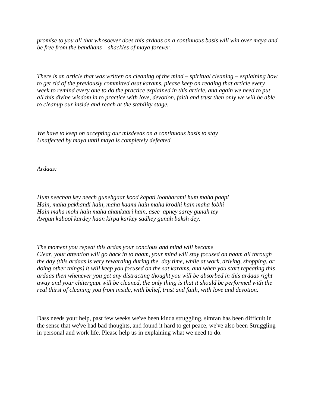*promise to you all that whosoever does this ardaas on a continuous basis will win over maya and be free from the bandhans – shackles of maya forever.*

*There is an article that was written on cleaning of the mind – spiritual cleaning – explaining how to get rid of the previously committed asat karams, please keep on reading that article every week to remind every one to do the practice explained in this article, and again we need to put all this divine wisdom in to practice with love, devotion, faith and trust then only we will be able to cleanup our inside and reach at the stability stage.* 

*We have to keep on accepting our misdeeds on a continuous basis to stay Unaffected by maya until maya is completely defeated.*

*Ardaas:*

*Hum neechan key neech gunehgaar kood kapati loonharami hum maha paapi Hain, maha pakhandi hain, maha kaami hain maha krodhi hain maha lobhi Hain maha mohi hain maha ahankaari hain, asee apney sarey gunah tey Awgun kabool kardey haan kirpa karkey sadhey gunah baksh dey.*

*The moment you repeat this ardas your concious and mind will become Clear, your attention will go back in to naam, your mind will stay focused on naam all through the day (this ardaas is very rewarding during the day time, while at work, driving, shopping, or doing other things) it will keep you focused on the sat karams, and when you start repeating this ardaas then whenever you get any distracting thought you will be absorbed in this ardaas right away and your chitergupt will be cleaned, the only thing is that it should be performed with the real thirst of cleaning you from inside, with belief, trust and faith, with love and devotion.* 

Dass needs your help, past few weeks we've been kinda struggling, simran has been difficult in the sense that we've had bad thoughts, and found it hard to get peace, we've also been Struggling in personal and work life. Please help us in explaining what we need to do.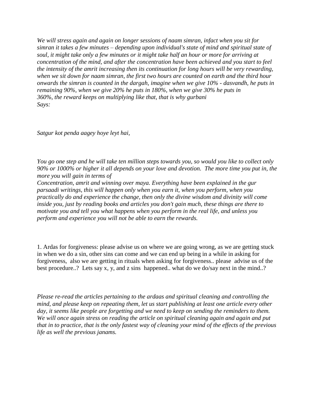*We will stress again and again on longer sessions of naam simran, infact when you sit for simran it takes a few minutes – depending upon individual's state of mind and spiritual state of soul, it might take only a few minutes or it might take half an hour or more for arriving at concentration of the mind, and after the concentration have been achieved and you start to feel the intensity of the amrit increasing then its continuation for long hours will be very rewarding, when we sit down for naam simran, the first two hours are counted on earth and the third hour onwards the simran is counted in the dargah, imagine when we give 10% - dasvandh, he puts in remaining 90%, when we give 20% he puts in 180%, when we give 30% he puts in 360%, the reward keeps on multiplying like that, that is why gurbani Says:* 

*Satgur kot penda aagey hoye leyt hai,* 

*You go one step and he will take ten million steps towards you, so would you like to collect only 90% or 1000% or higher it all depends on your love and devotion. The more time you put in, the more you will gain in terms of* 

*Concentration, amrit and winning over maya. Everything have been explained in the gur parsaadi writings, this will happen only when you earn it, when you perform, when you practically do and experience the change, then only the divine wisdom and divinity will come inside you, just by reading books and articles you don't gain much, these things are there to motivate you and tell you what happens when you perform in the real life, and unless you perform and experience you will not be able to earn the rewards.*

1. Ardas for forgiveness: please advise us on where we are going wrong, as we are getting stuck in when we do a sin, other sins can come and we can end up being in a while in asking for forgiveness, also we are getting in rituals when asking for forgiveness.. please advise us of the best procedure..? Lets say x, y, and z sins happened.. what do we do/say next in the mind..?

*Please re-read the articles pertaining to the ardaas and spiritual cleaning and controlling the mind, and please keep on repeating them, let us start publishing at least one article every other day, it seems like people are forgetting and we need to keep on sending the reminders to them. We will once again stress on reading the article on spiritual cleaning again and again and put that in to practice, that is the only fastest way of cleaning your mind of the effects of the previous life as well the previous janams.*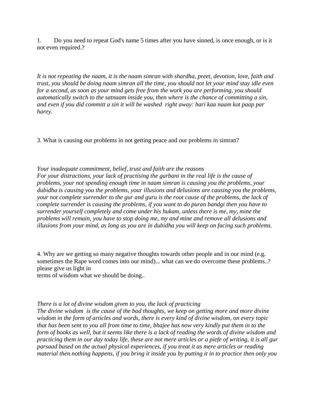1. Do you need to repeat God's name 5 times after you have sinned, is once enough, or is it not even required.?

*It is not repeating the naam, it is the naam simran with shardha, preet, devotion, love, faith and trust, you should be doing naam simran all the time, you should not let your mind stay idle even for a second, as soon as your mind gets free from the work you are performing, you should automatically switch to the satnaam inside you, then where is the chance of committing a sin, and even if you did committ a sin it will be washed right away: hari kaa naam kot paap par harey.* 

3. What is causing our problems in not getting peace and our problems in simran?

*Your inadequate commitment, belief, trust and faith are the reasons For your distractions, your lack of practising the gurbani in the real life is the cause of problems, your not spending enough time in naam simran is causing you the problems, your dubidha is causing you the problems, your illusions and delusions are causing you the problems, your not complete surrender to the gur and guru is the root cause of the problems, the lack of complete surrender is causing the problems, if you want to do puran bandgi then you have to surrender yourself completely and come under his hukam, unless there is me, my, mine the problems will remain, you have to stop doing me, my and mine and remove all delusions and illusions from your mind, as long as you are in dubidha you will keep on facing such problems.*

4. Why are we getting so many negative thoughts towards other people and in our mind (e.g. sometimes the Rape word comes into our mind)... what can we do overcome these problems..? please give us light in

terms of wisdom what we should be doing..

### *There is a lot of divine wisdom given to you, the lack of practicing*

*The divine wisdom is the cause of the bad thoughts, we keep on getting more and more divine wisdom in the form of articles and words, there is every kind of divine wisdom, on every topic that has been sent to you all from time to time, bhajee has now very kindly put them in to the form of books as well, but it seems like there is a lack of reading the words of divine wisdom and practicing them in our day today life, these are not mere articles or a piefe of writing, it is all gur parsaad based on the actual physical experiences, if you treat it as mere articles or reading material then nothing happens, if you bring it inside you by putting it in to practice then only you*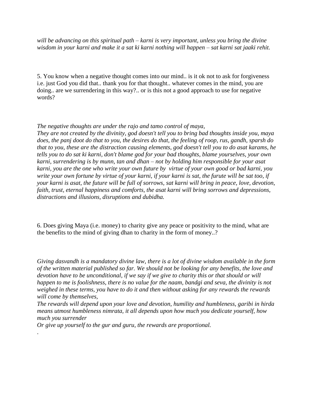*will be advancing on this spiritual path – karni is very important, unless you bring the divine wisdom in your karni and make it a sat ki karni nothing will happen – sat karni sat jaaki rehit.*

5. You know when a negative thought comes into our mind.. is it ok not to ask for forgiveness i.e. just God you did that.. thank you for that thought.. whatever comes in the mind, you are doing.. are we surrendering in this way?.. or is this not a good approach to use for negative words?

### *The negative thoughts are under the rajo and tamo control of maya,*

*They are not created by the divinity, god doesn't tell you to bring bad thoughts inside you, maya does, the panj doot do that to you, the desires do that, the feeling of roop, rus, gandh, sparsh do that to you, these are the distraction causing elements, god doesn't tell you to do asat karams, he tells you to do sat ki karni, don't blame god for your bad thoughts, blame yourselves, your own karni, surrendering is by munn, tan and dhan – not by holding him responsible for your asat karni, you are the one who write your own future by virtue of your own good or bad karni, you write your own fortune by virtue of your karni, if your karni is sat, the furute will be sat too, if your karni is asat, the future will be full of sorrows, sat karni will bring in peace, love, devotion, faith, trust, eternal happiness and comforts, the asat karni will bring sorrows and depressions, distractions and illusions, disruptions and dubidha.*

6. Does giving Maya (i.e. money) to charity give any peace or positivity to the mind, what are the benefits to the mind of giving dhan to charity in the form of money..?

*Giving dasvandh is a mandatory divine law, there is a lot of divine wisdom available in the form of the written material published so far. We should not be looking for any benefits, the love and devotion have to be unconditional, if we say if we give to charity this or that should or will happen to me is foolishness, there is no value for the naam, bandgi and seva, the divinity is not weighed in these terms, you have to do it and then without asking for any rewards the rewards will come by themselves,* 

*The rewards will depend upon your love and devotion, humility and humbleness, garibi in hirda means utmost humbleness nimrata, it all depends upon how much you dedicate yourself, how much you surrender* 

*Or give up yourself to the gur and guru, the rewards are proportional.*

.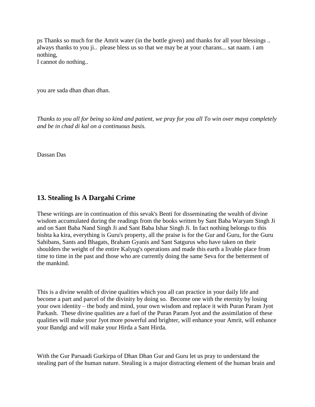ps Thanks so much for the Amrit water (in the bottle given) and thanks for all your blessings .. always thanks to you ji.. please bless us so that we may be at your charans... sat naam. i am nothing,

I cannot do nothing..

you are sada dhan dhan dhan.

*Thanks to you all for being so kind and patient, we pray for you all To win over maya completely and be in chad di kal on a continuous basis.*

Dassan Das

# **13. Stealing Is A Dargahi Crime**

These writings are in continuation of this sevak's Benti for disseminating the wealth of divine wisdom accumulated during the readings from the books written by Sant Baba Waryam Singh Ji and on Sant Baba Nand Singh Ji and Sant Baba Ishar Singh Ji. In fact nothing belongs to this bishta ka kira, everything is Guru's property, all the praise is for the Gur and Guru, for the Guru Sahibans, Sants and Bhagats, Braham Gyanis and Sant Satgurus who have taken on their shoulders the weight of the entire Kalyug's operations and made this earth a livable place from time to time in the past and those who are currently doing the same Seva for the betterment of the mankind.

This is a divine wealth of divine qualities which you all can practice in your daily life and become a part and parcel of the divinity by doing so. Become one with the eternity by losing your own identity – the body and mind, your own wisdom and replace it with Puran Param Jyot Parkash. These divine qualities are a fuel of the Puran Param Jyot and the assimilation of these qualities will make your Jyot more powerful and brighter, will enhance your Amrit, will enhance your Bandgi and will make your Hirda a Sant Hirda.

With the Gur Parsaadi Gurkirpa of Dhan Dhan Gur and Guru let us pray to understand the stealing part of the human nature. Stealing is a major distracting element of the human brain and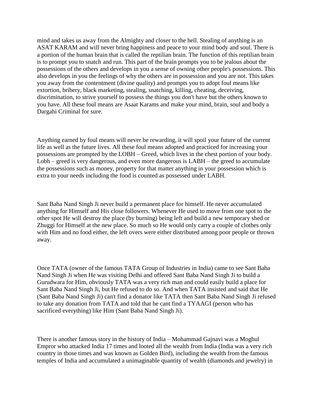mind and takes us away from the Almighty and closer to the hell. Stealing of anything is an ASAT KARAM and will never bring happiness and peace to your mind body and soul. There is a portion of the human brain that is called the reptilian brain. The function of this reptilian brain is to prompt you to snatch and run. This part of the brain prompts you to be jealous about the possessions of the others and develops in you a sense of owning other people's possessions. This also develops in you the feelings of why the others are in possession and you are not. This takes you away from the contentment (divine quality) and prompts you to adopt foul means like extortion, bribery, black marketing, stealing, snatching, killing, cheating, deceiving, discrimination, to strive yourself to possess the things you don't have but the others known to you have. All these foul means are Asaat Karams and make your mind, brain, soul and body a Dargahi Criminal for sure.

Anything earned by foul means will never be rewarding, it will spoil your future of the current life as well as the future lives. All these foul means adopted and practiced for increasing your possessions are prompted by the LOBH – Greed, which lives in the chest portion of your body. Lobh – greed is very dangerous, and even more dangerous is LABH – the greed to accumulate the possessions such as money, property for that matter anything in your possession which is extra to your needs including the food is counted as possessed under LABH.

Sant Baba Nand Singh Ji never build a permanent place for himself. He never accumulated anything for Himself and His close followers. Whenever He used to move from one spot to the other spot He will destroy the place (by burning) being left and build a new temporary shed or Zhuggi for Himself at the new place. So much so He would only carry a couple of clothes only with Him and no food either, the left overs were either distributed among poor people or thrown away.

Once TATA (owner of the famous TATA Group of Industries in India) came to see Sant Baba Nand Singh Ji when He was visiting Delhi and offered Sant Baba Nand Singh Ji to build a Gurudwara for Him, obviously TATA was a very rich man and could easily build a place for Sant Baba Nand Singh Ji, but He refused to do so. And when TATA insisted and said that He (Sant Baba Nand Singh Ji) can't find a donator like TATA then Sant Baba Nand Singh Ji refused to take any donation from TATA and told that he cant find a TYAAGI (person who has sacrificed everything) like Him (Sant Baba Nand Singh Ji).

There is another famous story in the history of India – Mohammad Gajnavi was a Moghul Empror who attacked India 17 times and looted all the wealth from India (India was a very rich country in those times and was known as Golden Bird), including the wealth from the famous temples of India and accumulated a unimaginable quantity of wealth (diamonds and jewelry) in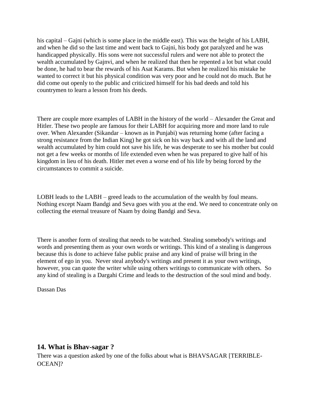his capital – Gajni (which is some place in the middle east). This was the height of his LABH, and when he did so the last time and went back to Gajni, his body got paralyzed and he was handicapped physically. His sons were not successful rulers and were not able to protect the wealth accumulated by Gajnvi, and when he realized that then he repented a lot but what could be done, he had to bear the rewards of his Asat Karams. But when he realized his mistake he wanted to correct it but his physical condition was very poor and he could not do much. But he did come out openly to the public and criticized himself for his bad deeds and told his countrymen to learn a lesson from his deeds.

There are couple more examples of LABH in the history of the world – Alexander the Great and Hitler. These two people are famous for their LABH for acquiring more and more land to rule over. When Alexander (Sikandar – known as in Punjabi) was returning home (after facing a strong resistance from the Indian King) he got sick on his way back and with all the land and wealth accumulated by him could not save his life, he was desperate to see his mother but could not get a few weeks or months of life extended even when he was prepared to give half of his kingdom in lieu of his death. Hitler met even a worse end of his life by being forced by the circumstances to commit a suicide.

LOBH leads to the LABH – greed leads to the accumulation of the wealth by foul means. Nothing except Naam Bandgi and Seva goes with you at the end. We need to concentrate only on collecting the eternal treasure of Naam by doing Bandgi and Seva.

There is another form of stealing that needs to be watched. Stealing somebody's writings and words and presenting them as your own words or writings. This kind of a stealing is dangerous because this is done to achieve false public praise and any kind of praise will bring in the element of ego in you. Never steal anybody's writings and present it as your own writings, however, you can quote the writer while using others writings to communicate with others. So any kind of stealing is a Dargahi Crime and leads to the destruction of the soul mind and body.

Dassan Das

# **14. What is Bhav-sagar ?**

There was a question asked by one of the folks about what is BHAVSAGAR [TERRIBLE-OCEAN]?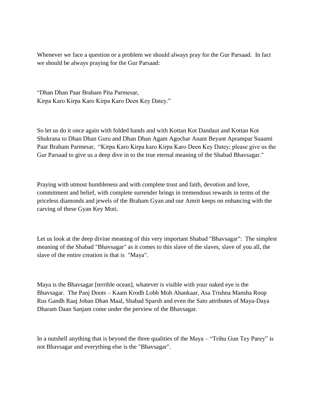Whenever we face a question or a problem we should always pray for the Gur Parsaad. In fact we should be always praying for the Gur Parsaad:

"Dhan Dhan Paar Braham Pita Parmesar, Kirpa Karo Kirpa Karo Kirpa Karo Deen Key Datey."

So let us do it once again with folded hands and with Kottan Kot Dandaut and Kottan Kot Shukrana to Dhan Dhan Guru and Dhan Dhan Agam Agochar Anant Beyant Aprampar Suaami Paar Braham Parmesar, "Kirpa Karo Kirpa karo Kirpa Karo Deen Key Datey; please give us the Gur Parsaad to give us a deep dive in to the true eternal meaning of the Shabad Bhavsagar."

Praying with utmost humbleness and with complete trust and faith, devotion and love, commitment and belief, with complete surrender brings in tremendous rewards in terms of the priceless diamonds and jewels of the Braham Gyan and our Amrit keeps on enhancing with the carving of these Gyan Key Moti.

Let us look at the deep divine meaning of this very important Shabad "Bhavsagar": The simplest meaning of the Shabad "Bhavsagar" as it comes to this slave of the slaves, slave of you all, the slave of the entire creation is that is "Maya".

Maya is the Bhavsagar [terrible ocean], whatever is visible with your naked eye is the Bhavsagar. The Panj Doots – Kaam Krodh Lobh Moh Ahankaar, Asa Trishna Mansha Roop Rus Gandh Raaj Joban Dhan Maal, Shabad Sparsh and even the Sato attributes of Maya-Daya Dharam Daan Sanjam come under the perview of the Bhavsagar.

In a nutshell anything that is beyond the three qualities of the Maya – "Trihu Gun Tey Parey" is not Bhavsagar and everything else is the "Bhavsagar".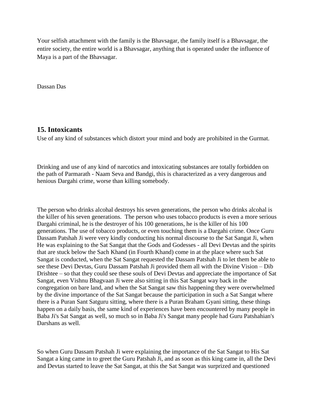Your selfish attachment with the family is the Bhavsagar, the family itself is a Bhavsagar, the entire society, the entire world is a Bhavsagar, anything that is operated under the influence of Maya is a part of the Bhavsagar.

Dassan Das

## **15. Intoxicants**

Use of any kind of substances which distort your mind and body are prohibited in the Gurmat.

Drinking and use of any kind of narcotics and intoxicating substances are totally forbidden on the path of Parmarath - Naam Seva and Bandgi, this is characterized as a very dangerous and henious Dargahi crime, worse than killing somebody.

The person who drinks alcohal destroys his seven generations, the person who drinks alcohal is the killer of his seven generations. The person who uses tobacco products is even a more serious Dargahi criminal, he is the destroyer of his 100 generations, he is the killer of his 100 generations. The use of tobacco products, or even touching them is a Dargahi crime. Once Guru Dassam Patshah Ji were very kindly conducting his normal discourse to the Sat Sangat Ji, when He was explaining to the Sat Sangat that the Gods and Godesses - all Devi Devtas and the spirits that are stuck below the Sach Khand (in Fourth Khand) come in at the place where such Sat Sangat is conducted, when the Sat Sangat requested the Dassam Patshah Ji to let them be able to see these Devi Devtas, Guru Dassam Patshah Ji provided them all with the Divine Vision – Dib Drishtee – so that they could see these souls of Devi Devtas and appreciate the importance of Sat Sangat, even Vishnu Bhagvaan Ji were also sitting in this Sat Sangat way back in the congregation on bare land, and when the Sat Sangat saw this happening they were overwhelmed by the divine importance of the Sat Sangat because the participation in such a Sat Sangat where there is a Puran Sant Satguru sitting, where there is a Puran Braham Gyani sitting, these things happen on a daily basis, the same kind of experiences have been encountered by many people in Baba Ji's Sat Sangat as well, so much so in Baba Ji's Sangat many people had Guru Patshahian's Darshans as well.

So when Guru Dassam Patshah Ji were explaining the importance of the Sat Sangat to His Sat Sangat a king came in to greet the Guru Patshah Ji, and as soon as this king came in, all the Devi and Devtas started to leave the Sat Sangat, at this the Sat Sangat was surprized and questioned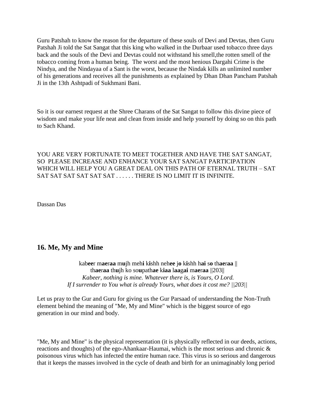Guru Patshah to know the reason for the departure of these souls of Devi and Devtas, then Guru Patshah Ji told the Sat Sangat that this king who walked in the Durbaar used tobacco three days back and the souls of the Devi and Devtas could not withstand his smell,the rotten smell of the tobacco coming from a human being. The worst and the most henious Dargahi Crime is the Nindya, and the Nindayaa of a Sant is the worst, because the Nindak kills an unlimited number of his generations and receives all the punishments as explained by Dhan Dhan Pancham Patshah Ji in the 13th Ashtpadi of Sukhmani Bani.

So it is our earnest request at the Shree Charans of the Sat Sangat to follow this divine piece of wisdom and make your life neat and clean from inside and help yourself by doing so on this path to Sach Khand.

YOU ARE VERY FORTUNATE TO MEET TOGETHER AND HAVE THE SAT SANGAT, SO PLEASE INCREASE AND ENHANCE YOUR SAT SANGAT PARTICIPATION WHICH WILL HELP YOU A GREAT DEAL ON THIS PATH OF ETERNAL TRUTH – SAT SAT SAT SAT SAT SAT SAT . . . . . . THERE IS NO LIMIT IT IS INFINITE.

Dassan Das

## **16. Me, My and Mine**

kab**ee**r m**ae**r**aa** m**u**jh meh**i** k**i**shh neh**ee** j**o** k**i**shh h**ai** s**o** th**ae**r**aa** || th**ae**r**aa** th**u**jh ko so**u**path**ae** k**iaa** l**aa**g**ai** m**ae**r**aa** ||203|| *Kabeer, nothing is mine. Whatever there is, is Yours, O Lord. If I surrender to You what is already Yours, what does it cost me? ||203||*

Let us pray to the Gur and Guru for giving us the Gur Parsaad of understanding the Non-Truth element behind the meaning of "Me, My and Mine" which is the biggest source of ego generation in our mind and body.

"Me, My and Mine" is the physical representation (it is physically reflected in our deeds, actions, reactions and thoughts) of the ego-Ahankaar-Haumai, which is the most serious and chronic & poisonous virus which has infected the entire human race. This virus is so serious and dangerous that it keeps the masses involved in the cycle of death and birth for an unimaginably long period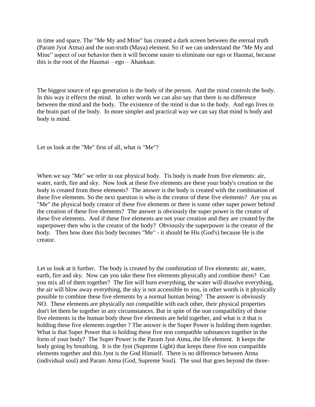in time and space. The "Me My and Mine" has created a dark screen between the eternal truth (Param Jyot Atma) and the non-truth (Maya) element. So if we can understand the "Me My and Mine" aspect of our behavior then it will become easier to eliminate our ego or Haumai, because this is the root of the Haumai – ego – Ahankaar.

The biggest source of ego generation is the body of the person. And the mind controls the body. In this way it effects the mind. In other words we can also say that there is no difference between the mind and the body. The existence of the mind is due to the body. And ego lives in the brain part of the body. In more simpler and practical way we can say that mind is body and body is mind.

Let us look at the "Me" first of all, what is "Me"?

When we say "Me" we refer to our physical body. Tis body is made from five elements: air, water, earth, fire and sky. Now look at these five elements are these your body's creation or the body is created from these elements? The answer is the body is created with the combination of these five elements. So the next question is who is the creator of these five elements? Are you as "Me" the physical body creator of these five elements or there is some other super power behind the creation of these five elements? The answer is obviously the super power is the creator of these five elements. And if these five elements are not your creation and they are created by the superpower then who is the creator of the body? Obviously the superpower is the creator of the body. Then how does this body becomes "Me" - it should be His (God's) because He is the creator.

Let us look at it further. The body is created by the combination of five elements: air, water, earth, fire and sky. Now can you take these five elements physically and combine them? Can you mix all of them together? The fire will burn everything, the water will dissolve everything, the air will blow away everything, the sky is not accessible to you, in other words is it physically possible to combine these five elements by a normal human being? The answer is obviously NO. These elements are physically not compatible with each other, their physical properties don't let them be together in any circumstances. But in spite of the non compatibility of these five elements in the human body these five elements are held together, and what is it that is holding these five elements together ? The answer is the Super Power is holding them together. What is that Super Power that is holding these five non compatible substances together in the form of your body? The Super Power is the Param Jyot Atma, the life element. It keeps the body going by breathing. It is the Jyot (Supreme Light) that keeps these five non compatible elements together and this Jyot is the God Himself. There is no difference between Atma (individual soul) and Param Atma (God, Supreme Soul). The soul that goes beyond the three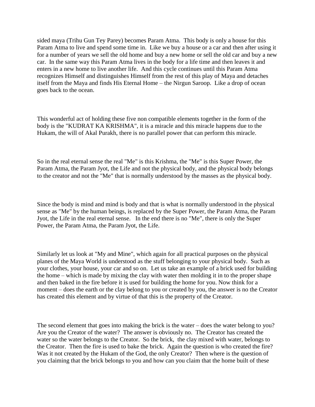sided maya (Trihu Gun Tey Parey) becomes Param Atma. This body is only a house for this Param Atma to live and spend some time in. Like we buy a house or a car and then after using it for a number of years we sell the old home and buy a new home or sell the old car and buy a new car. In the same way this Param Atma lives in the body for a life time and then leaves it and enters in a new home to live another life. And this cycle continues until this Param Atma recognizes Himself and distinguishes Himself from the rest of this play of Maya and detaches itself from the Maya and finds His Eternal Home – the Nirgun Saroop. Like a drop of ocean goes back to the ocean.

This wonderful act of holding these five non compatible elements together in the form of the body is the "KUDRAT KA KRISHMA", it is a miracle and this miracle happens due to the Hukam, the will of Akal Purakh, there is no parallel power that can perform this miracle.

So in the real eternal sense the real "Me" is this Krishma, the "Me" is this Super Power, the Param Atma, the Param Jyot, the Life and not the physical body, and the physical body belongs to the creator and not the "Me" that is normally understood by the masses as the physical body.

Since the body is mind and mind is body and that is what is normally understood in the physical sense as "Me" by the human beings, is replaced by the Super Power, the Param Atma, the Param Jyot, the Life in the real eternal sense. In the end there is no "Me", there is only the Super Power, the Param Atma, the Param Jyot, the Life.

Similarly let us look at "My and Mine", which again for all practical purposes on the physical planes of the Maya World is understood as the stuff belonging to your physical body. Such as your clothes, your house, your car and so on. Let us take an example of a brick used for building the home – which is made by mixing the clay with water then molding it in to the proper shape and then baked in the fire before it is used for building the home for you. Now think for a moment – does the earth or the clay belong to you or created by you, the answer is no the Creator has created this element and by virtue of that this is the property of the Creator.

The second element that goes into making the brick is the water – does the water belong to you? Are you the Creator of the water? The answer is obviously no. The Creator has created the water so the water belongs to the Creator. So the brick, the clay mixed with water, belongs to the Creator. Then the fire is used to bake the brick. Again the question is who created the fire? Was it not created by the Hukam of the God, the only Creator? Then where is the question of you claiming that the brick belongs to you and how can you claim that the home built of these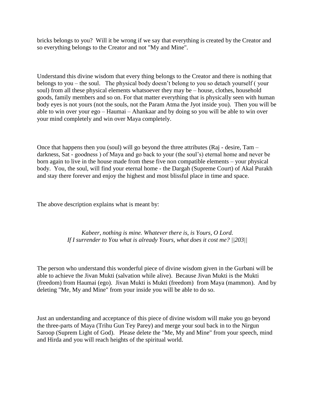bricks belongs to you? Will it be wrong if we say that everything is created by the Creator and so everything belongs to the Creator and not "My and Mine".

Understand this divine wisdom that every thing belongs to the Creator and there is nothing that belongs to you – the soul. The physical body doesn"t belong to you so detach yourself ( your soul) from all these physical elements whatsoever they may be – house, clothes, household goods, family members and so on. For that matter everything that is physically seen with human body eyes is not yours (not the souls, not the Param Atma the Jyot inside you). Then you will be able to win over your ego – Haumai – Ahankaar and by doing so you will be able to win over your mind completely and win over Maya completely.

Once that happens then you (soul) will go beyond the three attributes (Raj - desire, Tam – darkness, Sat - goodness ) of Maya and go back to your (the soul"s) eternal home and never be born again to live in the house made from these five non compatible elements – your physical body. You, the soul, will find your eternal home - the Dargah (Supreme Court) of Akal Purakh and stay there forever and enjoy the highest and most blissful place in time and space.

The above description explains what is meant by:

*Kabeer, nothing is mine. Whatever there is, is Yours, O Lord. If I surrender to You what is already Yours, what does it cost me? ||203||*

The person who understand this wonderful piece of divine wisdom given in the Gurbani will be able to achieve the Jivan Mukti (salvation while alive). Because Jivan Mukti is the Mukti (freedom) from Haumai (ego). Jivan Mukti is Mukti (freedom) from Maya (mammon). And by deleting "Me, My and Mine" from your inside you will be able to do so.

Just an understanding and acceptance of this piece of divine wisdom will make you go beyond the three-parts of Maya (Trihu Gun Tey Parey) and merge your soul back in to the Nirgun Saroop (Suprem Light of God). Please delete the "Me, My and Mine" from your speech, mind and Hirda and you will reach heights of the spiritual world.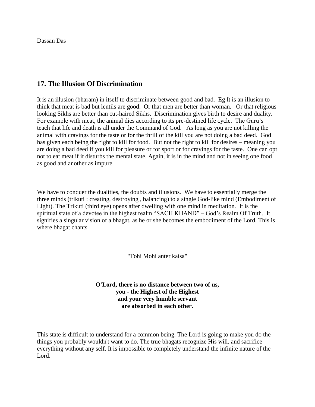Dassan Das

# **17. The Illusion Of Discrimination**

It is an illusion (bharam) in itself to discriminate between good and bad. Eg It is an illusion to think that meat is bad but lentils are good. Or that men are better than woman. Or that religious looking Sikhs are better than cut-haired Sikhs. Discrimination gives birth to desire and duality. For example with meat, the animal dies according to its pre-destined life cycle. The Guru's teach that life and death is all under the Command of God. As long as you are not killing the animal with cravings for the taste or for the thrill of the kill you are not doing a bad deed. God has given each being the right to kill for food. But not the right to kill for desires – meaning you are doing a bad deed if you kill for pleasure or for sport or for cravings for the taste. One can opt not to eat meat if it disturbs the mental state. Again, it is in the mind and not in seeing one food as good and another as impure.

We have to conquer the dualities, the doubts and illusions. We have to essentially merge the three minds (trikuti : creating, destroying , balancing) to a single God-like mind (Embodiment of Light). The Trikuti (third eye) opens after dwelling with one mind in meditation. It is the spiritual state of a devotee in the highest realm "SACH KHAND" – God"s Realm Of Truth. It signifies a singular vision of a bhagat, as he or she becomes the embodiment of the Lord. This is where bhagat chants–

"Tohi Mohi anter kaisa"

**O'Lord, there is no distance between two of us, you - the Highest of the Highest and your very humble servant are absorbed in each other.**

This state is difficult to understand for a common being. The Lord is going to make you do the things you probably wouldn't want to do. The true bhagats recognize His will, and sacrifice everything without any self. It is impossible to completely understand the infinite nature of the Lord.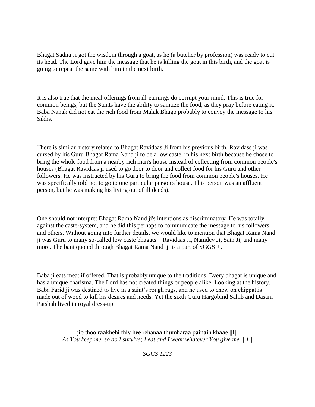Bhagat Sadna Ji got the wisdom through a goat, as he (a butcher by profession) was ready to cut its head. The Lord gave him the message that he is killing the goat in this birth, and the goat is going to repeat the same with him in the next birth.

It is also true that the meal offerings from ill-earnings do corrupt your mind. This is true for common beings, but the Saints have the ability to sanitize the food, as they pray before eating it. Baba Nanak did not eat the rich food from Malak Bhago probably to convey the message to his Sikhs.

There is similar history related to Bhagat Ravidaas Ji from his previous birth. Ravidass ji was cursed by his Guru Bhagat Rama Nand ji to be a low caste in his next birth because he chose to bring the whole food from a nearby rich man's house instead of collecting from common people's houses (Bhagat Ravidaas ji used to go door to door and collect food for his Guru and other followers. He was instructed by his Guru to bring the food from common people's houses. He was specifically told not to go to one particular person's house. This person was an affluent person, but he was making his living out of ill deeds).

One should not interpret Bhagat Rama Nand ji's intentions as discriminatory. He was totally against the caste-system, and he did this perhaps to communicate the message to his followers and others. Without going into further details, we would like to mention that Bhagat Rama Nand ji was Guru to many so-called low caste bhagats – Ravidaas Ji, Namdev Ji, Sain Ji, and many more. The bani quoted through Bhagat Rama Nand ji is a part of SGGS Ji.

Baba ji eats meat if offered. That is probably unique to the traditions. Every bhagat is unique and has a unique charisma. The Lord has not created things or people alike. Looking at the history, Baba Farid ji was destined to live in a saint"s rough rags, and he used to chew on chippattis made out of wood to kill his desires and needs. Yet the sixth Guru Hargobind Sahib and Dasam Patshah lived in royal dress-up.

> j**i**o th**oo** r**aa**kheh**i** th**i**v h**ee** rehan**aa** th**u**mhar**aa** p**ai**n**ai**h kh**aa**e ||1|| *As You keep me, so do I survive; I eat and I wear whatever You give me. ||1||*

> > *SGGS 1223*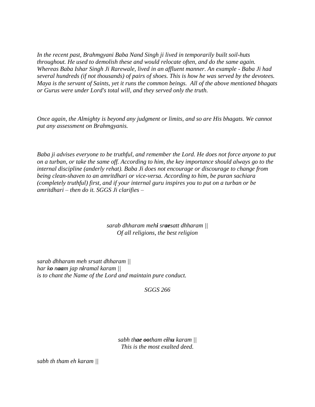*In the recent past, Brahmgyani Baba Nand Singh ji lived in temporarily built soil-huts throughout. He used to demolish these and would relocate often, and do the same again. Whereas Baba Ishar Singh Ji Rarewale, lived in an affluent manner. An example - Baba Ji had several hundreds (if not thousands) of pairs of shoes. This is how he was served by the devotees. Maya is the servant of Saints, yet it runs the common beings. All of the above mentioned bhagats or Gurus were under Lord's total will, and they served only the truth.* 

*Once again, the Almighty is beyond any judgment or limits, and so are His bhagats. We cannot put any assessment on Brahmgyanis.*

*Baba ji advises everyone to be truthful, and remember the Lord. He does not force anyone to put on a turban, or take the same off. According to him, the key importance should always go to the internal discipline (anderly rehat). Baba Ji does not encourage or discourage to change from being clean-shaven to an amritdhari or vice-versa. According to him, be puran sachiara (completely truthful) first, and if your internal guru inspires you to put on a turban or be amritdhari – then do it. SGGS Ji clarifies –*

> *sarab dhharam mehi sraesatt dhharam || Of all religions, the best religion*

*sarab dhharam meh srsatt dhharam || har ko naam jap niramal karam || is to chant the Name of the Lord and maintain pure conduct.*

*SGGS 266*

*sabh thae ootham eihu karam || This is the most exalted deed.*

*sabh th tham eh karam ||*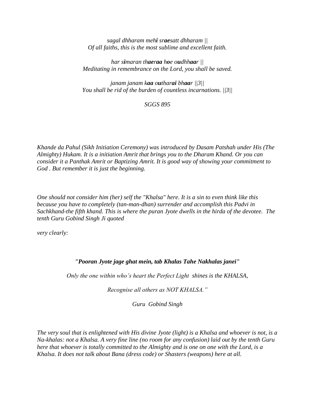*sagal dhharam mehi sraesatt dhharam || Of all faiths, this is the most sublime and excellent faith.*

*har simaran thaeraa hoe oudhhaar || Meditating in remembrance on the Lord, you shall be saved.*

*janam janam kaa outharai bhaar ||3|| You shall be rid of the burden of countless incarnations. ||3||*

*SGGS 895*

*Khande da Pahul (Sikh Initiation Ceremony) was introduced by Dasam Patshah under His (The Almighty) Hukam. It is a initiation Amrit that brings you to the Dharam Khand. Or you can consider it a Panthak Amrit or Baptizing Amrit. It is good way of showing your commitment to God . But remember it is just the beginning.* 

*One should not consider him (her) self the "Khalsa" here. It is a sin to even think like this because you have to completely (tan-man-dhan) surrender and accomplish this Padvi in Sachkhand-the fifth khand. This is where the puran Jyote dwells in the hirda of the devotee. The tenth Guru Gobind Singh Ji quoted* 

*very clearly:*

## *"Pooran Jyote jage ghat mein, tab Khalas Tahe Nakhalas janei"*

*Only the one within who's heart the Perfect Light shines is the KHALSA,*

*Recognise all others as NOT KHALSA."*

*Guru Gobind Singh*

*The very soul that is enlightened with His divine Jyote (light) is a Khalsa and whoever is not, is a Na-khalas: not a Khalsa. A very fine line (no room for any confusion) laid out by the tenth Guru here that whoever is totally committed to the Almighty and is one on one with the Lord, is a Khalsa. It does not talk about Bana (dress code) or Shasters (weapons) here at all.*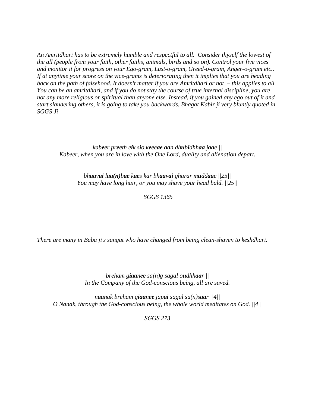*An Amritdhari has to be extremely humble and respectful to all. Consider thyself the lowest of the all (people from your faith, other faiths, animals, birds and so on). Control your five vices and monitor it for progress on your Ego-gram, Lust-o-gram, Greed-o-gram, Anger-o-gram etc.. If at anytime your score on the vice-grams is deteriorating then it implies that you are heading back on the path of falsehood. It doesn't matter if you are Amritdhari or not – this applies to all. You can be an amritdhari, and if you do not stay the course of true internal discipline, you are not any more religious or spiritual than anyone else. Instead, if you gained any ego out of it and start slandering others, it is going to take you backwards. Bhagat Kabir ji very bluntly quoted in SGGS Ji –*

*kabeer preeth eik sio keeeae aan dhubidhhaa jaae || Kabeer, when you are in love with the One Lord, duality and alienation depart.*

*bhaavai laa(n)bae kaes kar bhaavai gharar muddaae ||25|| You may have long hair, or you may shave your head bald. ||25||*

#### *SGGS 1365*

*There are many in Baba ji's sangat who have changed from being clean-shaven to keshdhari.* 

*breham giaanee sa(n)g sagal oudhhaar || In the Company of the God-conscious being, all are saved.*

*naanak breham giaanee japai sagal sa(n)saar ||4|| O Nanak, through the God-conscious being, the whole world meditates on God. ||4||*

*SGGS 273*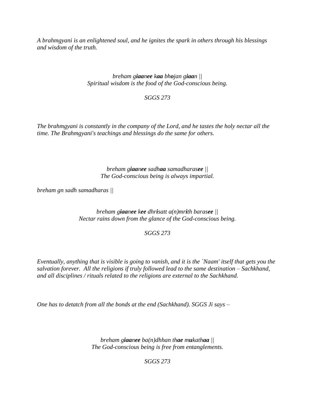*A brahmgyani is an enlightened soul, and he ignites the spark in others through his blessings and wisdom of the truth.*

> *breham giaanee kaa bhojan giaan || Spiritual wisdom is the food of the God-conscious being.*

> > *SGGS 273*

*The brahmgyani is constantly in the company of the Lord, and he tastes the holy nectar all the time. The Brahmgyani's teachings and blessings do the same for others.*

> *breham giaanee sadhaa samadharasee || The God-conscious being is always impartial.*

*breham gn sadh samadharas ||*

*breham giaanee kee dhrisatt a(n)mrith barasee || Nectar rains down from the glance of the God-conscious being.*

*SGGS 273*

*Eventually, anything that is visible is going to vanish, and it is the `Naam' itself that gets you the salvation forever. All the religions if truly followed lead to the same destination – Sachkhand, and all disciplines / rituals related to the religions are external to the Sachkhand.* 

*One has to detatch from all the bonds at the end (Sachkhand). SGGS Ji says –*

*breham giaanee ba(n)dhhan thae mukathaa || The God-conscious being is free from entanglements.*

*SGGS 273*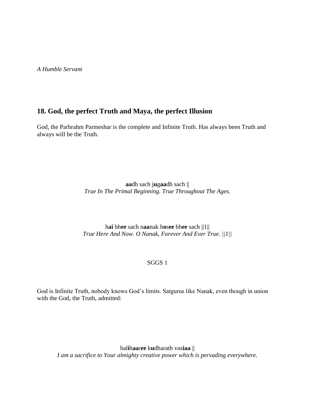*A Humble Servant*

# **18. God, the perfect Truth and Maya, the perfect Illusion**

God, the Parbrahm Parmeshar is the complete and Infinite Truth. Has always been Truth and always will be the Truth.

> **aa**dh sach j**u**g**aa**dh sach || *True In The Primal Beginning. True Throughout The Ages.*

h**ai** bh**ee** sach n**aa**nak h**o**s**ee** bh**ee** sach ||1|| *True Here And Now. O Nanak, Forever And Ever True. ||1||*

### SGGS 1

God is Infinite Truth, nobody knows God"s limits. Satgurus like Nanak, even though in union with the God, the Truth, admitted:

bal**i**h**aa**r**ee** k**u**dharath vas**iaa** || *I am a sacrifice to Your almighty creative power which is pervading everywhere.*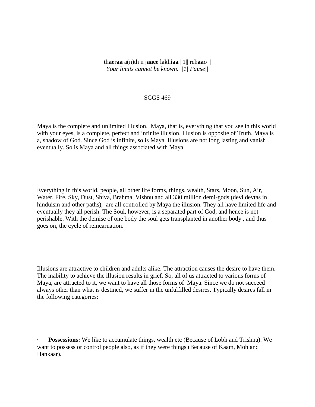th**ae**r**aa** a(n)th n j**aaee** lakh**iaa** ||1|| reh**aa**o || *Your limits cannot be known. ||1||Pause||*

#### SGGS 469

Maya is the complete and unlimited Illusion. Maya, that is, everything that you see in this world with your eyes, is a complete, perfect and infinite illusion. Illusion is opposite of Truth. Maya is a, shadow of God. Since God is infinite, so is Maya. Illusions are not long lasting and vanish eventually. So is Maya and all things associated with Maya.

Everything in this world, people, all other life forms, things, wealth, Stars, Moon, Sun, Air, Water, Fire, Sky, Dust, Shiva, Brahma, Vishnu and all 330 million demi-gods (devi devtas in hinduism and other paths), are all controlled by Maya the illusion. They all have limited life and eventually they all perish. The Soul, however, is a separated part of God, and hence is not perishable. With the demise of one body the soul gets transplanted in another body , and thus goes on, the cycle of reincarnation.

Illusions are attractive to children and adults alike. The attraction causes the desire to have them. The inability to achieve the illusion results in grief. So, all of us attracted to various forms of Maya, are attracted to it, we want to have all those forms of Maya. Since we do not succeed always other than what is destined, we suffer in the unfulfilled desires. Typically desires fall in the following categories:

**Possessions:** We like to accumulate things, wealth etc (Because of Lobh and Trishna). We want to possess or control people also, as if they were things (Because of Kaam, Moh and Hankaar).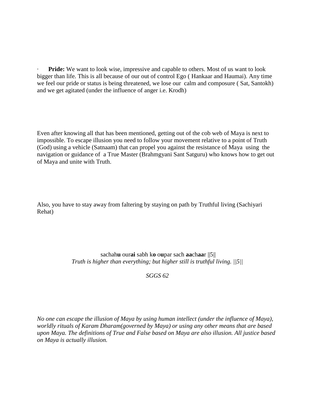**Pride:** We want to look wise, impressive and capable to others. Most of us want to look bigger than life. This is all because of our out of control Ego ( Hankaar and Haumai). Any time we feel our pride or status is being threatened, we lose our calm and composure ( Sat, Santokh) and we get agitated (under the influence of anger i.e. Krodh)

Even after knowing all that has been mentioned, getting out of the cob web of Maya is next to impossible. To escape illusion you need to follow your movement relative to a point of Truth (God) using a vehicle (Satnaam) that can propel you against the resistance of Maya using the navigation or guidance of a True Master (Brahmgyani Sant Satguru) who knows how to get out of Maya and unite with Truth.

Also, you have to stay away from faltering by staying on path by Truthful living (Sachiyari Rehat)

> sachah**u** our**ai** sabh k**o** o**u**par sach **aa**ch**aa**r ||5|| *Truth is higher than everything; but higher still is truthful living. ||5||*

> > *SGGS 62*

*No one can escape the illusion of Maya by using human intellect (under the influence of Maya), worldly rituals of Karam Dharam(governed by Maya) or using any other means that are based upon Maya. The definitions of True and False based on Maya are also illusion. All justice based on Maya is actually illusion.*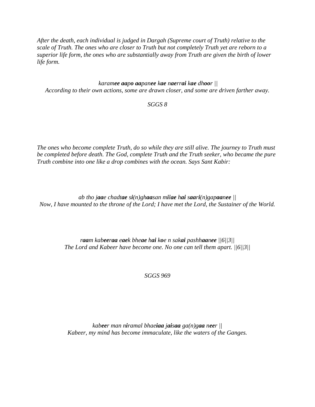*After the death, each individual is judged in Dargah (Supreme court of Truth) relative to the scale of Truth. The ones who are closer to Truth but not completely Truth yet are reborn to a superior life form, the ones who are substantially away from Truth are given the birth of lower life form.* 

## *karamee aapo aapanee kae naerrai kae dhoor || According to their own actions, some are drawn closer, and some are driven farther away.*

## *SGGS 8*

*The ones who become complete Truth, do so while they are still alive. The journey to Truth must be completed before death. The God, complete Truth and the Truth seeker, who became the pure Truth combine into one like a drop combines with the ocean. Says Sant Kabir:*

*ab tho jaae chadtae si(n)ghaasan milae hai saari(n)gapaanee || Now, I have mounted to the throne of the Lord; I have met the Lord, the Sustainer of the World.*

> *raam kabeeraa eaek bheae hai koe n sakai pashhaanee ||6||3|| The Lord and Kabeer have become one. No one can tell them apart. ||6||3||*

> > *SGGS 969*

*kabeer man niramal bhaeiaa jaisaa ga(n)gaa neer || Kabeer, my mind has become immaculate, like the waters of the Ganges.*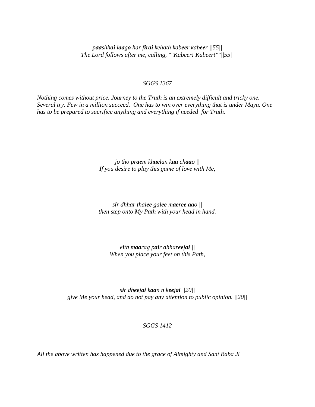*paashhai laago har firai kehath kabeer kabeer ||55|| The Lord follows after me, calling, ""Kabeer! Kabeer!""||55||*

#### *SGGS 1367*

*Nothing comes without price. Journey to the Truth is an extremely difficult and tricky one. Several try. Few in a million succeed. One has to win over everything that is under Maya. One has to be prepared to sacrifice anything and everything if needed for Truth.*

> *jo tho praem khaelan kaa chaao || If you desire to play this game of love with Me,*

> *sir dhhar thalee galee maeree aao || then step onto My Path with your head in hand.*

*eith maarag pair dhhareejai || When you place your feet on this Path,*

*sir dheejai kaan n keejai ||20|| give Me your head, and do not pay any attention to public opinion. ||20||*

## *SGGS 1412*

*All the above written has happened due to the grace of Almighty and Sant Baba Ji*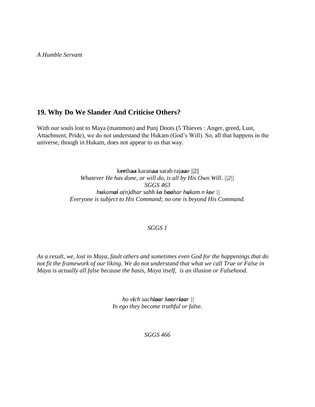*A Humble Servant*

# **19. Why Do We Slander And Criticise Others?**

With our souls lost to Maya (mammon) and Punj Doots (5 Thieves : Anger, greed, Lust, Attachment, Pride), we do not understand the Hukam (God"s Will). So, all that happens in the universe, though in Hukam, does not appear to us that way.

> k**ee**th**aa** karan**aa** sarab raj**aa**e ||2|| *Whatever He has done, or will do, is all by His Own Will. ||2|| SGGS 463 hukamai a(n)dhar sabh ko baahar hukam n koe || Everyone is subject to His Command; no one is beyond His Command.*

## *SGGS 1*

*As a result, we, lost in Maya, fault others and sometimes even God for the happenings that do not fit the framework of our liking. We do not understand that what we call True or False in Maya is actually all false because the basis, Maya itself, is an illusion or Falsehood.* 

> *ho vich sachiaar koorriaar || In ego they become truthful or false.*

> > *SGGS 466*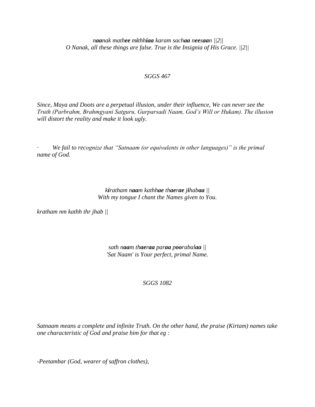*naanak mathee mithhiaa karam sachaa neesaan ||2|| O Nanak, all these things are false. True is the Insignia of His Grace. ||2||*

#### *SGGS 467*

*Since, Maya and Doots are a perpetual illusion, under their influence, We can never see the Truth (Parbrahm, Brahmgyani Satguru, Gurparsadi Naam, God's Will or Hukam). The illusion will distort the reality and make it look ugly.* 

*· We fail to recognize that "Satnaam (or equivalents in other languages)" is the primal name of God.* 

> *kiratham naam kathhae thaerae jihabaa || With my tongue I chant the Names given to You.*

*kratham nm kathh thr jhab ||*

*sath naam thaeraa paraa poorabalaa || 'Sat Naam' is Your perfect, primal Name.*

### *SGGS 1082*

*Satnaam means a complete and infinite Truth. On the other hand, the praise (Kirtam) names take one characteristic of God and praise him for that eg :* 

*-Peetambar (God, wearer of saffron clothes),*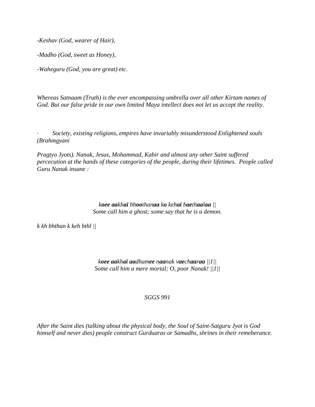*-Keshav (God, wearer of Hair),* 

*-Madho (God, sweet as Honey),* 

*-Waheguru (God, you are great) etc.* 

*Whereas Satnaam (Truth) is the ever encompassing umbrella over all other Kirtam names of God. But our false pride in our own limited Maya intellect does not let us accept the reality.* 

*· Society, existing religions, empires have invariably misunderstood Enlightened souls (Brahmgyani*

*Pragtyo Jyots). Nanak, Jesus, Mohammad, Kabir and almost any other Saint suffered percecution at the hands of these categories of the people, during their lifetimes. People called Guru Nanak insane :*

> *koee aakhai bhoothanaa ko kehai baethaalaa || Some call him a ghost; some say that he is a demon.*

*k kh bhthan k keh bthl ||*

*koee aakhai aadhamee naanak vaechaaraa ||1|| Some call him a mere mortal; O, poor Nanak! ||1||*

### *SGGS 991*

*After the Saint dies (talking about the physical body, the Soul of Saint-Satguru Jyot is God himself and never dies) people construct Gurduaras or Samadhs, shrines in their remeberance.*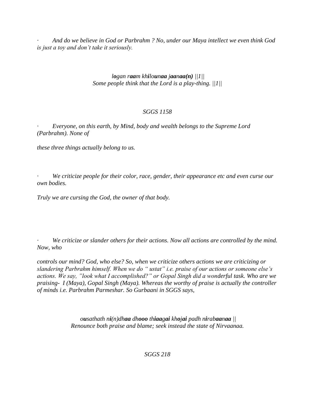*· And do we believe in God or Parbrahm ? No, under our Maya intellect we even think God is just a toy and don't take it seriously.*

# *logan raam khilounaa jaanaa(n) ||1|| Some people think that the Lord is a play-thing. ||1||*

# *SGGS 1158*

*· Everyone, on this earth, by Mind, body and wealth belongs to the Supreme Lord (Parbrahm). None of*

*these three things actually belong to us.* 

*· We criticize people for their color, race, gender, their appearance etc and even curse our own bodies.*

*Truly we are cursing the God, the owner of that body.*

*· We criticize or slander others for their actions. Now all actions are controlled by the mind. Now, who*

*controls our mind? God, who else? So, when we criticize others actions we are criticizing or slandering Parbrahm himself. When we do " ustat" i.e. praise of our actions or someone else's actions. We say, "look what I accomplished?" or Gopal Singh did a wonderful task. Who are we praising- I (Maya), Gopal Singh (Maya). Whereas the worthy of praise is actually the controller of minds i.e. Parbrahm Parmeshar. So Gurbaani in SGGS says,* 

> *ousathath ni(n)dhaa dhooo thiaagai khojai padh nirabaanaa || Renounce both praise and blame; seek instead the state of Nirvaanaa.*

> > *SGGS 218*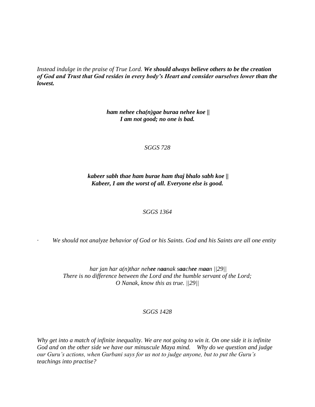*Instead indulge in the praise of True Lord. We should always believe others to be the creation of God and Trust that God resides in every body's Heart and consider ourselves lower than the lowest.* 

> *ham nehee cha(n)gae buraa nehee koe || I am not good; no one is bad.*

> > *SGGS 728*

*kabeer sabh thae ham burae ham thaj bhalo sabh koe || Kabeer, I am the worst of all. Everyone else is good.*

### *SGGS 1364*

*· We should not analyze behavior of God or his Saints. God and his Saints are all one entity* 

*har jan har a(n)thar nehee naanak saachee maan ||29|| There is no difference between the Lord and the humble servant of the Lord; O Nanak, know this as true. ||29||*

## *SGGS 1428*

*Why get into a match of infinite inequality. We are not going to win it. On one side it is infinite God and on the other side we have our minuscule Maya mind. Why do we question and judge our Guru's actions, when Gurbani says for us not to judge anyone, but to put the Guru's teachings into practise?*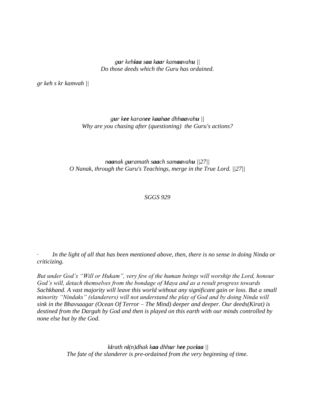*gur kehiaa saa kaar kamaavahu || Do those deeds which the Guru has ordained.*

*gr keh s kr kamvah ||*

*gur kee karanee kaahae dhhaavahu || Why are you chasing after (questioning) the Guru's actions?*

*naanak guramath saach samaavahu ||27|| O Nanak, through the Guru's Teachings, merge in the True Lord. ||27||*

*SGGS 929*

In the light of all that has been mentioned above, then, there is no sense in doing Ninda or *criticizing.*

*But under God's "Will or Hukam", very few of the human beings will worship the Lord, honour God's will, detach themselves from the bondage of Maya and as a result progress towards Sachkhand. A vast majority will leave this world without any significant gain or loss. But a small minority "Nindaks" (slanderers) will not understand the play of God and by doing Ninda will sink in the Bhavsaagar (Ocean Of Terror – The Mind) deeper and deeper. Our deeds(Kirat) is destined from the Dargah by God and then is played on this earth with our minds controlled by none else but by the God.* 

> *kirath ni(n)dhak kaa dhhur hee paeiaa || The fate of the slanderer is pre-ordained from the very beginning of time.*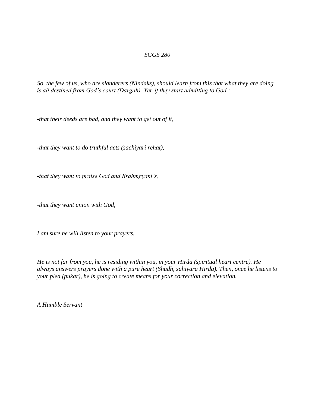#### *SGGS 280*

*So, the few of us, who are slanderers (Nindaks), should learn from this that what they are doing is all destined from God's court (Dargah). Yet, if they start admitting to God :*

*-that their deeds are bad, and they want to get out of it,* 

*-that they want to do truthful acts (sachiyari rehat),* 

*-that they want to praise God and Brahmgyani's,* 

*-that they want union with God,* 

*I am sure he will listen to your prayers.* 

*He is not far from you, he is residing within you, in your Hirda (spiritual heart centre). He always answers prayers done with a pure heart (Shudh, sahiyara Hirda). Then, once he listens to your plea (pukar), he is going to create means for your correction and elevation.*

*A Humble Servant*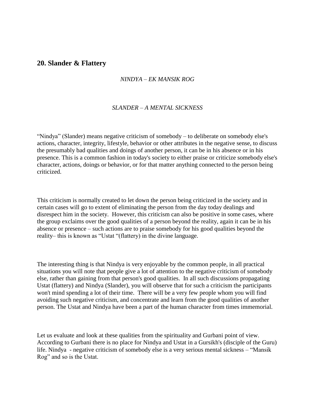# **20. Slander & Flattery**

## *NINDYA – EK MANSIK ROG*

#### *SLANDER – A MENTAL SICKNESS*

"Nindya" (Slander) means negative criticism of somebody – to deliberate on somebody else's actions, character, integrity, lifestyle, behavior or other attributes in the negative sense, to discuss the presumably bad qualities and doings of another person, it can be in his absence or in his presence. This is a common fashion in today's society to either praise or criticize somebody else's character, actions, doings or behavior, or for that matter anything connected to the person being criticized.

This criticism is normally created to let down the person being criticized in the society and in certain cases will go to extent of eliminating the person from the day today dealings and disrespect him in the society. However, this criticism can also be positive in some cases, where the group exclaims over the good qualities of a person beyond the reality, again it can be in his absence or presence – such actions are to praise somebody for his good qualities beyond the reality– this is known as "Ustat "(flattery) in the divine language.

The interesting thing is that Nindya is very enjoyable by the common people, in all practical situations you will note that people give a lot of attention to the negative criticism of somebody else, rather than gaining from that person's good qualities. In all such discussions propagating Ustat (flattery) and Nindya (Slander), you will observe that for such a criticism the participants won't mind spending a lot of their time. There will be a very few people whom you will find avoiding such negative criticism, and concentrate and learn from the good qualities of another person. The Ustat and Nindya have been a part of the human character from times immemorial.

Let us evaluate and look at these qualities from the spirituality and Gurbani point of view. According to Gurbani there is no place for Nindya and Ustat in a Gursikh's (disciple of the Guru) life. Nindya - negative criticism of somebody else is a very serious mental sickness – "Mansik Rog" and so is the Ustat.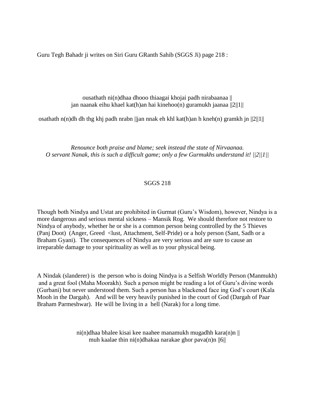Guru Tegh Bahadr ji writes on Siri Guru GRanth Sahib (SGGS Ji) page 218 :

ousathath ni(n)dhaa dhooo thiaagai khojai padh nirabaanaa || jan naanak eihu khael kat(h)an hai kinehoo(n) guramukh jaanaa ||2||1||

osathath n(n)dh dh thg khj padh nrabn ||jan nnak eh khl kat(h)an h kneh(n) gramkh jn ||2||1||

*Renounce both praise and blame; seek instead the state of Nirvaanaa. O servant Nanak, this is such a difficult game; only a few Gurmukhs understand it! ||2||1||*

### SGGS 218

Though both Nindya and Ustat are prohibited in Gurmat (Guru"s Wisdom), however, Nindya is a more dangerous and serious mental sickness – Mansik Rog. We should therefore not restore to Nindya of anybody, whether he or she is a common person being controlled by the 5 Thieves (Panj Doot) (Anger, Greed <lust, Attachment, Self-Pride) or a holy person (Sant, Sadh or a Braham Gyani). The consequences of Nindya are very serious and are sure to cause an irreparable damage to your spirituality as well as to your physical being.

A Nindak (slanderer) is the person who is doing Nindya is a Selfish Worldly Person (Manmukh) and a great fool (Maha Moorakh). Such a person might be reading a lot of Guru"s divine words (Gurbani) but never understood them. Such a person has a blackened face ing God"s court (Kala Mooh in the Dargah). And will be very heavily punished in the court of God (Dargah of Paar Braham Parmeshwar). He will be living in a hell (Narak) for a long time.

> ni(n)dhaa bhalee kisai kee naahee manamukh mugadhh kara(n)n || muh kaalae thin ni(n)dhakaa narakae ghor pava(n)n ||6||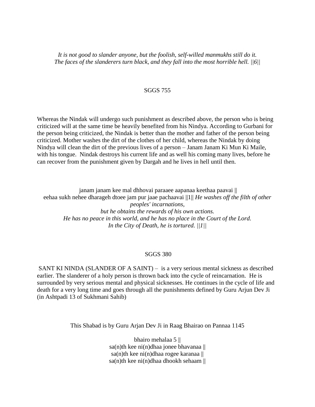*It is not good to slander anyone, but the foolish, self-willed manmukhs still do it. The faces of the slanderers turn black, and they fall into the most horrible hell. ||6||*

#### SGGS 755

Whereas the Nindak will undergo such punishment as described above, the person who is being criticized will at the same time be heavily benefited from his Nindya. According to Gurbani for the person being criticized, the Nindak is better than the mother and father of the person being criticized. Mother washes the dirt of the clothes of her child, whereas the Nindak by doing Nindya will clean the dirt of the previous lives of a person – Janam Janam Ki Mun Ki Maile, with his tongue. Nindak destroys his current life and as well his coming many lives, before he can recover from the punishment given by Dargah and he lives in hell until then.

janam janam kee mal dhhovai paraaee aapanaa keethaa paavai || eehaa sukh nehee dharageh dtoee jam pur jaae pachaavai ||1|| *He washes off the filth of other peoples' incarnations, but he obtains the rewards of his own actions. He has no peace in this world, and he has no place in the Court of the Lord. In the City of Death, he is tortured. ||1||*

#### SGGS 380

SANT KI NINDA (SLANDER OF A SAINT) – is a very serious mental sickness as described earlier. The slanderer of a holy person is thrown back into the cycle of reincarnation. He is surrounded by very serious mental and physical sicknesses. He continues in the cycle of life and death for a very long time and goes through all the punishments defined by Guru Arjun Dev Ji (in Ashtpadi 13 of Sukhmani Sahib)

This Shabad is by Guru Arjan Dev Ji in Raag Bhairao on Pannaa 1145

bhairo mehalaa 5 || sa(n)th kee ni(n)dhaa jonee bhavanaa  $\parallel$ sa(n)th kee ni(n)dhaa rogee karanaa  $\parallel$ sa(n)th kee ni(n)dhaa dhookh sehaam ||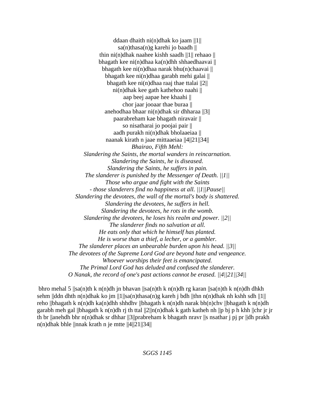ddaan dhaith ni(n)dhak ko jaam ||1|| sa(n)thasa(n)g karehi jo baadh  $\parallel$ thin ni(n)dhak naahee kishh saadh ||1|| rehaao || bhagath kee ni(n)dhaa ka(n)dhh shhaedhaavai  $\parallel$ bhagath kee ni $(n)$ dhaa narak bhu $(n)$ chaavai || bhagath kee ni(n)dhaa garabh mehi galai || bhagath kee ni(n)dhaa raaj thae ttalai  $||2||$ ni(n)dhak kee gath kathehoo naahi || aap beej aapae hee khaahi || chor jaar jooaar thae buraa || anehodhaa bhaar ni(n)dhak sir dhharaa ||3|| paarabreham kae bhagath niravair || so nisatharai jo poojai pair || aadh purakh ni(n)dhak bholaaeiaa || naanak kirath n jaae mittaaeiaa ||4||21||34|| *Bhairao, Fifth Mehl: Slandering the Saints, the mortal wanders in reincarnation. Slandering the Saints, he is diseased. Slandering the Saints, he suffers in pain. The slanderer is punished by the Messenger of Death. ||1|| Those who argue and fight with the Saints - those slanderers find no happiness at all. ||1||Pause|| Slandering the devotees, the wall of the mortal's body is shattered. Slandering the devotees, he suffers in hell. Slandering the devotees, he rots in the womb. Slandering the devotees, he loses his realm and power. ||2|| The slanderer finds no salvation at all. He eats only that which he himself has planted. He is worse than a thief, a lecher, or a gambler. The slanderer places an unbearable burden upon his head. ||3|| The devotees of the Supreme Lord God are beyond hate and vengeance. Whoever worships their feet is emancipated. The Primal Lord God has deluded and confused the slanderer. O Nanak, the record of one's past actions cannot be erased. ||4||21||34||*

bhro mehal 5  $||sa(n)$ th k n(n)dh jn bhavan  $||sa(n)$ th k n(n)dh rg karan  $||sa(n)$ th k n(n)dh dhkh sehm ||ddn dhth n(n)dhak ko jm ||1||sa(n)thasa(n)g kareh j bdh ||thn n(n)dhak nh kshh sdh ||1|| reho ||bhagath k n(n)dh ka(n)dhh shhdhv ||bhagath k n(n)dh narak bh(n)chv ||bhagath k n(n)dh garabh meh gal ||bhagath k n(n)dh rj th ttal  $||2||n(n)$ dhak k gath katheh nh ||p bj p h khh ||chr jr jr th br ||anehdh bhr n(n)dhak sr dhhar ||3||prabreham k bhagath nravr ||s nsathar j pj pr ||dh prakh n(n)dhak bhle ||nnak krath n je mtte ||4||21||34||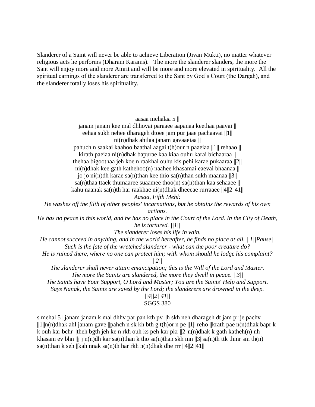Slanderer of a Saint will never be able to achieve Liberation (Jivan Mukti), no matter whatever religious acts he performs (Dharam Karams). The more the slanderer slanders, the more the Sant will enjoy more and more Amrit and will be more and more elevated in spirituality. All the spiritual earnings of the slanderer are transferred to the Sant by God"s Court (the Dargah), and the slanderer totally loses his spirituality.

aasaa mehalaa 5 ||

janam janam kee mal dhhovai paraaee aapanaa keethaa paavai || eehaa sukh nehee dharageh dtoee jam pur jaae pachaavai ||1|| ni(n)dhak ahilaa janam gavaaeiaa || pahuch n saakai kaahoo baathai aagai t(h)our n paaeiaa ||1|| rehaao || kirath paeiaa ni(n)dhak bapurae kaa kiaa ouhu karai bichaaraa || thehaa bigoothaa jeh koe n raakhai ouhu kis pehi karae pukaaraa ||2|| ni(n)dhak kee gath kathehoo(n) naahee khasamai eaevai bhaanaa || jo jo ni(n)dh karae sa(n)than kee thio sa(n)than sukh maanaa  $||3||$ sa(n)thaa ttaek thumaaree suaamee thoo(n) sa(n)than kaa sehaaee  $\parallel$ kahu naanak sa(n)th har raakhae ni(n)dhak dheeeae rurraaee ||4||2||41|| *Aasaa, Fifth Mehl: He washes off the filth of other peoples' incarnations, but he obtains the rewards of his own actions. He has no peace in this world, and he has no place in the Court of the Lord. In the City of Death, he is tortured. ||1|| The slanderer loses his life in vain. He cannot succeed in anything, and in the world hereafter, he finds no place at all. ||1||Pause|| Such is the fate of the wretched slanderer - what can the poor creature do? He is ruined there, where no one can protect him; with whom should he lodge his complaint? ||2|| The slanderer shall never attain emancipation; this is the Will of the Lord and Master. The more the Saints are slandered, the more they dwell in peace. ||3|| The Saints have Your Support, O Lord and Master; You are the Saints' Help and Support. Says Nanak, the Saints are saved by the Lord; the slanderers are drowned in the deep. ||4||2||41||*

SGGS 380

s mehal 5 ||janam janam k mal dhhv par pan kth pv ||h skh neh dharageh dt jam pr je pachv  $||1||n(n)$ dhak ahl janam gave  $||p$ ahch n sk kh bth g t(h)or n pe  $||1||$  reho  $||$ krath pae n(n)dhak bapr k k ouh kar bchr ||theh bgth jeh ke n rkh ouh ks peh kar pkr  $||2||n(n)$ dhak k gath katheh(n) nh khasam ev bhn ||j j n(n)dh kar sa(n)than k tho sa(n)than skh mn ||3||sa(n)th ttk thmr sm th(n) sa(n)than k seh ||kah nnak sa(n)th har rkh n(n)dhak dhe rrr ||4||2||41||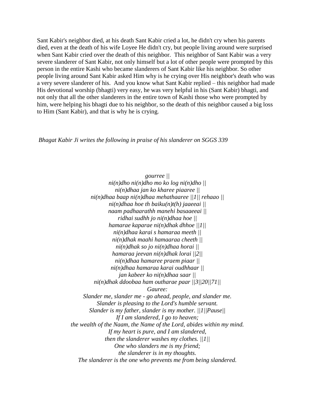Sant Kabir's neighbor died, at his death Sant Kabir cried a lot, he didn't cry when his parents died, even at the death of his wife Loyee He didn't cry, but people living around were surprised when Sant Kabir cried over the death of this neighbor. This neighbor of Sant Kabir was a very severe slanderer of Sant Kabir, not only himself but a lot of other people were prompted by this person in the entire Kashi who became slanderers of Sant Kabir like his neighbor. So other people living around Sant Kabir asked Him why is he crying over His neighbor's death who was a very severe slanderer of his. And you know what Sant Kabir replied – this neighbor had made His devotional worship (bhagti) very easy, he was very helpful in his (Sant Kabir) bhagti, and not only that all the other slanderers in the entire town of Kashi those who were prompted by him, were helping his bhagti due to his neighbor, so the death of this neighbor caused a big loss to Him (Sant Kabir), and that is why he is crying.

*Bhagat Kabir Ji writes the following in praise of his slanderer on SGGS 339*

*gourree || ni(n)dho ni(n)dho mo ko log ni(n)dho || ni(n)dhaa jan ko kharee piaaree || ni(n)dhaa baap ni(n)dhaa mehathaaree ||1|| rehaao || ni(n)dhaa hoe th baiku(n)t(h) jaaeeai || naam padhaarathh manehi basaaeeai || ridhai sudhh jo ni(n)dhaa hoe || hamarae kaparae ni(n)dhak dhhoe ||1|| ni(n)dhaa karai s hamaraa meeth || ni(n)dhak maahi hamaaraa cheeth || ni(n)dhak so jo ni(n)dhaa horai || hamaraa jeevan ni(n)dhak lorai ||2|| ni(n)dhaa hamaree praem piaar || ni(n)dhaa hamaraa karai oudhhaar || jan kabeer ko ni(n)dhaa saar || ni(n)dhak ddoobaa ham outharae paar ||3||20||71|| Gauree: Slander me, slander me - go ahead, people, and slander me. Slander is pleasing to the Lord's humble servant. Slander is my father, slander is my mother. ||1||Pause|| If I am slandered, I go to heaven; the wealth of the Naam, the Name of the Lord, abides within my mind. If my heart is pure, and I am slandered, then the slanderer washes my clothes. ||1|| One who slanders me is my friend; the slanderer is in my thoughts. The slanderer is the one who prevents me from being slandered.*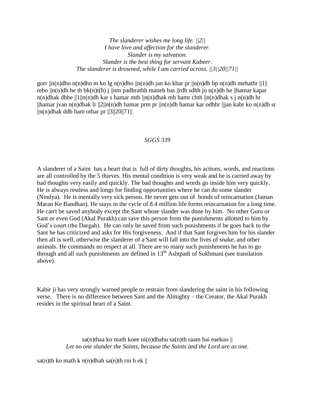*The slanderer wishes me long life. ||2|| I have love and affection for the slanderer. Slander is my salvation. Slander is the best thing for servant Kabeer. The slanderer is drowned, while I am carried across. ||3||20||71||*

gorr  $\|n(n)$ dho  $n(n)$ dho m ko lg n(n)dho  $\|n(n)$ dh jan ko khar pr  $\|n(n)$ dh bp n(n)dh mehathr  $\|1\|$ reho  $\ln(n)$ dh he th bk(n)t(h) j  $\ln m$  padhrathh maneh bas  $\ln m$  sdhh jo n(n)dh he  $\ln m$ ar kapar n(n)dhak dhhe  $||1||n(n)$ dh kar s hamar mth  $||n(n)$ dhak mh hamr chth  $||n(n)$ dhak s j n(n)dh hr ||hamar jvan n(n)dhak lr ||2||n(n)dh hamar prm pr ||n(n)dh hamar kar odhhr ||jan kabr ko n(n)dh sr  $\ln(n)$ dhak ddb ham othar pr  $\frac{3}{20}$ ||71||

## *SGGS 339*

A slanderer of a Saint has a heart that is full of dirty thoughts, his actions, words, and reactions are all controlled by the 5 thieves. His mental condition is very weak and he is carried away by bad thoughts very easily and quickly. The bad thoughts and words go inside him very quickly. He is always restless and longs for finding opportunities where he can do some slander (Nindya). He is mentally very sick person. He never gets out of bonds of reincarnation (Jaman Maran Ke Bandhan). He stays in the cycle of 8.4 million life forms reincarnation for a long time. He can't be saved anybody except the Sant whose slander was done by him. No other Guru or Sant or even God (Akal Purakh) can save this person from the punishments allotted to him by God's court (the Dargah). He can only be saved from such punishments if he goes back to the Sant he has criticized and asks for His forgiveness. And if that Sant forgives him for his slander then all is well, otherwise the slanderer of a Sant will fall into the lives of snake, and other animals. He commands no respect at all. There are so many such punishments he has to go through and all such punishments are defined in  $13<sup>th</sup>$  Ashtpadi of Sukhmani (see translation above).

Kabir ji has very strongly warned people to restrain from slandering the saint in his following verse. There is no difference between Sant and the Almighty – the Creator, the Akal Purakh resides in the spiritual heart of a Saint.

> sa(n)thaa ko math koee ni(n)dhahu sa(n)th raam hai eaekuo  $\parallel$ *Let no one slander the Saints, because the Saints and the Lord are as one.*

sa(n)th ko math k n(n)dhah sa(n)th rm h ek  $\parallel$